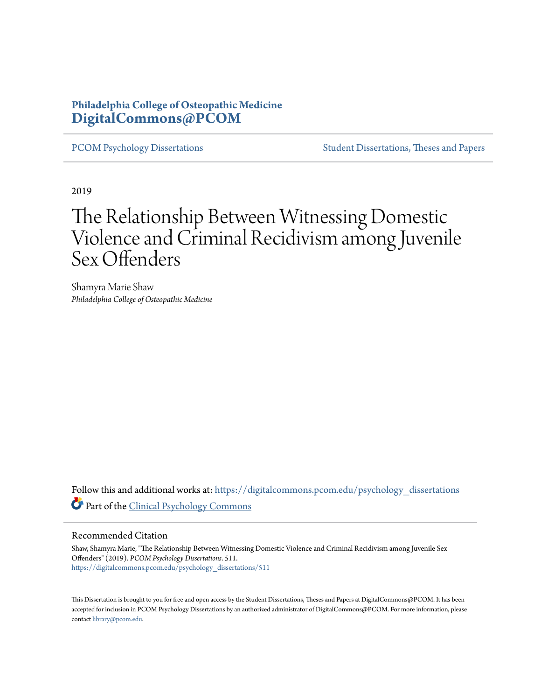## **Philadelphia College of Osteopathic Medicine [DigitalCommons@PCOM](https://digitalcommons.pcom.edu?utm_source=digitalcommons.pcom.edu%2Fpsychology_dissertations%2F511&utm_medium=PDF&utm_campaign=PDFCoverPages)**

[PCOM Psychology Dissertations](https://digitalcommons.pcom.edu/psychology_dissertations?utm_source=digitalcommons.pcom.edu%2Fpsychology_dissertations%2F511&utm_medium=PDF&utm_campaign=PDFCoverPages) [Student Dissertations, Theses and Papers](https://digitalcommons.pcom.edu/etds?utm_source=digitalcommons.pcom.edu%2Fpsychology_dissertations%2F511&utm_medium=PDF&utm_campaign=PDFCoverPages)

2019

# The Relationship Between Witnessing Domestic Violence and Criminal Recidivism among Juvenile Sex Offenders

Shamyra Marie Shaw *Philadelphia College of Osteopathic Medicine*

Follow this and additional works at: [https://digitalcommons.pcom.edu/psychology\\_dissertations](https://digitalcommons.pcom.edu/psychology_dissertations?utm_source=digitalcommons.pcom.edu%2Fpsychology_dissertations%2F511&utm_medium=PDF&utm_campaign=PDFCoverPages) Part of the [Clinical Psychology Commons](http://network.bepress.com/hgg/discipline/406?utm_source=digitalcommons.pcom.edu%2Fpsychology_dissertations%2F511&utm_medium=PDF&utm_campaign=PDFCoverPages)

#### Recommended Citation

Shaw, Shamyra Marie, "The Relationship Between Witnessing Domestic Violence and Criminal Recidivism among Juvenile Sex Offenders" (2019). *PCOM Psychology Dissertations*. 511. [https://digitalcommons.pcom.edu/psychology\\_dissertations/511](https://digitalcommons.pcom.edu/psychology_dissertations/511?utm_source=digitalcommons.pcom.edu%2Fpsychology_dissertations%2F511&utm_medium=PDF&utm_campaign=PDFCoverPages)

This Dissertation is brought to you for free and open access by the Student Dissertations, Theses and Papers at DigitalCommons@PCOM. It has been accepted for inclusion in PCOM Psychology Dissertations by an authorized administrator of DigitalCommons@PCOM. For more information, please contact [library@pcom.edu.](mailto:library@pcom.edu)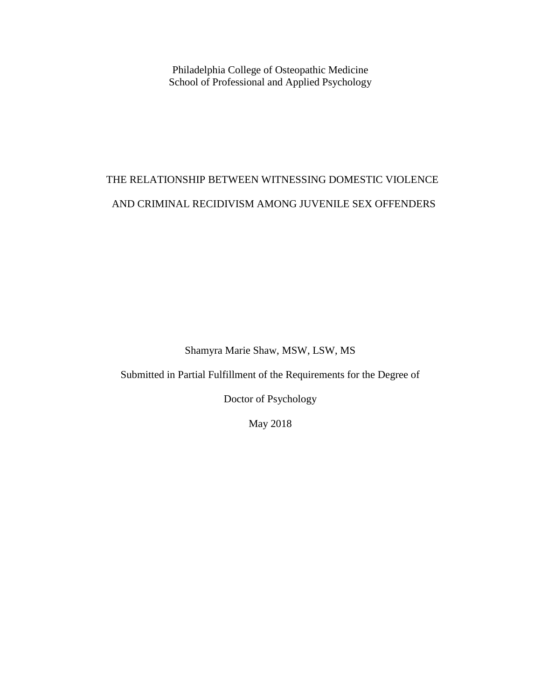Philadelphia College of Osteopathic Medicine School of Professional and Applied Psychology

## THE RELATIONSHIP BETWEEN WITNESSING DOMESTIC VIOLENCE AND CRIMINAL RECIDIVISM AMONG JUVENILE SEX OFFENDERS

Shamyra Marie Shaw, MSW, LSW, MS

Submitted in Partial Fulfillment of the Requirements for the Degree of

Doctor of Psychology

May 2018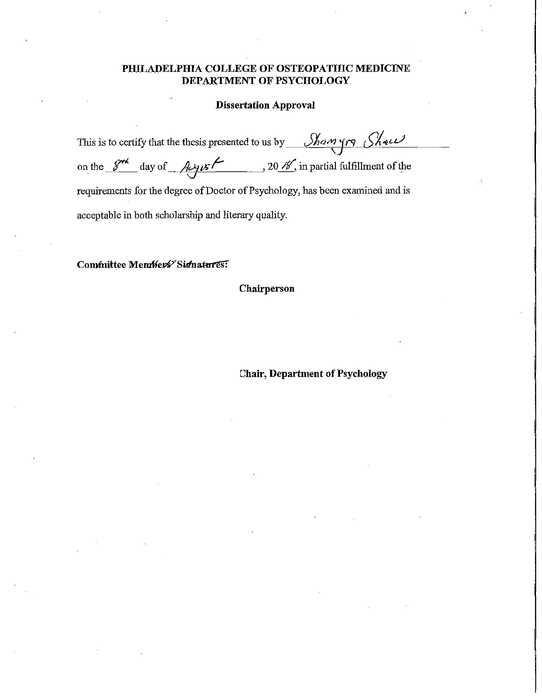### **PHILADELPHIA COLLEGE OF OSTEOPATHIC MEDICINE DEPARTMENT OF PSYCHOLOGY**

## **Dissertation Approval**

| This is to certify that the thesis presented to us by $\sqrt{\frac{\lambda_0 n_1}{\lambda_1}}$                          |  |  |
|-------------------------------------------------------------------------------------------------------------------------|--|--|
|                                                                                                                         |  |  |
| on the $\frac{S^{r\lambda}}{\lambda}$ day of $\lambda y \in \mathcal{L}$ , 20 $\lambda$ , in partial fulfillment of the |  |  |
|                                                                                                                         |  |  |
| requirements for the degree of Doctor of Psychology, has been examined and is                                           |  |  |
|                                                                                                                         |  |  |
| acceptable in both scholarship and literary quality.                                                                    |  |  |
|                                                                                                                         |  |  |

Committee Members<sup>y</sup> Sidnatures:

**Chairperson** 

**Chair, Department of Psychology**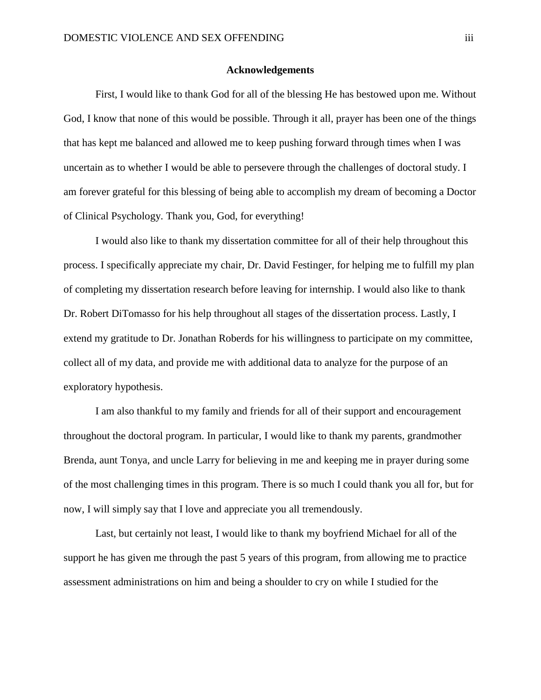#### **Acknowledgements**

First, I would like to thank God for all of the blessing He has bestowed upon me. Without God, I know that none of this would be possible. Through it all, prayer has been one of the things that has kept me balanced and allowed me to keep pushing forward through times when I was uncertain as to whether I would be able to persevere through the challenges of doctoral study. I am forever grateful for this blessing of being able to accomplish my dream of becoming a Doctor of Clinical Psychology. Thank you, God, for everything!

I would also like to thank my dissertation committee for all of their help throughout this process. I specifically appreciate my chair, Dr. David Festinger, for helping me to fulfill my plan of completing my dissertation research before leaving for internship. I would also like to thank Dr. Robert DiTomasso for his help throughout all stages of the dissertation process. Lastly, I extend my gratitude to Dr. Jonathan Roberds for his willingness to participate on my committee, collect all of my data, and provide me with additional data to analyze for the purpose of an exploratory hypothesis.

I am also thankful to my family and friends for all of their support and encouragement throughout the doctoral program. In particular, I would like to thank my parents, grandmother Brenda, aunt Tonya, and uncle Larry for believing in me and keeping me in prayer during some of the most challenging times in this program. There is so much I could thank you all for, but for now, I will simply say that I love and appreciate you all tremendously.

Last, but certainly not least, I would like to thank my boyfriend Michael for all of the support he has given me through the past 5 years of this program, from allowing me to practice assessment administrations on him and being a shoulder to cry on while I studied for the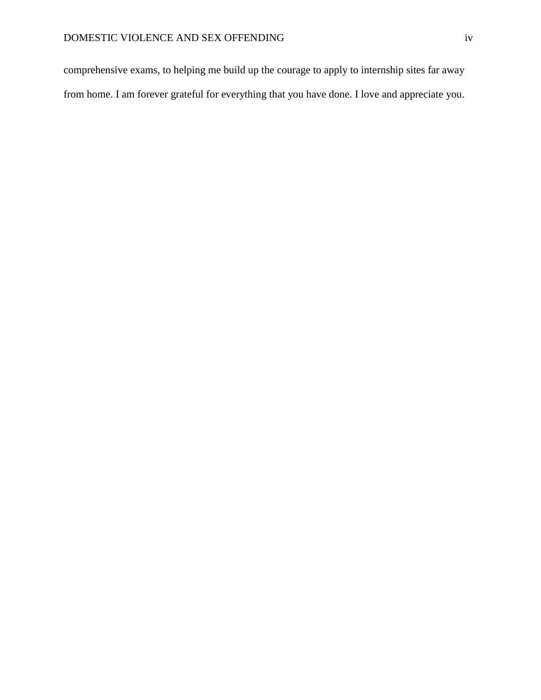comprehensive exams, to helping me build up the courage to apply to internship sites far away from home. I am forever grateful for everything that you have done. I love and appreciate you.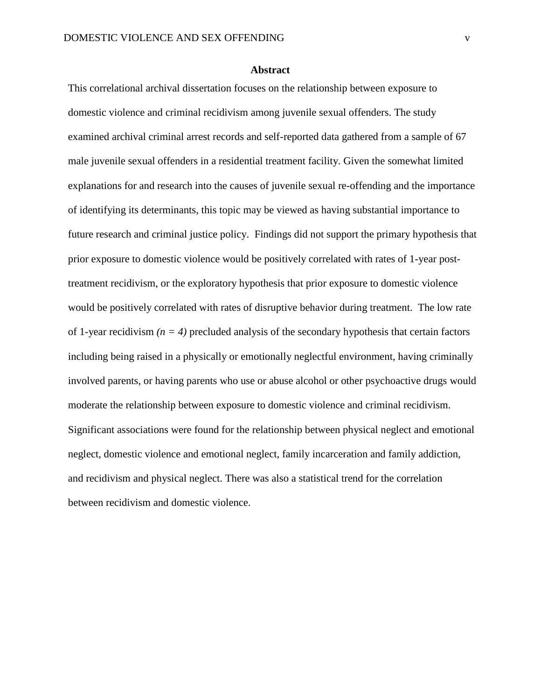#### **Abstract**

This correlational archival dissertation focuses on the relationship between exposure to domestic violence and criminal recidivism among juvenile sexual offenders. The study examined archival criminal arrest records and self-reported data gathered from a sample of 67 male juvenile sexual offenders in a residential treatment facility. Given the somewhat limited explanations for and research into the causes of juvenile sexual re-offending and the importance of identifying its determinants, this topic may be viewed as having substantial importance to future research and criminal justice policy. Findings did not support the primary hypothesis that prior exposure to domestic violence would be positively correlated with rates of 1-year posttreatment recidivism, or the exploratory hypothesis that prior exposure to domestic violence would be positively correlated with rates of disruptive behavior during treatment. The low rate of 1-year recidivism  $(n = 4)$  precluded analysis of the secondary hypothesis that certain factors including being raised in a physically or emotionally neglectful environment, having criminally involved parents, or having parents who use or abuse alcohol or other psychoactive drugs would moderate the relationship between exposure to domestic violence and criminal recidivism. Significant associations were found for the relationship between physical neglect and emotional neglect, domestic violence and emotional neglect, family incarceration and family addiction, and recidivism and physical neglect. There was also a statistical trend for the correlation between recidivism and domestic violence.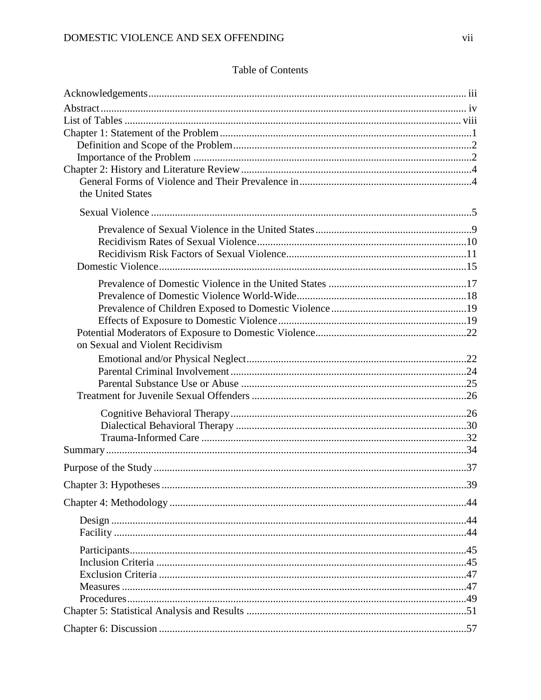## Table of Contents

| the United States                |  |
|----------------------------------|--|
|                                  |  |
|                                  |  |
|                                  |  |
|                                  |  |
|                                  |  |
|                                  |  |
|                                  |  |
|                                  |  |
|                                  |  |
|                                  |  |
| on Sexual and Violent Recidivism |  |
|                                  |  |
|                                  |  |
|                                  |  |
|                                  |  |
|                                  |  |
|                                  |  |
|                                  |  |
|                                  |  |
|                                  |  |
|                                  |  |
|                                  |  |
|                                  |  |
|                                  |  |
|                                  |  |
|                                  |  |
|                                  |  |
|                                  |  |
|                                  |  |
|                                  |  |
|                                  |  |
|                                  |  |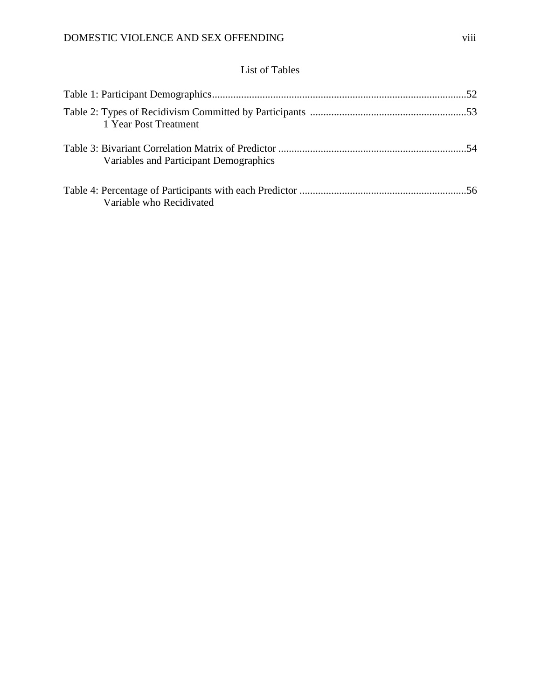## List of Tables

| 1 Year Post Treatment                  |  |
|----------------------------------------|--|
| Variables and Participant Demographics |  |
| Variable who Recidivated               |  |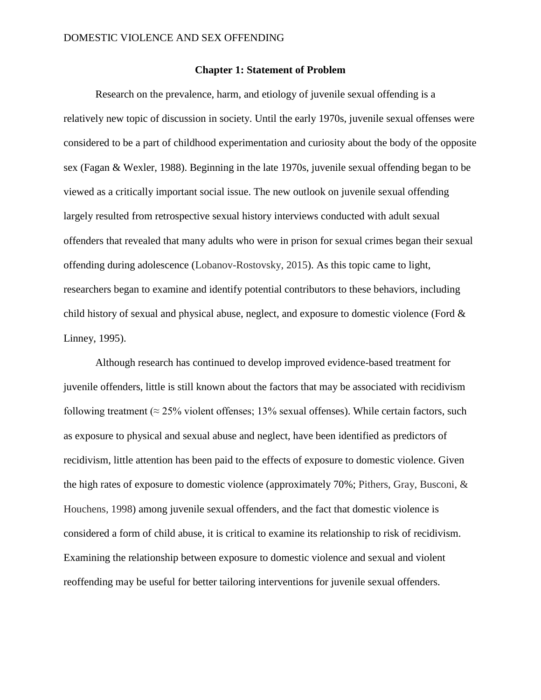#### **Chapter 1: Statement of Problem**

Research on the prevalence, harm, and etiology of juvenile sexual offending is a relatively new topic of discussion in society. Until the early 1970s, juvenile sexual offenses were considered to be a part of childhood experimentation and curiosity about the body of the opposite sex (Fagan & Wexler, 1988). Beginning in the late 1970s, juvenile sexual offending began to be viewed as a critically important social issue. The new outlook on juvenile sexual offending largely resulted from retrospective sexual history interviews conducted with adult sexual offenders that revealed that many adults who were in prison for sexual crimes began their sexual offending during adolescence (Lobanov-Rostovsky, 2015). As this topic came to light, researchers began to examine and identify potential contributors to these behaviors, including child history of sexual and physical abuse, neglect, and exposure to domestic violence (Ford & Linney, 1995).

Although research has continued to develop improved evidence-based treatment for juvenile offenders, little is still known about the factors that may be associated with recidivism following treatment ( $\approx$  25% violent offenses; 13% sexual offenses). While certain factors, such as exposure to physical and sexual abuse and neglect, have been identified as predictors of recidivism, little attention has been paid to the effects of exposure to domestic violence. Given the high rates of exposure to domestic violence (approximately 70%; Pithers, Gray, Busconi, & Houchens, 1998) among juvenile sexual offenders, and the fact that domestic violence is considered a form of child abuse, it is critical to examine its relationship to risk of recidivism. Examining the relationship between exposure to domestic violence and sexual and violent reoffending may be useful for better tailoring interventions for juvenile sexual offenders.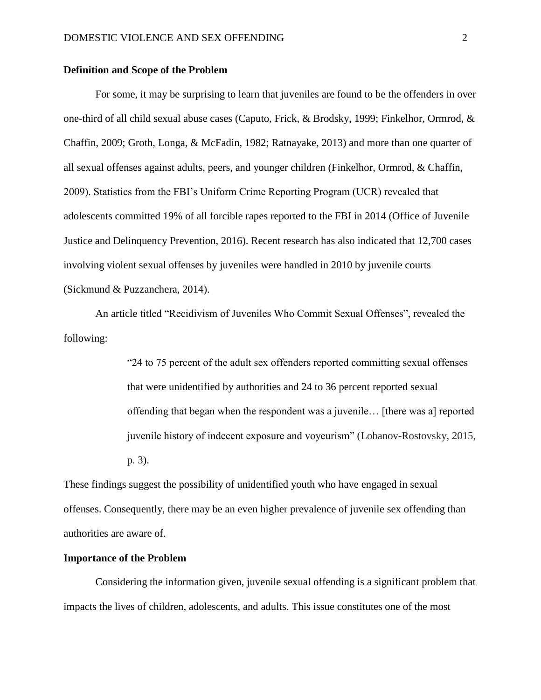#### **Definition and Scope of the Problem**

For some, it may be surprising to learn that juveniles are found to be the offenders in over one-third of all child sexual abuse cases (Caputo, Frick, & Brodsky, 1999; Finkelhor, Ormrod, & Chaffin, 2009; Groth, Longa, & McFadin, 1982; Ratnayake, 2013) and more than one quarter of all sexual offenses against adults, peers, and younger children (Finkelhor, Ormrod, & Chaffin, 2009). Statistics from the FBI's Uniform Crime Reporting Program (UCR) revealed that adolescents committed 19% of all forcible rapes reported to the FBI in 2014 (Office of Juvenile Justice and Delinquency Prevention, 2016). Recent research has also indicated that 12,700 cases involving violent sexual offenses by juveniles were handled in 2010 by juvenile courts (Sickmund & Puzzanchera, 2014).

An article titled "Recidivism of Juveniles Who Commit Sexual Offenses", revealed the following:

> "24 to 75 percent of the adult sex offenders reported committing sexual offenses that were unidentified by authorities and 24 to 36 percent reported sexual offending that began when the respondent was a juvenile… [there was a] reported juvenile history of indecent exposure and voyeurism" (Lobanov-Rostovsky, 2015, p. 3).

These findings suggest the possibility of unidentified youth who have engaged in sexual offenses. Consequently, there may be an even higher prevalence of juvenile sex offending than authorities are aware of.

#### **Importance of the Problem**

Considering the information given, juvenile sexual offending is a significant problem that impacts the lives of children, adolescents, and adults. This issue constitutes one of the most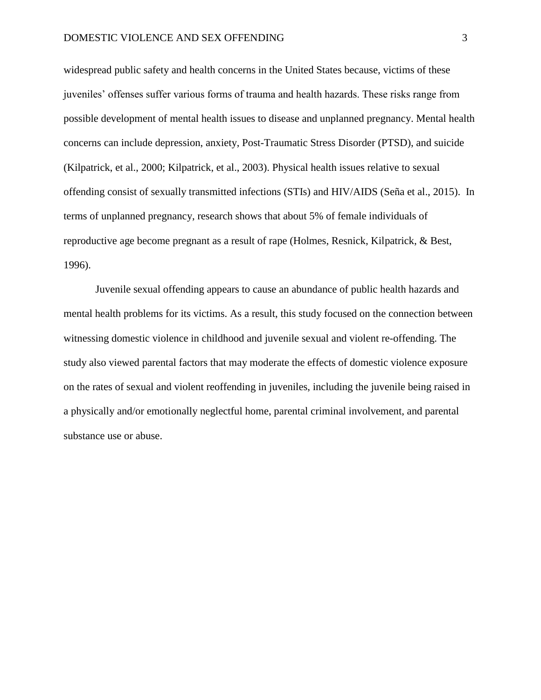widespread public safety and health concerns in the United States because, victims of these juveniles' offenses suffer various forms of trauma and health hazards. These risks range from possible development of mental health issues to disease and unplanned pregnancy. Mental health concerns can include depression, anxiety, Post-Traumatic Stress Disorder (PTSD), and suicide (Kilpatrick, et al., 2000; Kilpatrick, et al., 2003). Physical health issues relative to sexual offending consist of sexually transmitted infections (STIs) and HIV/AIDS (Seña et al., 2015). In terms of unplanned pregnancy, research shows that about 5% of female individuals of reproductive age become pregnant as a result of rape (Holmes, Resnick, Kilpatrick, & Best, 1996).

Juvenile sexual offending appears to cause an abundance of public health hazards and mental health problems for its victims. As a result, this study focused on the connection between witnessing domestic violence in childhood and juvenile sexual and violent re-offending. The study also viewed parental factors that may moderate the effects of domestic violence exposure on the rates of sexual and violent reoffending in juveniles, including the juvenile being raised in a physically and/or emotionally neglectful home, parental criminal involvement, and parental substance use or abuse.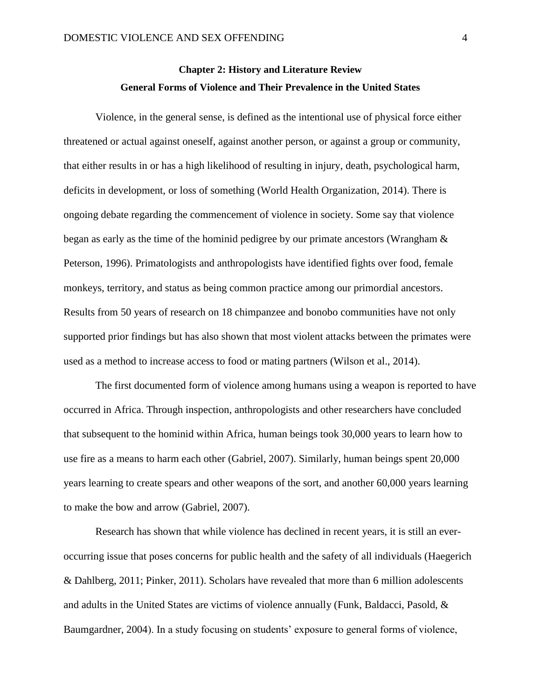## **Chapter 2: History and Literature Review General Forms of Violence and Their Prevalence in the United States**

Violence, in the general sense, is defined as the intentional use of physical force either threatened or actual against oneself, against another person, or against a group or community, that either results in or has a high likelihood of resulting in injury, death, psychological harm, deficits in development, or loss of something (World Health Organization, 2014). There is ongoing debate regarding the commencement of violence in society. Some say that violence began as early as the time of the hominid pedigree by our primate ancestors (Wrangham & Peterson, 1996). Primatologists and anthropologists have identified fights over food, female monkeys, territory, and status as being common practice among our primordial ancestors. Results from 50 years of research on 18 chimpanzee and bonobo communities have not only supported prior findings but has also shown that most violent attacks between the primates were used as a method to increase access to food or mating partners (Wilson et al., 2014).

The first documented form of violence among humans using a weapon is reported to have occurred in Africa. Through inspection, anthropologists and other researchers have concluded that subsequent to the hominid within Africa, human beings took 30,000 years to learn how to use fire as a means to harm each other (Gabriel, 2007). Similarly, human beings spent 20,000 years learning to create spears and other weapons of the sort, and another 60,000 years learning to make the bow and arrow (Gabriel, 2007).

Research has shown that while violence has declined in recent years, it is still an everoccurring issue that poses concerns for public health and the safety of all individuals (Haegerich & Dahlberg, 2011; Pinker, 2011). Scholars have revealed that more than 6 million adolescents and adults in the United States are victims of violence annually (Funk, Baldacci, Pasold, & Baumgardner, 2004). In a study focusing on students' exposure to general forms of violence,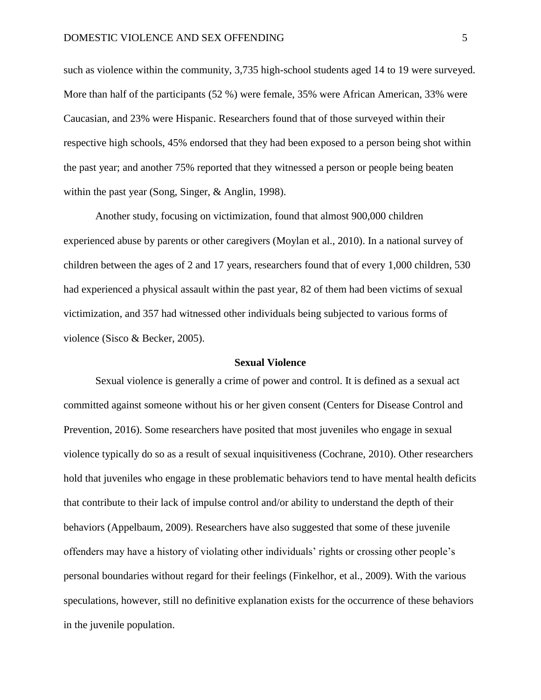such as violence within the community, 3,735 high-school students aged 14 to 19 were surveyed. More than half of the participants (52 %) were female, 35% were African American, 33% were Caucasian, and 23% were Hispanic. Researchers found that of those surveyed within their respective high schools, 45% endorsed that they had been exposed to a person being shot within the past year; and another 75% reported that they witnessed a person or people being beaten within the past year (Song, Singer, & Anglin, 1998).

Another study, focusing on victimization, found that almost 900,000 children experienced abuse by parents or other caregivers (Moylan et al., 2010). In a national survey of children between the ages of 2 and 17 years, researchers found that of every 1,000 children, 530 had experienced a physical assault within the past year, 82 of them had been victims of sexual victimization, and 357 had witnessed other individuals being subjected to various forms of violence (Sisco & Becker, 2005).

#### **Sexual Violence**

Sexual violence is generally a crime of power and control. It is defined as a sexual act committed against someone without his or her given consent (Centers for Disease Control and Prevention, 2016). Some researchers have posited that most juveniles who engage in sexual violence typically do so as a result of sexual inquisitiveness (Cochrane, 2010). Other researchers hold that juveniles who engage in these problematic behaviors tend to have mental health deficits that contribute to their lack of impulse control and/or ability to understand the depth of their behaviors (Appelbaum, 2009). Researchers have also suggested that some of these juvenile offenders may have a history of violating other individuals' rights or crossing other people's personal boundaries without regard for their feelings (Finkelhor, et al., 2009). With the various speculations, however, still no definitive explanation exists for the occurrence of these behaviors in the juvenile population.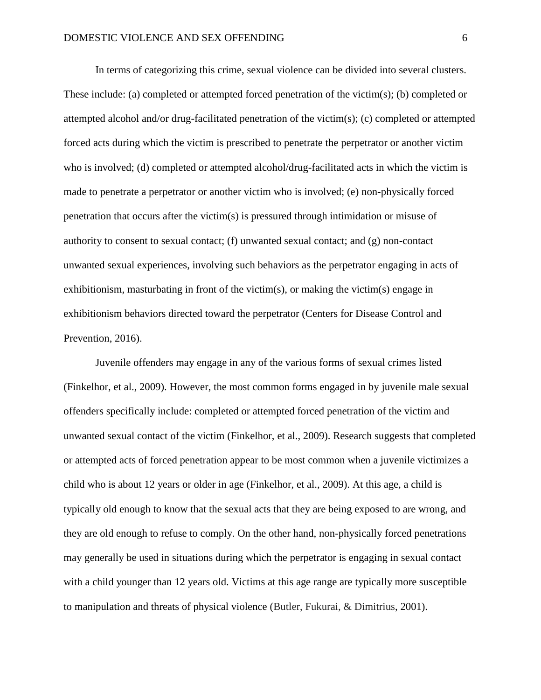In terms of categorizing this crime, sexual violence can be divided into several clusters. These include: (a) completed or attempted forced penetration of the victim(s); (b) completed or attempted alcohol and/or drug-facilitated penetration of the victim(s); (c) completed or attempted forced acts during which the victim is prescribed to penetrate the perpetrator or another victim who is involved; (d) completed or attempted alcohol/drug-facilitated acts in which the victim is made to penetrate a perpetrator or another victim who is involved; (e) non-physically forced penetration that occurs after the victim(s) is pressured through intimidation or misuse of authority to consent to sexual contact; (f) unwanted sexual contact; and (g) non-contact unwanted sexual experiences, involving such behaviors as the perpetrator engaging in acts of exhibitionism, masturbating in front of the victim(s), or making the victim(s) engage in exhibitionism behaviors directed toward the perpetrator (Centers for Disease Control and Prevention, 2016).

Juvenile offenders may engage in any of the various forms of sexual crimes listed (Finkelhor, et al., 2009). However, the most common forms engaged in by juvenile male sexual offenders specifically include: completed or attempted forced penetration of the victim and unwanted sexual contact of the victim (Finkelhor, et al., 2009). Research suggests that completed or attempted acts of forced penetration appear to be most common when a juvenile victimizes a child who is about 12 years or older in age (Finkelhor, et al., 2009). At this age, a child is typically old enough to know that the sexual acts that they are being exposed to are wrong, and they are old enough to refuse to comply. On the other hand, non-physically forced penetrations may generally be used in situations during which the perpetrator is engaging in sexual contact with a child younger than 12 years old. Victims at this age range are typically more susceptible to manipulation and threats of physical violence (Butler, Fukurai, & Dimitrius, 2001).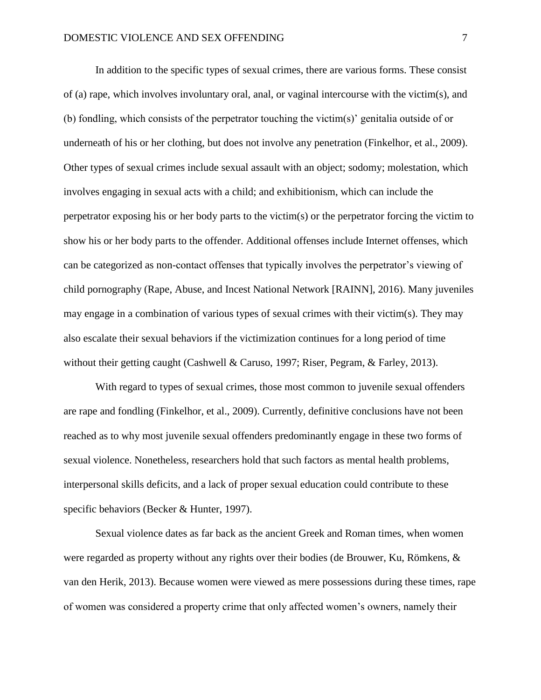In addition to the specific types of sexual crimes, there are various forms. These consist of (a) rape, which involves involuntary oral, anal, or vaginal intercourse with the victim(s), and (b) fondling, which consists of the perpetrator touching the victim(s)' genitalia outside of or underneath of his or her clothing, but does not involve any penetration (Finkelhor, et al., 2009). Other types of sexual crimes include sexual assault with an object; sodomy; molestation, which involves engaging in sexual acts with a child; and exhibitionism, which can include the perpetrator exposing his or her body parts to the victim(s) or the perpetrator forcing the victim to show his or her body parts to the offender. Additional offenses include Internet offenses, which can be categorized as non-contact offenses that typically involves the perpetrator's viewing of child pornography (Rape, Abuse, and Incest National Network [RAINN], 2016). Many juveniles may engage in a combination of various types of sexual crimes with their victim(s). They may also escalate their sexual behaviors if the victimization continues for a long period of time without their getting caught (Cashwell & Caruso, 1997; Riser, Pegram, & Farley, 2013).

With regard to types of sexual crimes, those most common to juvenile sexual offenders are rape and fondling (Finkelhor, et al., 2009). Currently, definitive conclusions have not been reached as to why most juvenile sexual offenders predominantly engage in these two forms of sexual violence. Nonetheless, researchers hold that such factors as mental health problems, interpersonal skills deficits, and a lack of proper sexual education could contribute to these specific behaviors (Becker & Hunter, 1997).

Sexual violence dates as far back as the ancient Greek and Roman times, when women were regarded as property without any rights over their bodies (de Brouwer, Ku, Römkens, & van den Herik, 2013). Because women were viewed as mere possessions during these times, rape of women was considered a property crime that only affected women's owners, namely their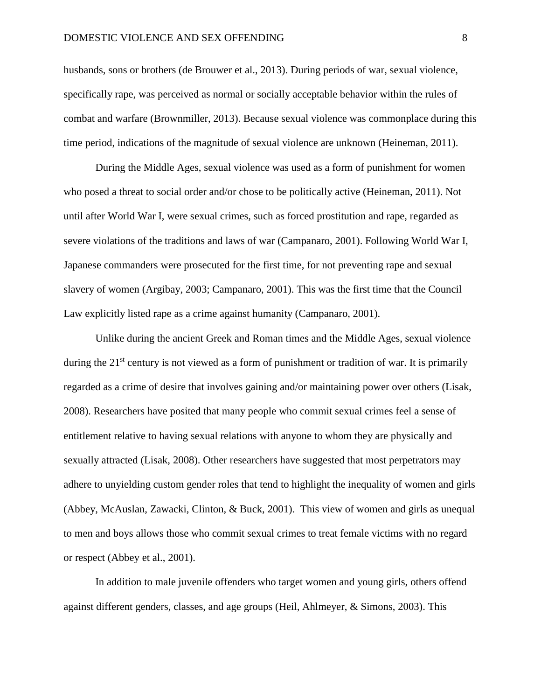husbands, sons or brothers (de Brouwer et al., 2013). During periods of war, sexual violence, specifically rape, was perceived as normal or socially acceptable behavior within the rules of combat and warfare (Brownmiller, 2013). Because sexual violence was commonplace during this time period, indications of the magnitude of sexual violence are unknown (Heineman, 2011).

During the Middle Ages, sexual violence was used as a form of punishment for women who posed a threat to social order and/or chose to be politically active (Heineman, 2011). Not until after [World War I,](https://en.wikipedia.org/wiki/World_War_I) were sexual crimes, such as forced prostitution and rape, regarded as severe violations of the traditions and laws of war (Campanaro, 2001). Following World War I, Japanese commanders were prosecuted for the first time, for not preventing rape and sexual slavery of women (Argibay, 2003; Campanaro, 2001). This was the first time that the Council Law explicitly listed rape as a crime against humanity (Campanaro, 2001).

Unlike during the ancient Greek and Roman times and the Middle Ages, sexual violence during the 21<sup>st</sup> century is not viewed as a form of punishment or tradition of war. It is primarily regarded as a crime of desire that involves gaining and/or maintaining power over others (Lisak, 2008). Researchers have posited that many people who commit sexual crimes feel a sense of entitlement relative to having sexual relations with anyone to whom they are physically and sexually attracted (Lisak, 2008). Other researchers have suggested that most perpetrators may adhere to unyielding custom gender roles that tend to highlight the inequality of women and girls (Abbey, McAuslan, Zawacki, Clinton, & Buck, 2001). This view of women and girls as unequal to men and boys allows those who commit sexual crimes to treat female victims with no regard or respect (Abbey et al., 2001).

In addition to male juvenile offenders who target women and young girls, others offend against different genders, classes, and age groups (Heil, Ahlmeyer, & Simons, 2003). This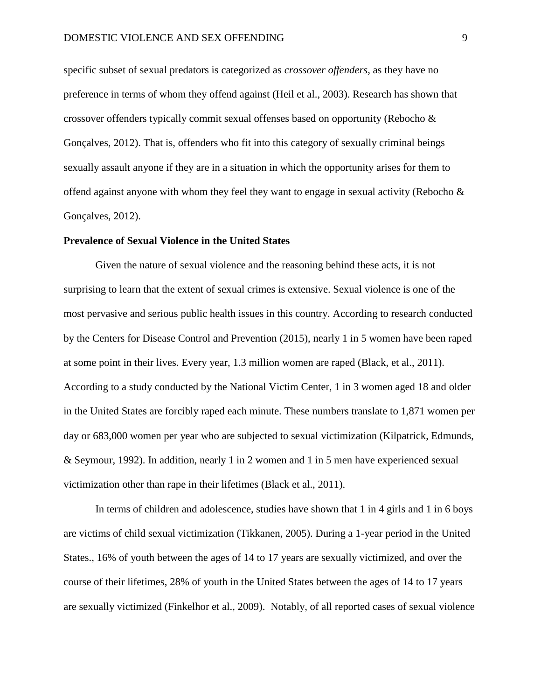specific subset of sexual predators is categorized as *crossover offenders*, as they have no preference in terms of whom they offend against (Heil et al., 2003). Research has shown that crossover offenders typically commit sexual offenses based on opportunity (Rebocho & Gonçalves, 2012). That is, offenders who fit into this category of sexually criminal beings sexually assault anyone if they are in a situation in which the opportunity arises for them to offend against anyone with whom they feel they want to engage in sexual activity (Rebocho  $\&$ Gonçalves, 2012).

#### **Prevalence of Sexual Violence in the United States**

Given the nature of sexual violence and the reasoning behind these acts, it is not surprising to learn that the extent of sexual crimes is extensive. Sexual violence is one of the most pervasive and serious public health issues in this country. According to research conducted by the Centers for Disease Control and Prevention (2015), nearly 1 in 5 women have been raped at some point in their lives. Every year, 1.3 million women are raped (Black, et al., 2011). According to a study conducted by the National Victim Center, 1 in 3 women aged 18 and older in the United States are forcibly raped each minute. These numbers translate to 1,871 women per day or 683,000 women per year who are subjected to sexual victimization (Kilpatrick, Edmunds, & Seymour, 1992). In addition, nearly 1 in 2 women and 1 in 5 men have experienced sexual victimization other than rape in their lifetimes (Black et al., 2011).

In terms of children and adolescence, studies have shown that 1 in 4 girls and 1 in 6 boys are victims of child sexual victimization (Tikkanen, 2005). During a 1-year period in the United States., 16% of youth between the ages of 14 to 17 years are sexually victimized, and over the course of their lifetimes, 28% of youth in the United States between the ages of 14 to 17 years are sexually victimized (Finkelhor et al., 2009). Notably, of all reported cases of sexual violence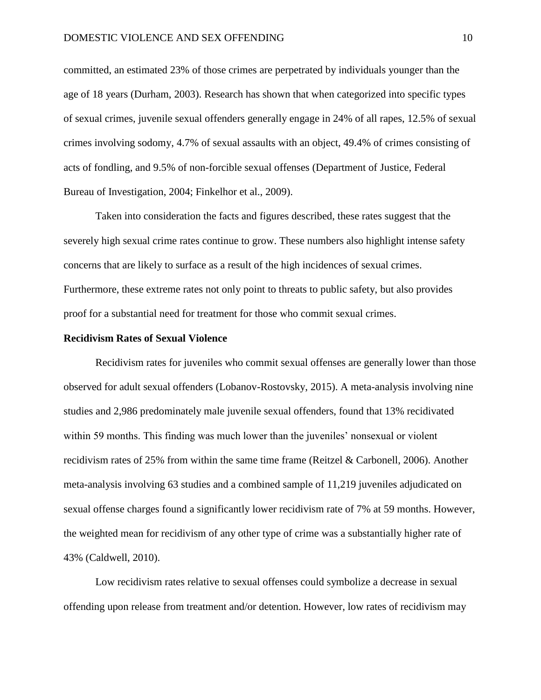committed, an estimated 23% of those crimes are perpetrated by individuals younger than the age of 18 years (Durham, 2003). Research has shown that when categorized into specific types of sexual crimes, juvenile sexual offenders generally engage in 24% of all rapes, 12.5% of sexual crimes involving sodomy, 4.7% of sexual assaults with an object, 49.4% of crimes consisting of acts of fondling, and 9.5% of non-forcible sexual offenses (Department of Justice, Federal Bureau of Investigation, 2004; Finkelhor et al., 2009).

Taken into consideration the facts and figures described, these rates suggest that the severely high sexual crime rates continue to grow. These numbers also highlight intense safety concerns that are likely to surface as a result of the high incidences of sexual crimes. Furthermore, these extreme rates not only point to threats to public safety, but also provides proof for a substantial need for treatment for those who commit sexual crimes.

#### **Recidivism Rates of Sexual Violence**

Recidivism rates for juveniles who commit sexual offenses are generally lower than those observed for adult sexual offenders (Lobanov-Rostovsky, 2015). A meta-analysis involving nine studies and 2,986 predominately male juvenile sexual offenders, found that 13% recidivated within 59 months. This finding was much lower than the juveniles' nonsexual or violent recidivism rates of 25% from within the same time frame (Reitzel & Carbonell, 2006). Another meta-analysis involving 63 studies and a combined sample of 11,219 juveniles adjudicated on sexual offense charges found a significantly lower recidivism rate of 7% at 59 months. However, the weighted mean for recidivism of any other type of crime was a substantially higher rate of 43% (Caldwell, 2010).

Low recidivism rates relative to sexual offenses could symbolize a decrease in sexual offending upon release from treatment and/or detention. However, low rates of recidivism may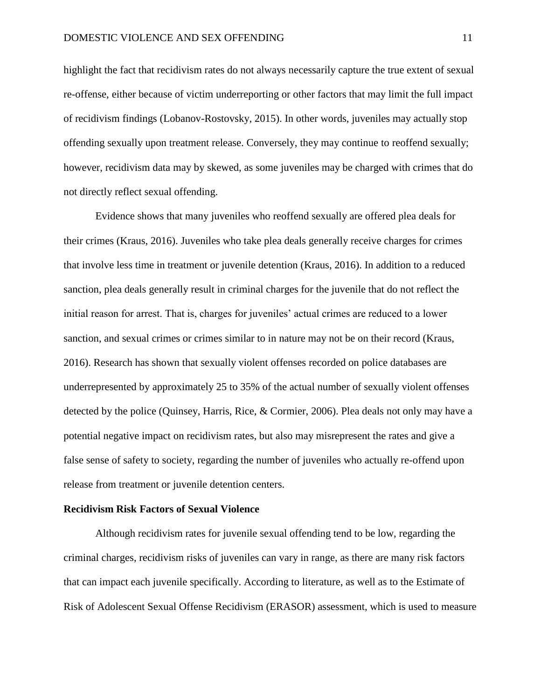highlight the fact that recidivism rates do not always necessarily capture the true extent of sexual re-offense, either because of victim underreporting or other factors that may limit the full impact of recidivism findings (Lobanov-Rostovsky, 2015). In other words, juveniles may actually stop offending sexually upon treatment release. Conversely, they may continue to reoffend sexually; however, recidivism data may by skewed, as some juveniles may be charged with crimes that do not directly reflect sexual offending.

Evidence shows that many juveniles who reoffend sexually are offered plea deals for their crimes (Kraus, 2016). Juveniles who take plea deals generally receive charges for crimes that involve less time in treatment or juvenile detention (Kraus, 2016). In addition to a reduced sanction, plea deals generally result in criminal charges for the juvenile that do not reflect the initial reason for arrest. That is, charges for juveniles' actual crimes are reduced to a lower sanction, and sexual crimes or crimes similar to in nature may not be on their record (Kraus, 2016). Research has shown that sexually violent offenses recorded on police databases are underrepresented by approximately 25 to 35% of the actual number of sexually violent offenses detected by the police (Quinsey, Harris, Rice, & Cormier, 2006). Plea deals not only may have a potential negative impact on recidivism rates, but also may misrepresent the rates and give a false sense of safety to society, regarding the number of juveniles who actually re-offend upon release from treatment or juvenile detention centers.

#### **Recidivism Risk Factors of Sexual Violence**

Although recidivism rates for juvenile sexual offending tend to be low, regarding the criminal charges, recidivism risks of juveniles can vary in range, as there are many risk factors that can impact each juvenile specifically. According to literature, as well as to the Estimate of Risk of Adolescent Sexual Offense Recidivism (ERASOR) assessment, which is used to measure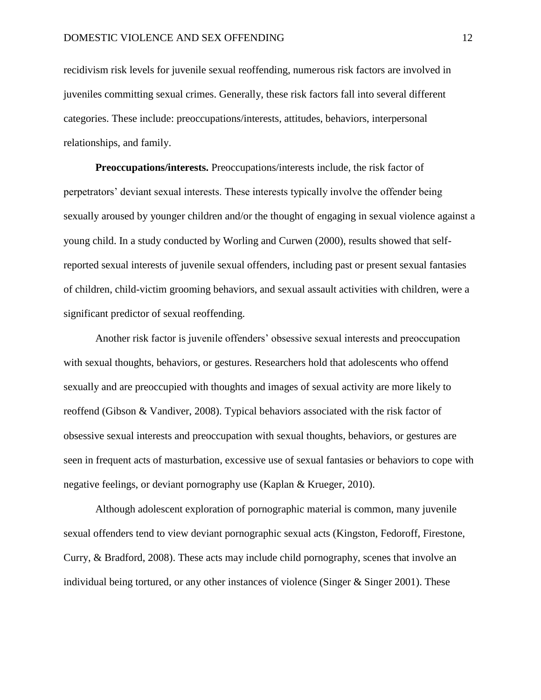recidivism risk levels for juvenile sexual reoffending, numerous risk factors are involved in juveniles committing sexual crimes. Generally, these risk factors fall into several different categories. These include: preoccupations/interests, attitudes, behaviors, interpersonal relationships, and family.

**Preoccupations/interests.** Preoccupations/interests include, the risk factor of perpetrators' deviant sexual interests. These interests typically involve the offender being sexually aroused by younger children and/or the thought of engaging in sexual violence against a young child. In a study conducted by Worling and Curwen (2000), results showed that selfreported sexual interests of juvenile sexual offenders, including past or present sexual fantasies of children, child-victim grooming behaviors, and sexual assault activities with children, were a significant predictor of sexual reoffending.

Another risk factor is juvenile offenders' obsessive sexual interests and preoccupation with sexual thoughts, behaviors, or gestures. Researchers hold that adolescents who offend sexually and are preoccupied with thoughts and images of sexual activity are more likely to reoffend (Gibson & Vandiver, 2008). Typical behaviors associated with the risk factor of obsessive sexual interests and preoccupation with sexual thoughts, behaviors, or gestures are seen in frequent acts of masturbation, excessive use of sexual fantasies or behaviors to cope with negative feelings, or deviant pornography use (Kaplan & Krueger, 2010).

Although adolescent exploration of pornographic material is common, many juvenile sexual offenders tend to view deviant pornographic sexual acts (Kingston, Fedoroff, Firestone, Curry, & Bradford, 2008). These acts may include child pornography, scenes that involve an individual being tortured, or any other instances of violence (Singer & Singer 2001). These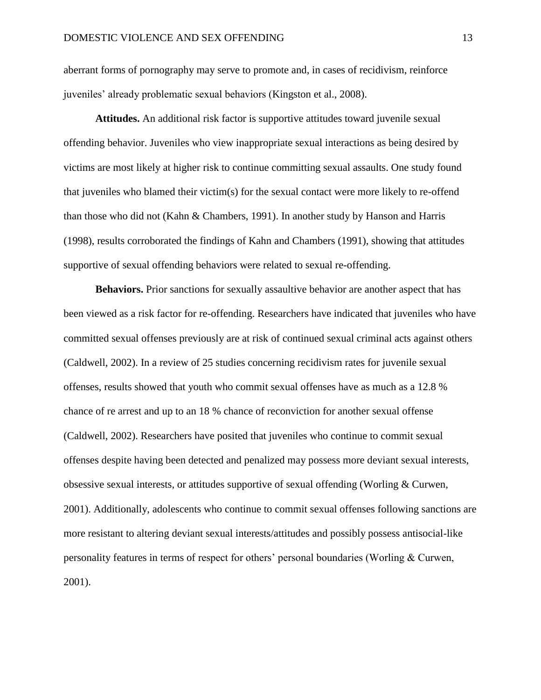aberrant forms of pornography may serve to promote and, in cases of recidivism, reinforce juveniles' already problematic sexual behaviors (Kingston et al., 2008).

**Attitudes.** An additional risk factor is supportive attitudes toward juvenile sexual offending behavior. Juveniles who view inappropriate sexual interactions as being desired by victims are most likely at higher risk to continue committing sexual assaults. One study found that juveniles who blamed their victim(s) for the sexual contact were more likely to re-offend than those who did not (Kahn & Chambers, 1991). In another study by Hanson and Harris (1998), results corroborated the findings of Kahn and Chambers (1991), showing that attitudes supportive of sexual offending behaviors were related to sexual re-offending.

**Behaviors.** Prior sanctions for sexually assaultive behavior are another aspect that has been viewed as a risk factor for re-offending. Researchers have indicated that juveniles who have committed sexual offenses previously are at risk of continued sexual criminal acts against others (Caldwell, 2002). In a review of 25 studies concerning recidivism rates for juvenile sexual offenses, results showed that youth who commit sexual offenses have as much as a 12.8 % chance of re arrest and up to an 18 % chance of reconviction for another sexual offense (Caldwell, 2002). Researchers have posited that juveniles who continue to commit sexual offenses despite having been detected and penalized may possess more deviant sexual interests, obsessive sexual interests, or attitudes supportive of sexual offending (Worling & Curwen, 2001). Additionally, adolescents who continue to commit sexual offenses following sanctions are more resistant to altering deviant sexual interests/attitudes and possibly possess antisocial-like personality features in terms of respect for others' personal boundaries (Worling & Curwen, 2001).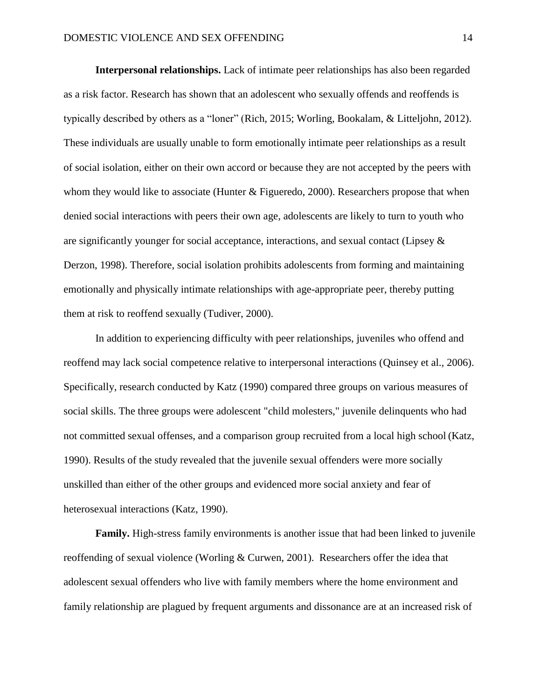**Interpersonal relationships.** Lack of intimate peer relationships has also been regarded as a risk factor. Research has shown that an adolescent who sexually offends and reoffends is typically described by others as a "loner" (Rich, 2015; Worling, Bookalam, & Litteljohn, 2012). These individuals are usually unable to form emotionally intimate peer relationships as a result of social isolation, either on their own accord or because they are not accepted by the peers with whom they would like to associate (Hunter & Figueredo, 2000). Researchers propose that when denied social interactions with peers their own age, adolescents are likely to turn to youth who are significantly younger for social acceptance, interactions, and sexual contact (Lipsey & Derzon, 1998). Therefore, social isolation prohibits adolescents from forming and maintaining emotionally and physically intimate relationships with age-appropriate peer, thereby putting them at risk to reoffend sexually (Tudiver, 2000).

In addition to experiencing difficulty with peer relationships, juveniles who offend and reoffend may lack social competence relative to interpersonal interactions (Quinsey et al., 2006). Specifically, research conducted by Katz (1990) compared three groups on various measures of social skills. The three groups were adolescent "child molesters," juvenile delinquents who had not committed sexual offenses, and a comparison group recruited from a local high school (Katz, 1990). Results of the study revealed that the juvenile sexual offenders were more socially unskilled than either of the other groups and evidenced more social anxiety and fear of heterosexual interactions (Katz, 1990).

**Family.** High-stress family environments is another issue that had been linked to juvenile reoffending of sexual violence (Worling & Curwen, 2001). Researchers offer the idea that adolescent sexual offenders who live with family members where the home environment and family relationship are plagued by frequent arguments and dissonance are at an increased risk of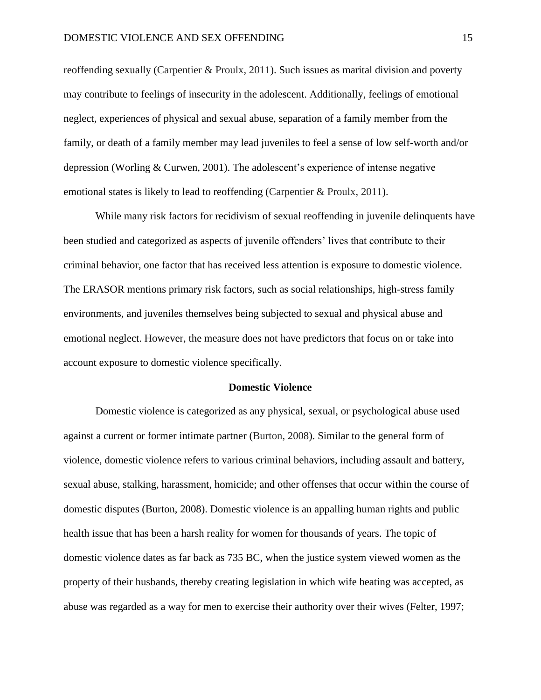reoffending sexually (Carpentier & Proulx, 2011). Such issues as marital division and poverty may contribute to feelings of insecurity in the adolescent. Additionally, feelings of emotional neglect, experiences of physical and sexual abuse, separation of a family member from the family, or death of a family member may lead juveniles to feel a sense of low self-worth and/or depression (Worling & Curwen, 2001). The adolescent's experience of intense negative emotional states is likely to lead to reoffending (Carpentier & Proulx, 2011).

While many risk factors for recidivism of sexual reoffending in juvenile delinquents have been studied and categorized as aspects of juvenile offenders' lives that contribute to their criminal behavior, one factor that has received less attention is exposure to domestic violence. The ERASOR mentions primary risk factors, such as social relationships, high-stress family environments, and juveniles themselves being subjected to sexual and physical abuse and emotional neglect. However, the measure does not have predictors that focus on or take into account exposure to domestic violence specifically.

#### **Domestic Violence**

Domestic violence is categorized as any physical, sexual, or psychological abuse used against a current or former intimate partner (Burton, 2008). Similar to the general form of violence, domestic violence refers to various criminal behaviors, including assault and battery, sexual abuse, stalking, harassment, homicide; and other offenses that occur within the course of domestic disputes (Burton, 2008). Domestic violence is an appalling human rights and public health issue that has been a harsh reality for women for thousands of years. The topic of domestic violence dates as far back as 735 BC, when the justice system viewed women as the property of their husbands, thereby creating legislation in which wife beating was accepted, as abuse was regarded as a way for men to exercise their authority over their wives (Felter, 1997;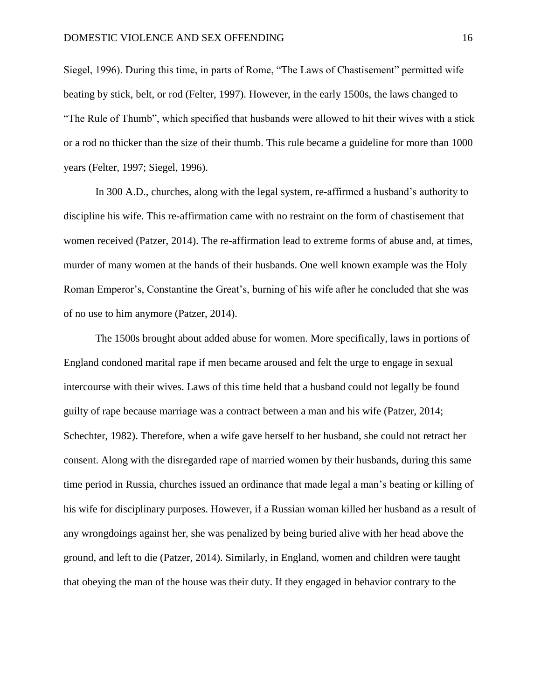Siegel, 1996). During this time, in parts of Rome, "The Laws of Chastisement" permitted wife beating by stick, belt, or rod (Felter, 1997). However, in the early 1500s, the laws changed to "The Rule of Thumb", which specified that husbands were allowed to hit their wives with a stick or a rod no thicker than the size of their thumb. This rule became a guideline for more than 1000 years (Felter, 1997; Siegel, 1996).

In 300 A.D., churches, along with the legal system, re-affirmed a husband's authority to discipline his wife. This re-affirmation came with no restraint on the form of chastisement that women received (Patzer, 2014). The re-affirmation lead to extreme forms of abuse and, at times, murder of many women at the hands of their husbands. One well known example was the Holy Roman Emperor's, Constantine the Great's, burning of his wife after he concluded that she was of no use to him anymore (Patzer, 2014).

The 1500s brought about added abuse for women. More specifically, laws in portions of England condoned marital rape if men became aroused and felt the urge to engage in sexual intercourse with their wives. Laws of this time held that a husband could not legally be found guilty of rape because marriage was a contract between a man and his wife (Patzer, 2014; Schechter, 1982). Therefore, when a wife gave herself to her husband, she could not retract her consent. Along with the disregarded rape of married women by their husbands, during this same time period in Russia, churches issued an ordinance that made legal a man's beating or killing of his wife for disciplinary purposes. However, if a Russian woman killed her husband as a result of any wrongdoings against her, she was penalized by being buried alive with her head above the ground, and left to die (Patzer, 2014). Similarly, in England, women and children were taught that obeying the man of the house was their duty. If they engaged in behavior contrary to the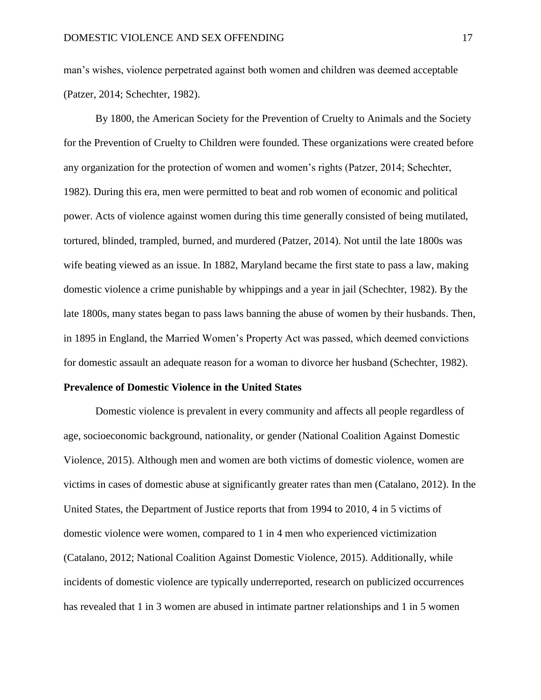man's wishes, violence perpetrated against both women and children was deemed acceptable (Patzer, 2014; Schechter, 1982).

By 1800, the American Society for the Prevention of Cruelty to Animals and the Society for the Prevention of Cruelty to Children were founded. These organizations were created before any organization for the protection of women and women's rights (Patzer, 2014; Schechter, 1982). During this era, men were permitted to beat and rob women of economic and political power. Acts of violence against women during this time generally consisted of being mutilated, tortured, blinded, trampled, burned, and murdered (Patzer, 2014). Not until the late 1800s was wife beating viewed as an issue. In 1882, Maryland became the first state to pass a law, making domestic violence a crime punishable by whippings and a year in jail (Schechter, 1982). By the late 1800s, many states began to pass laws banning the abuse of women by their husbands. Then, in 1895 in England, the Married Women's Property Act was passed, which deemed convictions for domestic assault an adequate reason for a woman to divorce her husband (Schechter, 1982).

#### **Prevalence of Domestic Violence in the United States**

Domestic violence is prevalent in every community and affects all people regardless of age, socioeconomic background, nationality, or gender (National Coalition Against Domestic Violence, 2015). Although men and women are both victims of domestic violence, women are victims in cases of domestic abuse at significantly greater rates than men (Catalano, 2012). In the United States, the Department of Justice reports that from 1994 to 2010, 4 in 5 victims of domestic violence were women, compared to 1 in 4 men who experienced victimization (Catalano, 2012; National Coalition Against Domestic Violence, 2015). Additionally, while incidents of domestic violence are typically underreported, research on publicized occurrences has revealed that 1 in 3 women are abused in intimate partner relationships and 1 in 5 women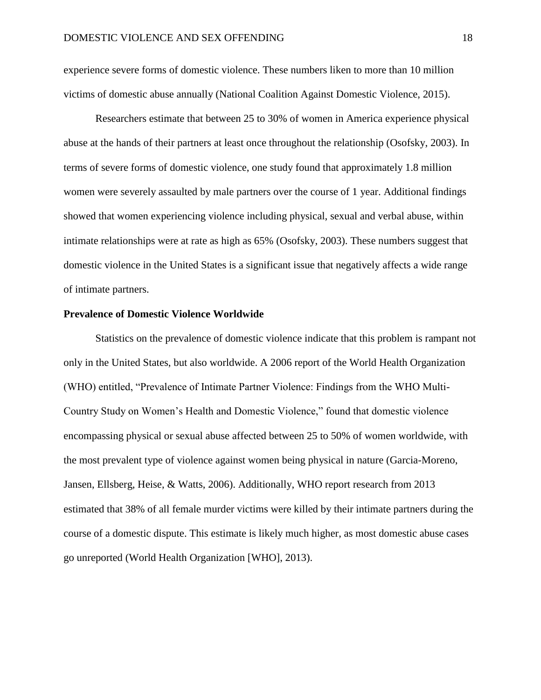experience severe forms of domestic violence. These numbers liken to more than 10 million victims of domestic abuse annually (National Coalition Against Domestic Violence, 2015).

Researchers estimate that between 25 to 30% of women in America experience physical abuse at the hands of their partners at least once throughout the relationship (Osofsky, 2003). In terms of severe forms of domestic violence, one study found that approximately 1.8 million women were severely assaulted by male partners over the course of 1 year. Additional findings showed that women experiencing violence including physical, sexual and verbal abuse, within intimate relationships were at rate as high as 65% (Osofsky, 2003). These numbers suggest that domestic violence in the United States is a significant issue that negatively affects a wide range of intimate partners.

#### **Prevalence of Domestic Violence Worldwide**

Statistics on the prevalence of domestic violence indicate that this problem is rampant not only in the United States, but also worldwide. A 2006 report of the World Health Organization (WHO) entitled, "Prevalence of Intimate Partner Violence: Findings from the WHO Multi-Country Study on Women's Health and Domestic Violence," found that domestic violence encompassing physical or sexual abuse affected between 25 to 50% of women worldwide, with the most prevalent type of violence against women being physical in nature (Garcia-Moreno, Jansen, Ellsberg, Heise, & Watts, 2006). Additionally, WHO report research from 2013 estimated that 38% of all female murder victims were killed by their intimate partners during the course of a domestic dispute. This estimate is likely much higher, as most domestic abuse cases go unreported (World Health Organization [WHO], 2013).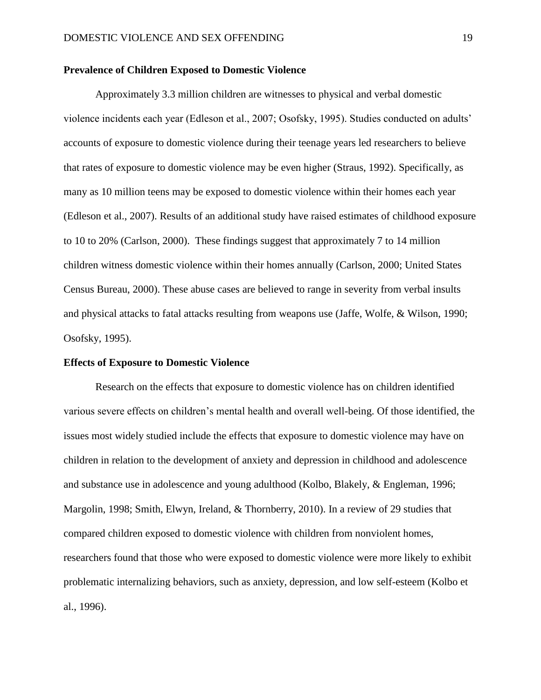#### **Prevalence of Children Exposed to Domestic Violence**

Approximately 3.3 million children are witnesses to physical and verbal domestic violence incidents each year (Edleson et al., 2007; Osofsky, 1995). Studies conducted on adults' accounts of exposure to domestic violence during their teenage years led researchers to believe that rates of exposure to domestic violence may be even higher (Straus, 1992). Specifically, as many as 10 million teens may be exposed to domestic violence within their homes each year (Edleson et al., 2007). Results of an additional study have raised estimates of childhood exposure to 10 to 20% (Carlson, 2000). These findings suggest that approximately 7 to 14 million children witness domestic violence within their homes annually (Carlson, 2000; United States Census Bureau, 2000). These abuse cases are believed to range in severity from verbal insults and physical attacks to fatal attacks resulting from weapons use (Jaffe, Wolfe, & Wilson, 1990; Osofsky, 1995).

#### **Effects of Exposure to Domestic Violence**

Research on the effects that exposure to domestic violence has on children identified various severe effects on children's mental health and overall well-being. Of those identified, the issues most widely studied include the effects that exposure to domestic violence may have on children in relation to the development of anxiety and depression in childhood and adolescence and substance use in adolescence and young adulthood (Kolbo, Blakely, & Engleman, 1996; Margolin, 1998; Smith, Elwyn, Ireland, & Thornberry, 2010). In a review of 29 studies that compared children exposed to domestic violence with children from nonviolent homes, researchers found that those who were exposed to domestic violence were more likely to exhibit problematic internalizing behaviors, such as anxiety, depression, and low self-esteem (Kolbo et al., 1996).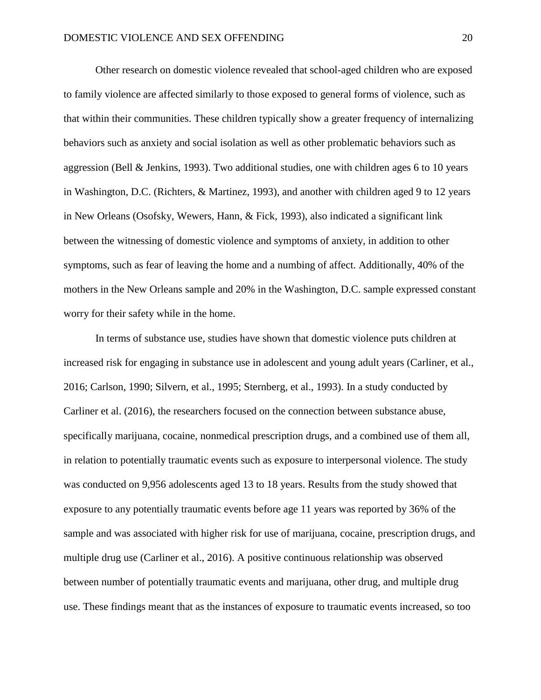Other research on domestic violence revealed that school-aged children who are exposed to family violence are affected similarly to those exposed to general forms of violence, such as that within their communities. These children typically show a greater frequency of internalizing behaviors such as anxiety and social isolation as well as other problematic behaviors such as aggression (Bell & Jenkins, 1993). Two additional studies, one with children ages 6 to 10 years in Washington, D.C. (Richters, & Martinez, 1993), and another with children aged 9 to 12 years in New Orleans (Osofsky, Wewers, Hann, & Fick, 1993), also indicated a significant link between the witnessing of domestic violence and symptoms of anxiety, in addition to other symptoms, such as fear of leaving the home and a numbing of affect. Additionally, 40% of the mothers in the New Orleans sample and 20% in the Washington, D.C. sample expressed constant worry for their safety while in the home.

In terms of substance use, studies have shown that domestic violence puts children at increased risk for engaging in substance use in adolescent and young adult years (Carliner, et al., 2016; Carlson, 1990; Silvern, et al., 1995; Sternberg, et al., 1993). In a study conducted by Carliner et al. (2016), the researchers focused on the connection between substance abuse, specifically marijuana, cocaine, nonmedical prescription drugs, and a combined use of them all, in relation to potentially traumatic events such as exposure to interpersonal violence. The study was conducted on 9,956 adolescents aged 13 to 18 years. Results from the study showed that exposure to any potentially traumatic events before age 11 years was reported by 36% of the sample and was associated with higher risk for use of marijuana, cocaine, prescription drugs, and multiple drug use (Carliner et al., 2016). A positive continuous relationship was observed between number of potentially traumatic events and marijuana, other drug, and multiple drug use. These findings meant that as the instances of exposure to traumatic events increased, so too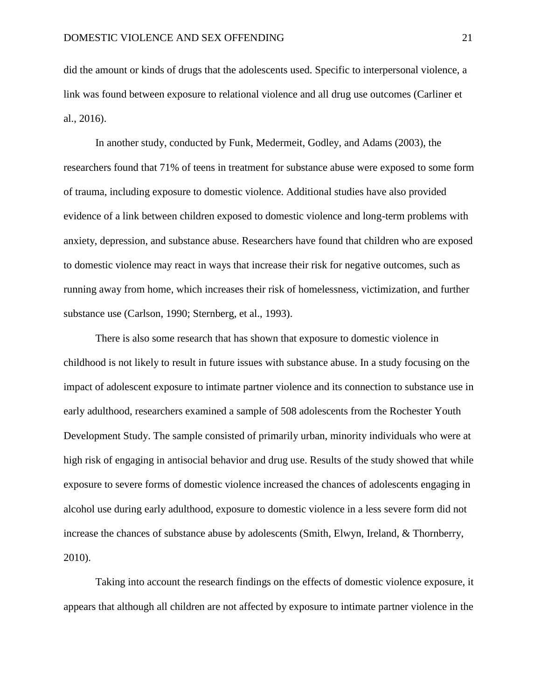did the amount or kinds of drugs that the adolescents used. Specific to interpersonal violence, a link was found between exposure to relational violence and all drug use outcomes (Carliner et al., 2016).

In another study, conducted by Funk, Medermeit, Godley, and Adams (2003), the researchers found that 71% of teens in treatment for substance abuse were exposed to some form of trauma, including exposure to domestic violence. Additional studies have also provided evidence of a link between children exposed to domestic violence and long-term problems with anxiety, depression, and substance abuse. Researchers have found that children who are exposed to domestic violence may react in ways that increase their risk for negative outcomes, such as running away from home, which increases their risk of homelessness, victimization, and further substance use (Carlson, 1990; Sternberg, et al., 1993).

There is also some research that has shown that exposure to domestic violence in childhood is not likely to result in future issues with substance abuse. In a study focusing on the impact of adolescent exposure to intimate partner violence and its connection to substance use in early adulthood, researchers examined a sample of 508 adolescents from the Rochester Youth Development Study. The sample consisted of primarily urban, minority individuals who were at high risk of engaging in antisocial behavior and drug use. Results of the study showed that while exposure to severe forms of domestic violence increased the chances of adolescents engaging in alcohol use during early adulthood, exposure to domestic violence in a less severe form did not increase the chances of substance abuse by adolescents (Smith, Elwyn, Ireland, & Thornberry, 2010).

Taking into account the research findings on the effects of domestic violence exposure, it appears that although all children are not affected by exposure to intimate partner violence in the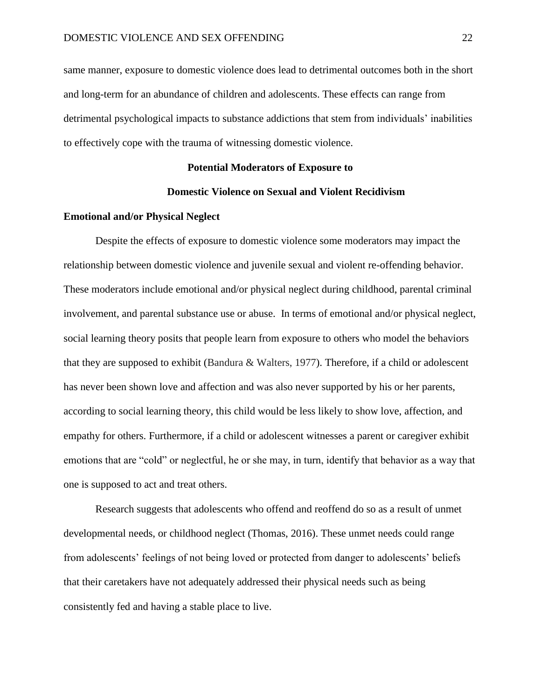same manner, exposure to domestic violence does lead to detrimental outcomes both in the short and long-term for an abundance of children and adolescents. These effects can range from detrimental psychological impacts to substance addictions that stem from individuals' inabilities to effectively cope with the trauma of witnessing domestic violence.

#### **Potential Moderators of Exposure to**

#### **Domestic Violence on Sexual and Violent Recidivism**

#### **Emotional and/or Physical Neglect**

Despite the effects of exposure to domestic violence some moderators may impact the relationship between domestic violence and juvenile sexual and violent re-offending behavior. These moderators include emotional and/or physical neglect during childhood, parental criminal involvement, and parental substance use or abuse. In terms of emotional and/or physical neglect, social learning theory posits that people learn from exposure to others who model the behaviors that they are supposed to exhibit (Bandura & Walters, 1977). Therefore, if a child or adolescent has never been shown love and affection and was also never supported by his or her parents, according to social learning theory, this child would be less likely to show love, affection, and empathy for others. Furthermore, if a child or adolescent witnesses a parent or caregiver exhibit emotions that are "cold" or neglectful, he or she may, in turn, identify that behavior as a way that one is supposed to act and treat others.

Research suggests that adolescents who offend and reoffend do so as a result of unmet developmental needs, or childhood neglect (Thomas, 2016). These unmet needs could range from adolescents' feelings of not being loved or protected from danger to adolescents' beliefs that their caretakers have not adequately addressed their physical needs such as being consistently fed and having a stable place to live.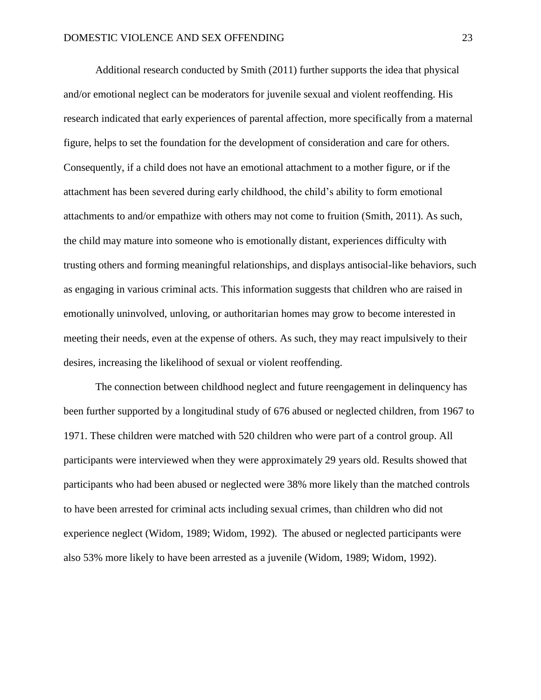Additional research conducted by Smith (2011) further supports the idea that physical and/or emotional neglect can be moderators for juvenile sexual and violent reoffending. His research indicated that early experiences of parental affection, more specifically from a maternal figure, helps to set the foundation for the development of consideration and care for others. Consequently, if a child does not have an emotional attachment to a mother figure, or if the attachment has been severed during early childhood, the child's ability to form emotional attachments to and/or empathize with others may not come to fruition (Smith, 2011). As such, the child may mature into someone who is emotionally distant, experiences difficulty with trusting others and forming meaningful relationships, and displays antisocial-like behaviors, such as engaging in various criminal acts. This information suggests that children who are raised in emotionally uninvolved, unloving, or authoritarian homes may grow to become interested in meeting their needs, even at the expense of others. As such, they may react impulsively to their desires, increasing the likelihood of sexual or violent reoffending.

The connection between childhood neglect and future reengagement in delinquency has been further supported by a longitudinal study of 676 abused or neglected children, from 1967 to 1971. These children were matched with 520 children who were part of a control group. All participants were interviewed when they were approximately 29 years old. Results showed that participants who had been abused or neglected were 38% more likely than the matched controls to have been arrested for criminal acts including sexual crimes, than children who did not experience neglect (Widom, 1989; Widom, 1992). The abused or neglected participants were also 53% more likely to have been arrested as a juvenile (Widom, 1989; Widom, 1992).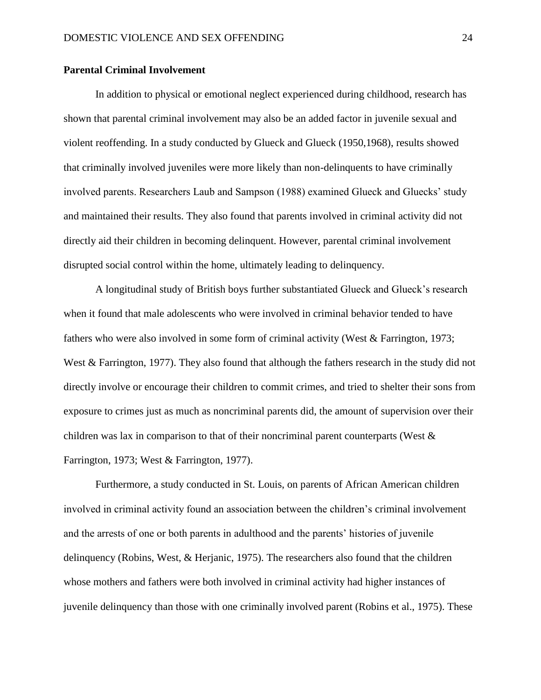#### **Parental Criminal Involvement**

In addition to physical or emotional neglect experienced during childhood, research has shown that parental criminal involvement may also be an added factor in juvenile sexual and violent reoffending. In a study conducted by Glueck and Glueck (1950,1968), results showed that criminally involved juveniles were more likely than non-delinquents to have criminally involved parents. Researchers Laub and Sampson (1988) examined Glueck and Gluecks' study and maintained their results. They also found that parents involved in criminal activity did not directly aid their children in becoming delinquent. However, parental criminal involvement disrupted social control within the home, ultimately leading to delinquency.

A longitudinal study of British boys further substantiated Glueck and Glueck's research when it found that male adolescents who were involved in criminal behavior tended to have fathers who were also involved in some form of criminal activity (West & Farrington, 1973; West & Farrington, 1977). They also found that although the fathers research in the study did not directly involve or encourage their children to commit crimes, and tried to shelter their sons from exposure to crimes just as much as noncriminal parents did, the amount of supervision over their children was lax in comparison to that of their noncriminal parent counterparts (West & Farrington, 1973; West & Farrington, 1977).

Furthermore, a study conducted in St. Louis, on parents of African American children involved in criminal activity found an association between the children's criminal involvement and the arrests of one or both parents in adulthood and the parents' histories of juvenile delinquency (Robins, West, & Herjanic, 1975). The researchers also found that the children whose mothers and fathers were both involved in criminal activity had higher instances of juvenile delinquency than those with one criminally involved parent (Robins et al., 1975). These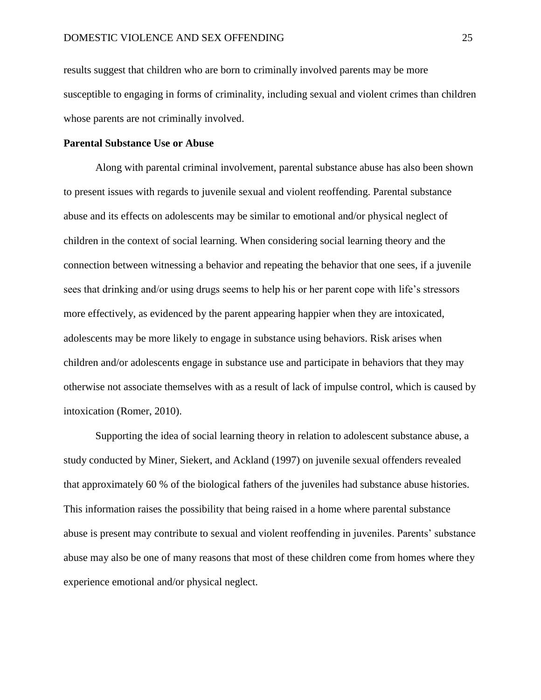results suggest that children who are born to criminally involved parents may be more susceptible to engaging in forms of criminality, including sexual and violent crimes than children whose parents are not criminally involved.

#### **Parental Substance Use or Abuse**

Along with parental criminal involvement, parental substance abuse has also been shown to present issues with regards to juvenile sexual and violent reoffending. Parental substance abuse and its effects on adolescents may be similar to emotional and/or physical neglect of children in the context of social learning. When considering social learning theory and the connection between witnessing a behavior and repeating the behavior that one sees, if a juvenile sees that drinking and/or using drugs seems to help his or her parent cope with life's stressors more effectively, as evidenced by the parent appearing happier when they are intoxicated, adolescents may be more likely to engage in substance using behaviors. Risk arises when children and/or adolescents engage in substance use and participate in behaviors that they may otherwise not associate themselves with as a result of lack of impulse control, which is caused by intoxication (Romer, 2010).

Supporting the idea of social learning theory in relation to adolescent substance abuse, a study conducted by Miner, Siekert, and Ackland (1997) on juvenile sexual offenders revealed that approximately 60 % of the biological fathers of the juveniles had substance abuse histories. This information raises the possibility that being raised in a home where parental substance abuse is present may contribute to sexual and violent reoffending in juveniles. Parents' substance abuse may also be one of many reasons that most of these children come from homes where they experience emotional and/or physical neglect.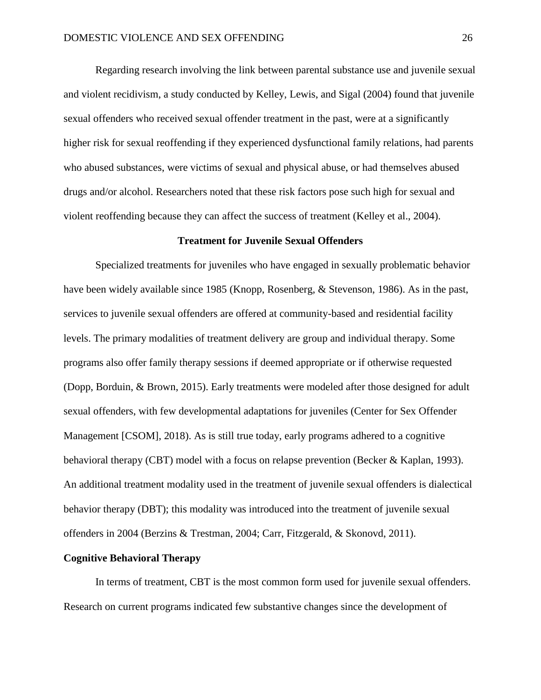Regarding research involving the link between parental substance use and juvenile sexual and violent recidivism, a study conducted by Kelley, Lewis, and Sigal (2004) found that juvenile sexual offenders who received sexual offender treatment in the past, were at a significantly higher risk for sexual reoffending if they experienced dysfunctional family relations, had parents who abused substances, were victims of sexual and physical abuse, or had themselves abused drugs and/or alcohol. Researchers noted that these risk factors pose such high for sexual and violent reoffending because they can affect the success of treatment (Kelley et al., 2004).

#### **Treatment for Juvenile Sexual Offenders**

Specialized treatments for juveniles who have engaged in sexually problematic behavior have been widely available since 1985 (Knopp, [Rosenberg, & Stevenson,](https://www.ncbi.nlm.nih.gov/pmc/articles/PMC2922753/#R49) 1986). As in the past, services to juvenile sexual offenders are offered at community-based and residential facility levels. The primary modalities of treatment delivery are group and individual therapy. Some programs also offer family therapy sessions if deemed appropriate or if otherwise requested (Dopp, Borduin, & Brown, 2015). Early treatments were modeled after those designed for adult sexual offenders, with few developmental adaptations for juveniles [\(Center](https://www.ncbi.nlm.nih.gov/pmc/articles/PMC2922753/#R19) for Sex Offender Management [CSOM], 2018). As is still true today, early programs adhered to a cognitive behavioral therapy (CBT) model with a focus on relapse prevention [\(Becker & Kaplan, 1993\)](https://www.ncbi.nlm.nih.gov/pmc/articles/PMC2922753/#R10). An additional treatment modality used in the treatment of juvenile sexual offenders is dialectical behavior therapy (DBT); this modality was introduced into the treatment of juvenile sexual offenders in 2004 (Berzins & Trestman, 2004; Carr, Fitzgerald, & Skonovd, 2011).

#### **Cognitive Behavioral Therapy**

In terms of treatment, CBT is the most common form used for juvenile sexual offenders. Research on current programs indicated few substantive changes since the development of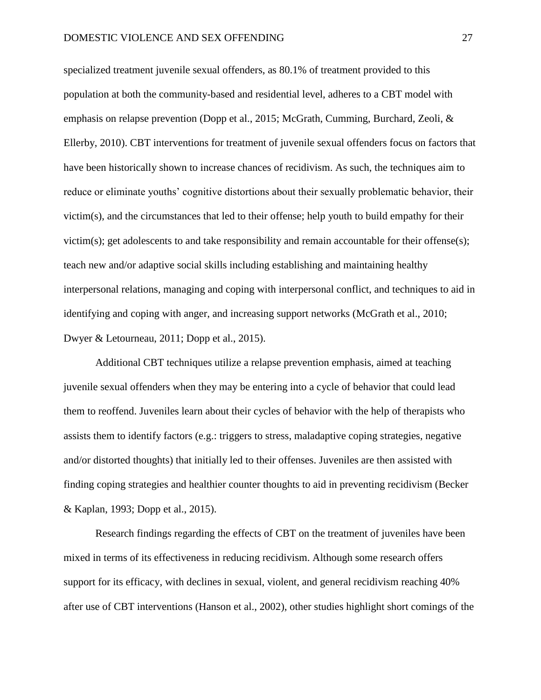specialized treatment juvenile sexual offenders, as 80.1% of treatment provided to this population at both the community-based and residential level, adheres to a CBT model with emphasis on relapse prevention (Dopp et al., 2015; McGrath, Cumming, Burchard, Zeoli, & Ellerby, 2010). CBT interventions for treatment of juvenile sexual offenders focus on factors that have been historically shown to increase chances of recidivism. As such, the techniques aim to reduce or eliminate youths' cognitive distortions about their sexually problematic behavior, their victim(s), and the circumstances that led to their offense; help youth to build empathy for their victim(s); get adolescents to and take responsibility and remain accountable for their offense(s); teach new and/or adaptive social skills including establishing and maintaining healthy interpersonal relations, managing and coping with interpersonal conflict, and techniques to aid in identifying and coping with anger, and increasing support networks (McGrath et al., 2010; Dwyer & Letourneau, 2011; Dopp et al., 2015).

Additional CBT techniques utilize a relapse prevention emphasis, aimed at teaching juvenile sexual offenders when they may be entering into a cycle of behavior that could lead them to reoffend. Juveniles learn about their cycles of behavior with the help of therapists who assists them to identify factors (e.g.: triggers to stress, maladaptive coping strategies, negative and/or distorted thoughts) that initially led to their offenses. Juveniles are then assisted with finding coping strategies and healthier counter thoughts to aid in preventing recidivism (Becker & Kaplan, 1993; Dopp et al., 2015).

Research findings regarding the effects of CBT on the treatment of juveniles have been mixed in terms of its effectiveness in reducing recidivism. Although some research offers support for its efficacy, with declines in sexual, violent, and general recidivism reaching 40% after use of CBT interventions (Hanson et al., 2002), other studies highlight short comings of the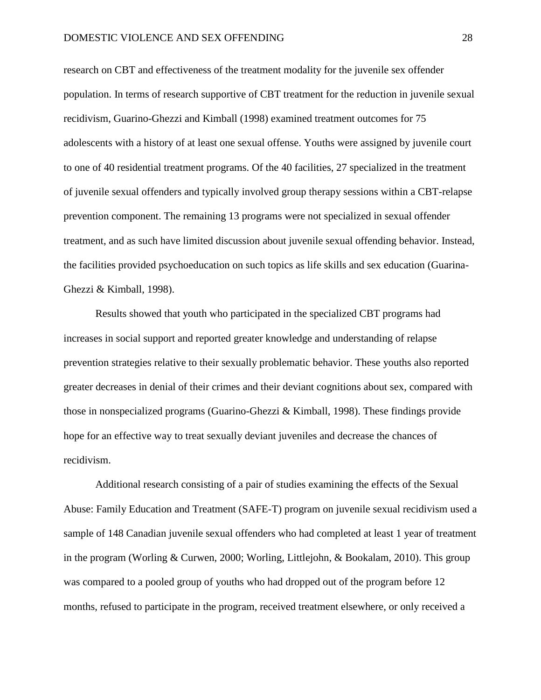research on CBT and effectiveness of the treatment modality for the juvenile sex offender population. In terms of research supportive of CBT treatment for the reduction in juvenile sexual recidivism, Guarino-Ghezzi and Kimball (1998) examined treatment outcomes for 75 adolescents with a history of at least one sexual offense. Youths were assigned by juvenile court to one of 40 residential treatment programs. Of the 40 facilities, 27 specialized in the treatment of juvenile sexual offenders and typically involved group therapy sessions within a CBT-relapse prevention component. The remaining 13 programs were not specialized in sexual offender treatment, and as such have limited discussion about juvenile sexual offending behavior. Instead, the facilities provided psychoeducation on such topics as life skills and sex education (Guarina-Ghezzi & Kimball, 1998).

Results showed that youth who participated in the specialized CBT programs had increases in social support and reported greater knowledge and understanding of relapse prevention strategies relative to their sexually problematic behavior. These youths also reported greater decreases in denial of their crimes and their deviant cognitions about sex, compared with those in nonspecialized programs (Guarino-Ghezzi & Kimball, 1998). These findings provide hope for an effective way to treat sexually deviant juveniles and decrease the chances of recidivism.

Additional research consisting of a pair of studies examining the effects of the Sexual Abuse: Family Education and Treatment (SAFE-T) program on juvenile sexual recidivism used a sample of 148 Canadian juvenile sexual offenders who had completed at least 1 year of treatment in the program (Worling & Curwen, 2000; Worling, Littlejohn, & Bookalam, 2010). This group was compared to a pooled group of youths who had dropped out of the program before 12 months, refused to participate in the program, received treatment elsewhere, or only received a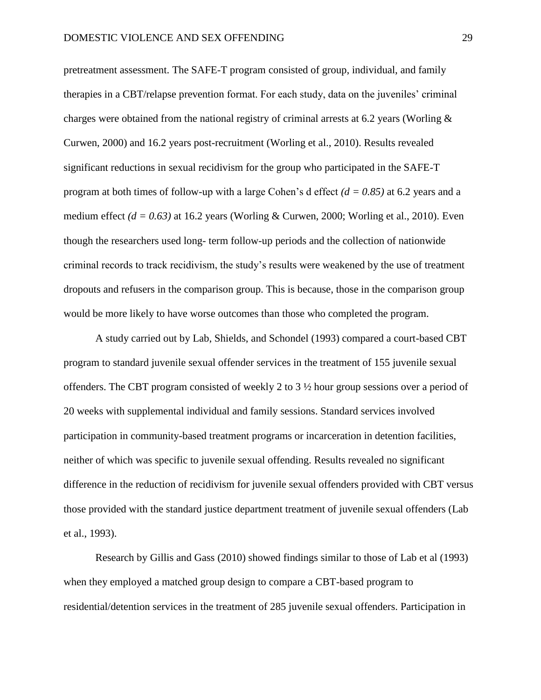pretreatment assessment. The SAFE-T program consisted of group, individual, and family therapies in a CBT/relapse prevention format. For each study, data on the juveniles' criminal charges were obtained from the national registry of criminal arrests at 6.2 years (Worling  $\&$ Curwen, 2000) and 16.2 years post-recruitment (Worling et al., 2010). Results revealed significant reductions in sexual recidivism for the group who participated in the SAFE-T program at both times of follow-up with a large Cohen's d effect *(d = 0.85)* at 6.2 years and a medium effect  $(d = 0.63)$  at 16.2 years (Worling & Curwen, 2000; Worling et al., 2010). Even though the researchers used long- term follow-up periods and the collection of nationwide criminal records to track recidivism, the study's results were weakened by the use of treatment dropouts and refusers in the comparison group. This is because, those in the comparison group would be more likely to have worse outcomes than those who completed the program.

A study carried out by Lab, Shields, and Schondel (1993) compared a court-based CBT program to standard juvenile sexual offender services in the treatment of 155 juvenile sexual offenders. The CBT program consisted of weekly 2 to 3  $\frac{1}{2}$  hour group sessions over a period of 20 weeks with supplemental individual and family sessions. Standard services involved participation in community-based treatment programs or incarceration in detention facilities, neither of which was specific to juvenile sexual offending. Results revealed no significant difference in the reduction of recidivism for juvenile sexual offenders provided with CBT versus those provided with the standard justice department treatment of juvenile sexual offenders (Lab et al., 1993).

Research by Gillis and Gass (2010) showed findings similar to those of Lab et al (1993) when they employed a matched group design to compare a CBT-based program to residential/detention services in the treatment of 285 juvenile sexual offenders. Participation in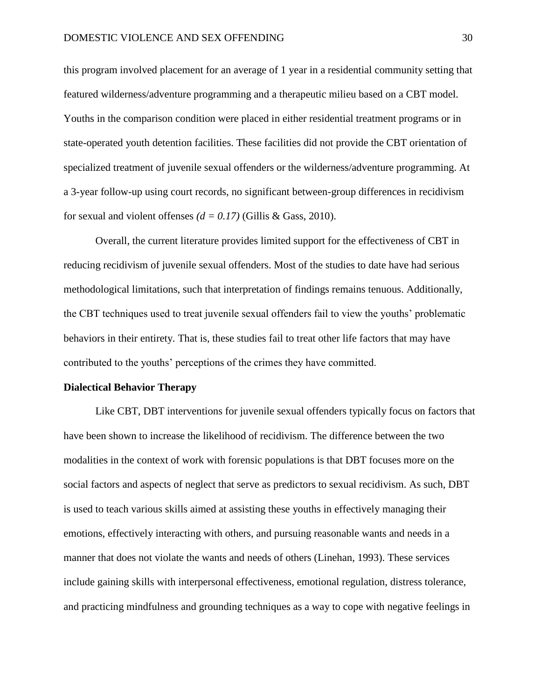this program involved placement for an average of 1 year in a residential community setting that featured wilderness/adventure programming and a therapeutic milieu based on a CBT model. Youths in the comparison condition were placed in either residential treatment programs or in state-operated youth detention facilities. These facilities did not provide the CBT orientation of specialized treatment of juvenile sexual offenders or the wilderness/adventure programming. At a 3-year follow-up using court records, no significant between-group differences in recidivism for sexual and violent offenses  $(d = 0.17)$  (Gillis & Gass, 2010).

Overall, the current literature provides limited support for the effectiveness of CBT in reducing recidivism of juvenile sexual offenders. Most of the studies to date have had serious methodological limitations, such that interpretation of findings remains tenuous. Additionally, the CBT techniques used to treat juvenile sexual offenders fail to view the youths' problematic behaviors in their entirety. That is, these studies fail to treat other life factors that may have contributed to the youths' perceptions of the crimes they have committed.

### **Dialectical Behavior Therapy**

Like CBT, DBT interventions for juvenile sexual offenders typically focus on factors that have been shown to increase the likelihood of recidivism. The difference between the two modalities in the context of work with forensic populations is that DBT focuses more on the social factors and aspects of neglect that serve as predictors to sexual recidivism. As such, DBT is used to teach various skills aimed at assisting these youths in effectively managing their emotions, effectively interacting with others, and pursuing reasonable wants and needs in a manner that does not violate the wants and needs of others (Linehan, 1993). These services include gaining skills with interpersonal effectiveness, emotional regulation, distress tolerance, and practicing mindfulness and grounding techniques as a way to cope with negative feelings in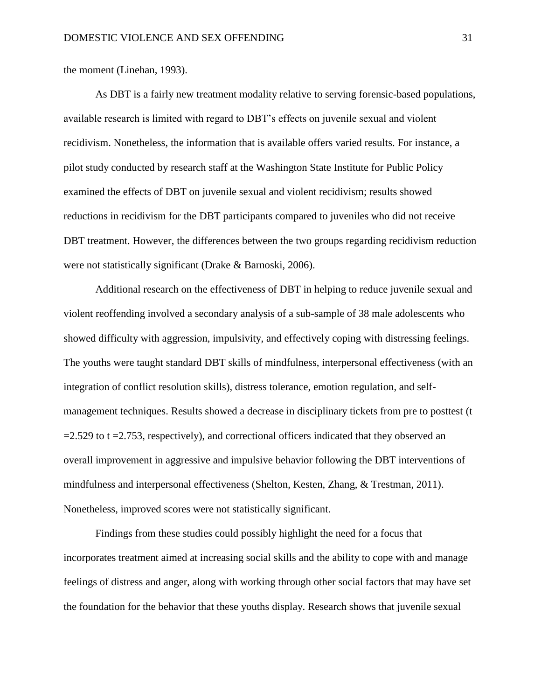the moment (Linehan, 1993).

As DBT is a fairly new treatment modality relative to serving forensic-based populations, available research is limited with regard to DBT's effects on juvenile sexual and violent recidivism. Nonetheless, the information that is available offers varied results. For instance, a pilot study conducted by research staff at the Washington State Institute for Public Policy examined the effects of DBT on juvenile sexual and violent recidivism; results showed reductions in recidivism for the DBT participants compared to juveniles who did not receive DBT treatment. However, the differences between the two groups regarding recidivism reduction were not statistically significant (Drake & Barnoski, 2006).

Additional research on the effectiveness of DBT in helping to reduce juvenile sexual and violent reoffending involved a secondary analysis of a sub-sample of 38 male adolescents who showed difficulty with aggression, impulsivity, and effectively coping with distressing feelings. The youths were taught standard DBT skills of mindfulness, interpersonal effectiveness (with an integration of conflict resolution skills), distress tolerance, emotion regulation, and selfmanagement techniques. Results showed a decrease in disciplinary tickets from pre to posttest (t  $=$  2.529 to t  $=$  2.753, respectively), and correctional officers indicated that they observed an overall improvement in aggressive and impulsive behavior following the DBT interventions of mindfulness and interpersonal effectiveness (Shelton, Kesten, Zhang, & Trestman, 2011). Nonetheless, improved scores were not statistically significant.

Findings from these studies could possibly highlight the need for a focus that incorporates treatment aimed at increasing social skills and the ability to cope with and manage feelings of distress and anger, along with working through other social factors that may have set the foundation for the behavior that these youths display. Research shows that juvenile sexual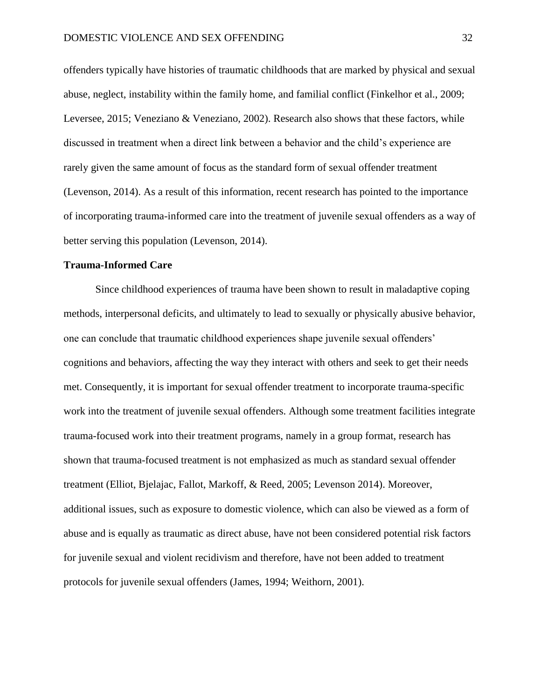offenders typically have histories of traumatic childhoods that are marked by physical and sexual abuse, neglect, instability within the family home, and familial conflict (Finkelhor et al., 2009; Leversee, 2015; Veneziano & Veneziano, 2002). Research also shows that these factors, while discussed in treatment when a direct link between a behavior and the child's experience are rarely given the same amount of focus as the standard form of sexual offender treatment (Levenson, 2014). As a result of this information, recent research has pointed to the importance of incorporating trauma-informed care into the treatment of juvenile sexual offenders as a way of better serving this population (Levenson, 2014).

## **Trauma-Informed Care**

Since childhood experiences of trauma have been shown to result in maladaptive coping methods, interpersonal deficits, and ultimately to lead to sexually or physically abusive behavior, one can conclude that traumatic childhood experiences shape juvenile sexual offenders' cognitions and behaviors, affecting the way they interact with others and seek to get their needs met. Consequently, it is important for sexual offender treatment to incorporate trauma-specific work into the treatment of juvenile sexual offenders. Although some treatment facilities integrate trauma-focused work into their treatment programs, namely in a group format, research has shown that trauma-focused treatment is not emphasized as much as standard sexual offender treatment (Elliot, Bjelajac, Fallot, Markoff, & Reed, 2005; Levenson 2014). Moreover, additional issues, such as exposure to domestic violence, which can also be viewed as a form of abuse and is equally as traumatic as direct abuse, have not been considered potential risk factors for juvenile sexual and violent recidivism and therefore, have not been added to treatment protocols for juvenile sexual offenders (James, 1994; Weithorn, 2001).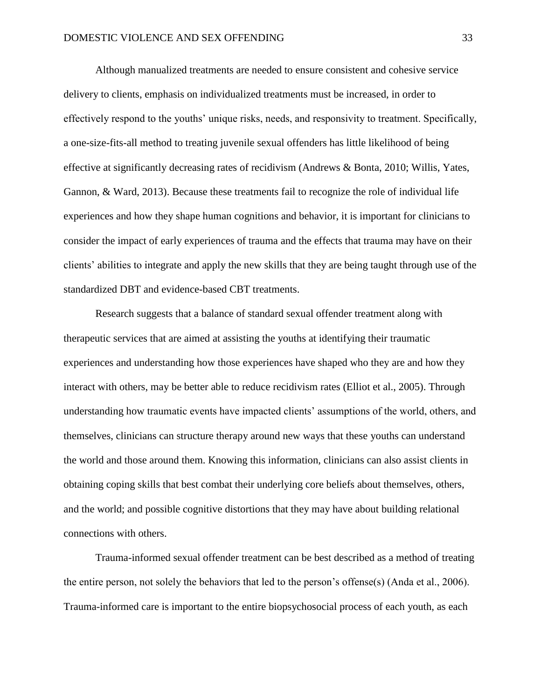Although manualized treatments are needed to ensure consistent and cohesive service delivery to clients, emphasis on individualized treatments must be increased, in order to effectively respond to the youths' unique risks, needs, and responsivity to treatment. Specifically, a one-size-fits-all method to treating juvenile sexual offenders has little likelihood of being effective at significantly decreasing rates of recidivism (Andrews & Bonta, 2010; Willis, Yates, Gannon, & Ward, 2013). Because these treatments fail to recognize the role of individual life experiences and how they shape human cognitions and behavior, it is important for clinicians to consider the impact of early experiences of trauma and the effects that trauma may have on their clients' abilities to integrate and apply the new skills that they are being taught through use of the standardized DBT and evidence-based CBT treatments.

Research suggests that a balance of standard sexual offender treatment along with therapeutic services that are aimed at assisting the youths at identifying their traumatic experiences and understanding how those experiences have shaped who they are and how they interact with others, may be better able to reduce recidivism rates (Elliot et al., 2005). Through understanding how traumatic events have impacted clients' assumptions of the world, others, and themselves, clinicians can structure therapy around new ways that these youths can understand the world and those around them. Knowing this information, clinicians can also assist clients in obtaining coping skills that best combat their underlying core beliefs about themselves, others, and the world; and possible cognitive distortions that they may have about building relational connections with others.

Trauma-informed sexual offender treatment can be best described as a method of treating the entire person, not solely the behaviors that led to the person's offense(s) (Anda et al., 2006). Trauma-informed care is important to the entire biopsychosocial process of each youth, as each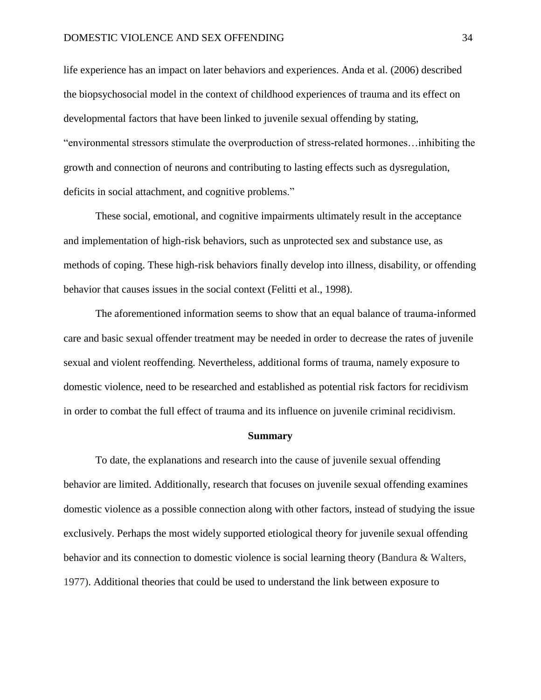life experience has an impact on later behaviors and experiences. Anda et al. (2006) described the biopsychosocial model in the context of childhood experiences of trauma and its effect on developmental factors that have been linked to juvenile sexual offending by stating, "environmental stressors stimulate the overproduction of stress-related hormones…inhibiting the growth and connection of neurons and contributing to lasting effects such as dysregulation, deficits in social attachment, and cognitive problems."

These social, emotional, and cognitive impairments ultimately result in the acceptance and implementation of high-risk behaviors, such as unprotected sex and substance use, as methods of coping. These high-risk behaviors finally develop into illness, disability, or offending behavior that causes issues in the social context (Felitti et al., 1998).

The aforementioned information seems to show that an equal balance of trauma-informed care and basic sexual offender treatment may be needed in order to decrease the rates of juvenile sexual and violent reoffending. Nevertheless, additional forms of trauma, namely exposure to domestic violence, need to be researched and established as potential risk factors for recidivism in order to combat the full effect of trauma and its influence on juvenile criminal recidivism.

#### **Summary**

To date, the explanations and research into the cause of juvenile sexual offending behavior are limited. Additionally, research that focuses on juvenile sexual offending examines domestic violence as a possible connection along with other factors, instead of studying the issue exclusively. Perhaps the most widely supported etiological theory for juvenile sexual offending behavior and its connection to domestic violence is social learning theory (Bandura & Walters, 1977). Additional theories that could be used to understand the link between exposure to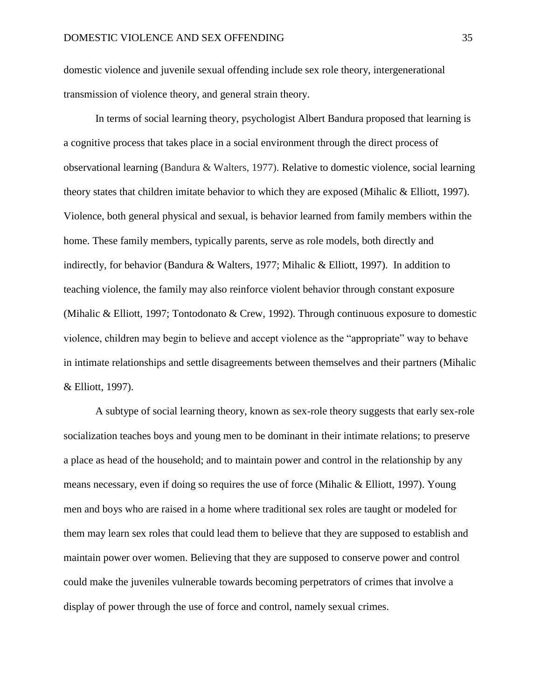domestic violence and juvenile sexual offending include sex role theory, intergenerational transmission of violence theory, and general strain theory.

In terms of social learning theory, psychologist Albert Bandura proposed that learning is a cognitive process that takes place in a social environment through the direct process of observational learning (Bandura & Walters, 1977). Relative to domestic violence, social learning theory states that children imitate behavior to which they are exposed (Mihalic & Elliott, 1997). Violence, both general physical and sexual, is behavior learned from family members within the home. These family members, typically parents, serve as role models, both directly and indirectly, for behavior (Bandura & Walters, 1977; Mihalic & Elliott, 1997). In addition to teaching violence, the family may also reinforce violent behavior through constant exposure (Mihalic & Elliott, 1997; Tontodonato & Crew, 1992). Through continuous exposure to domestic violence, children may begin to believe and accept violence as the "appropriate" way to behave in intimate relationships and settle disagreements between themselves and their partners (Mihalic & Elliott, 1997).

A subtype of social learning theory, known as sex-role theory suggests that early sex-role socialization teaches boys and young men to be dominant in their intimate relations; to preserve a place as head of the household; and to maintain power and control in the relationship by any means necessary, even if doing so requires the use of force (Mihalic & Elliott, 1997). Young men and boys who are raised in a home where traditional sex roles are taught or modeled for them may learn sex roles that could lead them to believe that they are supposed to establish and maintain power over women. Believing that they are supposed to conserve power and control could make the juveniles vulnerable towards becoming perpetrators of crimes that involve a display of power through the use of force and control, namely sexual crimes.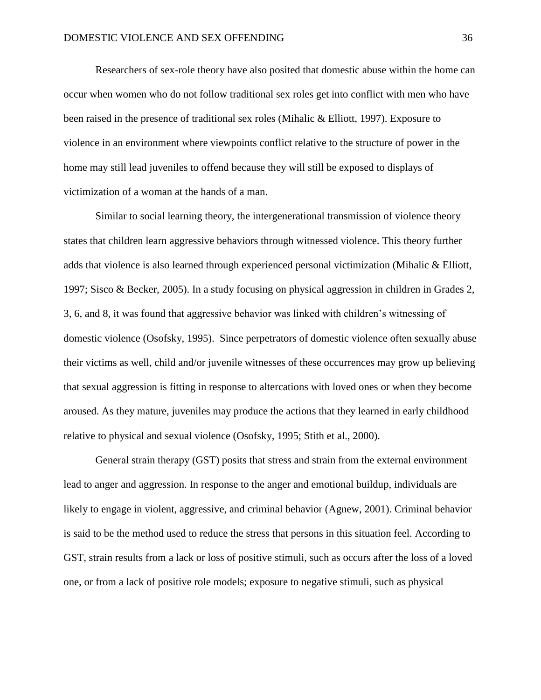Researchers of sex-role theory have also posited that domestic abuse within the home can occur when women who do not follow traditional sex roles get into conflict with men who have been raised in the presence of traditional sex roles (Mihalic & Elliott, 1997). Exposure to violence in an environment where viewpoints conflict relative to the structure of power in the home may still lead juveniles to offend because they will still be exposed to displays of victimization of a woman at the hands of a man.

Similar to social learning theory, the intergenerational transmission of violence theory states that children learn aggressive behaviors through witnessed violence. This theory further adds that violence is also learned through experienced personal victimization (Mihalic & Elliott, 1997; Sisco & Becker, 2005). In a study focusing on physical aggression in children in Grades 2, 3, 6, and 8, it was found that aggressive behavior was linked with children's witnessing of domestic violence (Osofsky, 1995). Since perpetrators of domestic violence often sexually abuse their victims as well, child and/or juvenile witnesses of these occurrences may grow up believing that sexual aggression is fitting in response to altercations with loved ones or when they become aroused. As they mature, juveniles may produce the actions that they learned in early childhood relative to physical and sexual violence (Osofsky, 1995; Stith et al., 2000).

General strain therapy (GST) posits that stress and strain from the external environment lead to anger and aggression. In response to the anger and emotional buildup, individuals are likely to engage in violent, aggressive, and criminal behavior (Agnew, 2001). Criminal behavior is said to be the method used to reduce the stress that persons in this situation feel. According to GST, strain results from a lack or loss of positive stimuli, such as occurs after the loss of a loved one, or from a lack of positive role models; exposure to negative stimuli, such as physical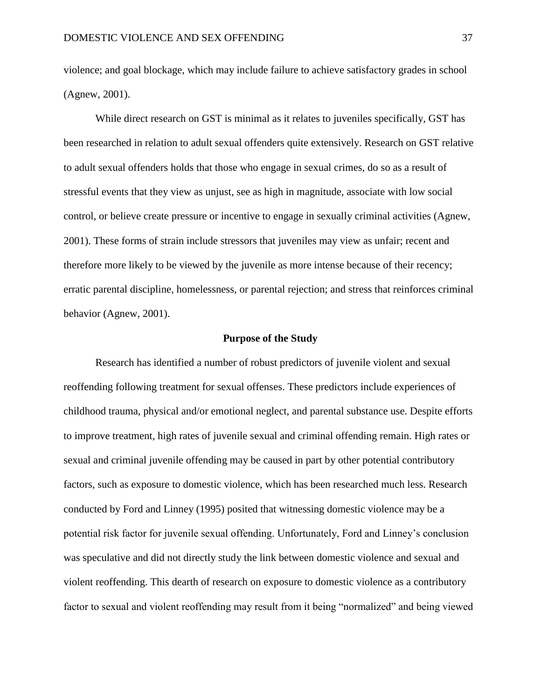violence; and goal blockage, which may include failure to achieve satisfactory grades in school (Agnew, 2001).

While direct research on GST is minimal as it relates to juveniles specifically, GST has been researched in relation to adult sexual offenders quite extensively. Research on GST relative to adult sexual offenders holds that those who engage in sexual crimes, do so as a result of stressful events that they view as unjust, see as high in magnitude, associate with low social control, or believe create pressure or incentive to engage in sexually criminal activities (Agnew, 2001). These forms of strain include stressors that juveniles may view as unfair; recent and therefore more likely to be viewed by the juvenile as more intense because of their recency; erratic parental discipline, homelessness, or parental rejection; and stress that reinforces criminal behavior (Agnew, 2001).

### **Purpose of the Study**

Research has identified a number of robust predictors of juvenile violent and sexual reoffending following treatment for sexual offenses. These predictors include experiences of childhood trauma, physical and/or emotional neglect, and parental substance use. Despite efforts to improve treatment, high rates of juvenile sexual and criminal offending remain. High rates or sexual and criminal juvenile offending may be caused in part by other potential contributory factors, such as exposure to domestic violence, which has been researched much less. Research conducted by Ford and Linney (1995) posited that witnessing domestic violence may be a potential risk factor for juvenile sexual offending. Unfortunately, Ford and Linney's conclusion was speculative and did not directly study the link between domestic violence and sexual and violent reoffending. This dearth of research on exposure to domestic violence as a contributory factor to sexual and violent reoffending may result from it being "normalized" and being viewed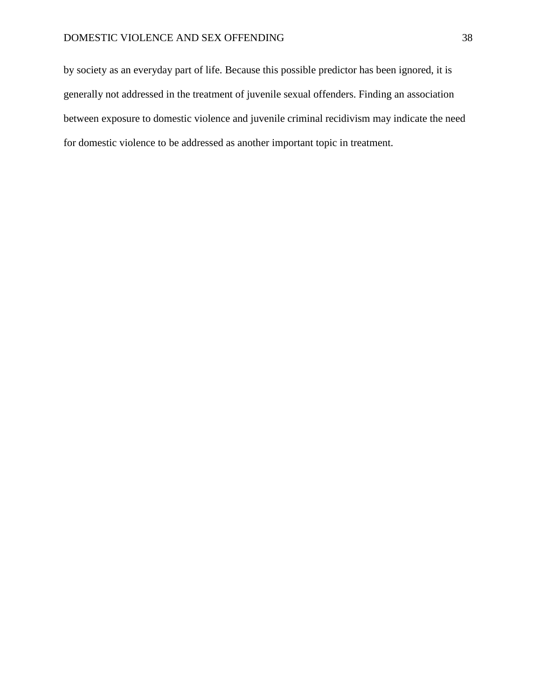by society as an everyday part of life. Because this possible predictor has been ignored, it is generally not addressed in the treatment of juvenile sexual offenders. Finding an association between exposure to domestic violence and juvenile criminal recidivism may indicate the need for domestic violence to be addressed as another important topic in treatment.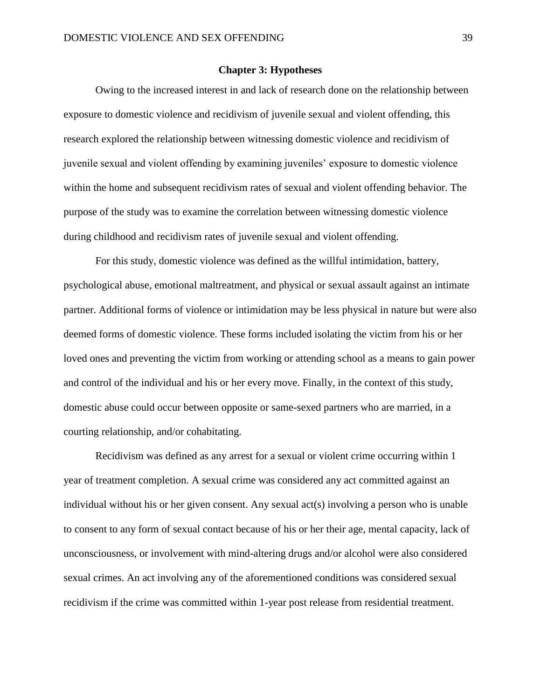### **Chapter 3: Hypotheses**

Owing to the increased interest in and lack of research done on the relationship between exposure to domestic violence and recidivism of juvenile sexual and violent offending, this research explored the relationship between witnessing domestic violence and recidivism of juvenile sexual and violent offending by examining juveniles' exposure to domestic violence within the home and subsequent recidivism rates of sexual and violent offending behavior. The purpose of the study was to examine the correlation between witnessing domestic violence during childhood and recidivism rates of juvenile sexual and violent offending.

For this study, domestic violence was defined as the willful intimidation, battery, psychological abuse, emotional maltreatment, and physical or sexual assault against an intimate partner. Additional forms of violence or intimidation may be less physical in nature but were also deemed forms of domestic violence. These forms included isolating the victim from his or her loved ones and preventing the victim from working or attending school as a means to gain power and control of the individual and his or her every move. Finally, in the context of this study, domestic abuse could occur between opposite or same-sexed partners who are married, in a courting relationship, and/or cohabitating.

Recidivism was defined as any arrest for a sexual or violent crime occurring within 1 year of treatment completion. A sexual crime was considered any act committed against an individual without his or her given consent. Any sexual act(s) involving a person who is unable to consent to any form of sexual contact because of his or her their age, mental capacity, lack of unconsciousness, or involvement with mind-altering drugs and/or alcohol were also considered sexual crimes. An act involving any of the aforementioned conditions was considered sexual recidivism if the crime was committed within 1-year post release from residential treatment.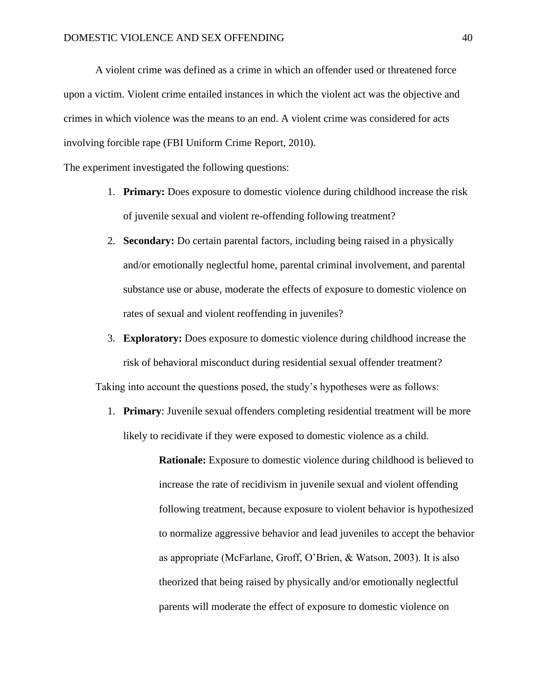A violent crime was defined as a crime in which an offender used or threatened force upon a victim. Violent crime entailed instances in which the violent act was the objective and crimes in which violence was the means to an end. A violent crime was considered for acts involving forcible rape (FBI Uniform Crime Report, 2010).

The experiment investigated the following questions:

- 1. **Primary:** Does exposure to domestic violence during childhood increase the risk of juvenile sexual and violent re-offending following treatment?
- 2. **Secondary:** Do certain parental factors, including being raised in a physically and/or emotionally neglectful home, parental criminal involvement, and parental substance use or abuse, moderate the effects of exposure to domestic violence on rates of sexual and violent reoffending in juveniles?
- 3. **Exploratory:** Does exposure to domestic violence during childhood increase the risk of behavioral misconduct during residential sexual offender treatment?

Taking into account the questions posed, the study's hypotheses were as follows:

1. **Primary**: Juvenile sexual offenders completing residential treatment will be more likely to recidivate if they were exposed to domestic violence as a child.

> **Rationale:** Exposure to domestic violence during childhood is believed to increase the rate of recidivism in juvenile sexual and violent offending following treatment, because exposure to violent behavior is hypothesized to normalize aggressive behavior and lead juveniles to accept the behavior as appropriate (McFarlane, Groff, O'Brien, & Watson, 2003). It is also theorized that being raised by physically and/or emotionally neglectful parents will moderate the effect of exposure to domestic violence on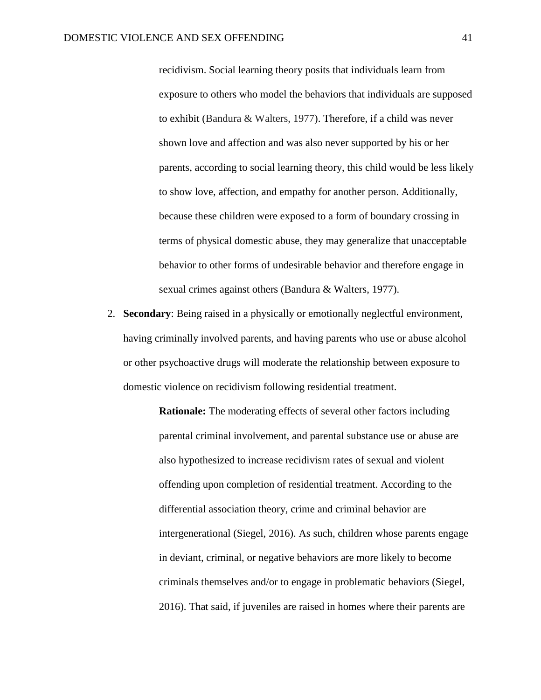recidivism. Social learning theory posits that individuals learn from exposure to others who model the behaviors that individuals are supposed to exhibit (Bandura & Walters, 1977). Therefore, if a child was never shown love and affection and was also never supported by his or her parents, according to social learning theory, this child would be less likely to show love, affection, and empathy for another person. Additionally, because these children were exposed to a form of boundary crossing in terms of physical domestic abuse, they may generalize that unacceptable behavior to other forms of undesirable behavior and therefore engage in sexual crimes against others (Bandura & Walters, 1977).

2. **Secondary**: Being raised in a physically or emotionally neglectful environment, having criminally involved parents, and having parents who use or abuse alcohol or other psychoactive drugs will moderate the relationship between exposure to domestic violence on recidivism following residential treatment.

> **Rationale:** The moderating effects of several other factors including parental criminal involvement, and parental substance use or abuse are also hypothesized to increase recidivism rates of sexual and violent offending upon completion of residential treatment. According to the differential association theory, crime and criminal behavior are intergenerational (Siegel, 2016). As such, children whose parents engage in deviant, criminal, or negative behaviors are more likely to become criminals themselves and/or to engage in problematic behaviors (Siegel, 2016). That said, if juveniles are raised in homes where their parents are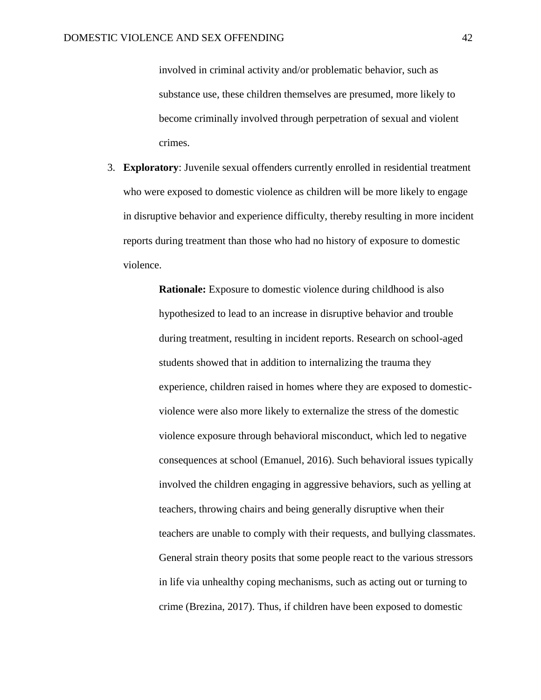involved in criminal activity and/or problematic behavior, such as substance use, these children themselves are presumed, more likely to become criminally involved through perpetration of sexual and violent crimes.

3. **Exploratory**: Juvenile sexual offenders currently enrolled in residential treatment who were exposed to domestic violence as children will be more likely to engage in disruptive behavior and experience difficulty, thereby resulting in more incident reports during treatment than those who had no history of exposure to domestic violence.

> **Rationale:** Exposure to domestic violence during childhood is also hypothesized to lead to an increase in disruptive behavior and trouble during treatment, resulting in incident reports. Research on school-aged students showed that in addition to internalizing the trauma they experience, children raised in homes where they are exposed to domesticviolence were also more likely to externalize the stress of the domestic violence exposure through behavioral misconduct, which led to negative consequences at school (Emanuel, 2016). Such behavioral issues typically involved the children engaging in aggressive behaviors, such as yelling at teachers, throwing chairs and being generally disruptive when their teachers are unable to comply with their requests, and bullying classmates. General strain theory posits that some people react to the various stressors in life via unhealthy coping mechanisms, such as acting out or turning to crime (Brezina, 2017). Thus, if children have been exposed to domestic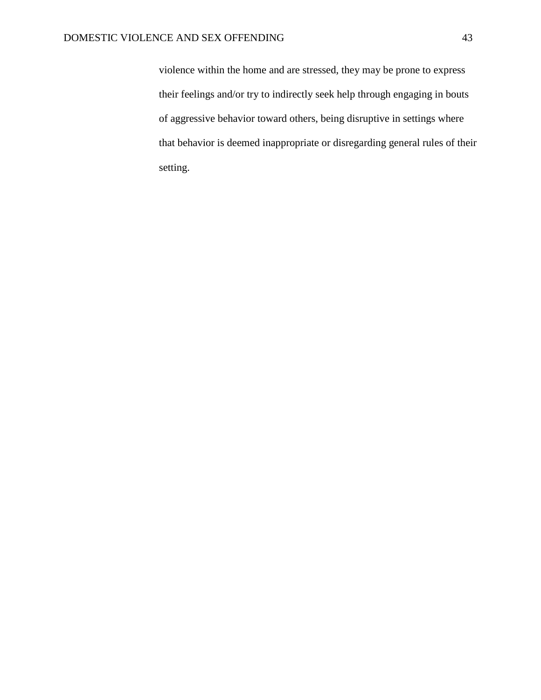violence within the home and are stressed, they may be prone to express their feelings and/or try to indirectly seek help through engaging in bouts of aggressive behavior toward others, being disruptive in settings where that behavior is deemed inappropriate or disregarding general rules of their setting.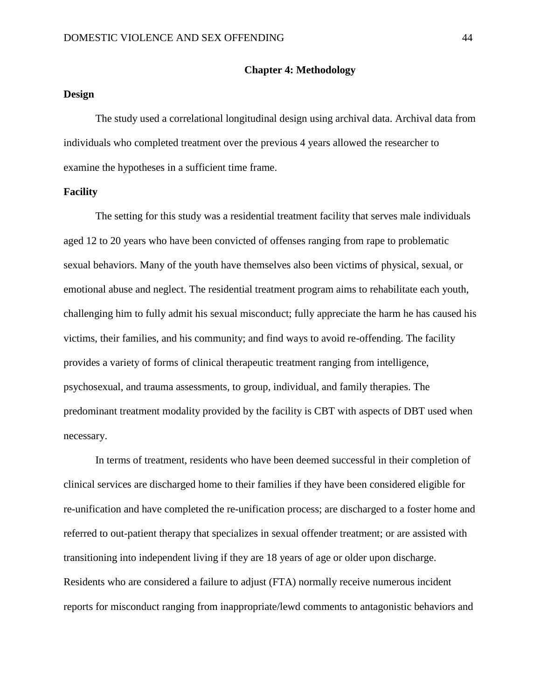#### **Chapter 4: Methodology**

# **Design**

The study used a correlational longitudinal design using archival data. Archival data from individuals who completed treatment over the previous 4 years allowed the researcher to examine the hypotheses in a sufficient time frame.

# **Facility**

The setting for this study was a residential treatment facility that serves male individuals aged 12 to 20 years who have been convicted of offenses ranging from rape to problematic sexual behaviors. Many of the youth have themselves also been victims of physical, sexual, or emotional abuse and neglect. The residential treatment program aims to rehabilitate each youth, challenging him to fully admit his sexual misconduct; fully appreciate the harm he has caused his victims, their families, and his community; and find ways to avoid re-offending. The facility provides a variety of forms of clinical therapeutic treatment ranging from intelligence, psychosexual, and trauma assessments, to group, individual, and family therapies. The predominant treatment modality provided by the facility is CBT with aspects of DBT used when necessary.

In terms of treatment, residents who have been deemed successful in their completion of clinical services are discharged home to their families if they have been considered eligible for re-unification and have completed the re-unification process; are discharged to a foster home and referred to out-patient therapy that specializes in sexual offender treatment; or are assisted with transitioning into independent living if they are 18 years of age or older upon discharge. Residents who are considered a failure to adjust (FTA) normally receive numerous incident reports for misconduct ranging from inappropriate/lewd comments to antagonistic behaviors and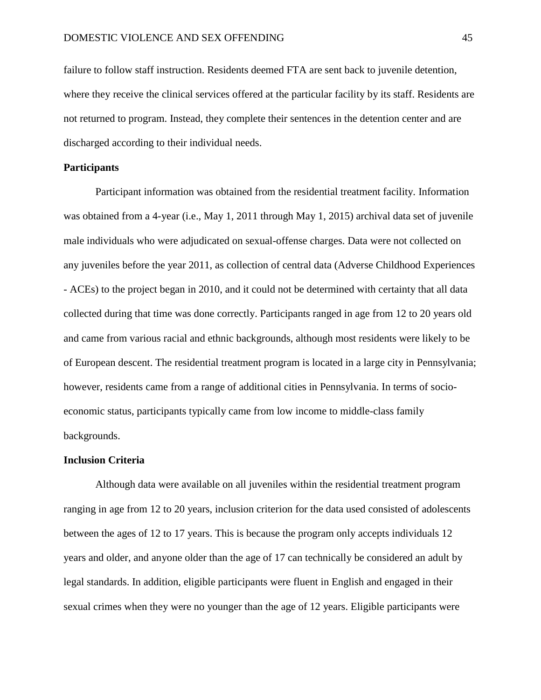failure to follow staff instruction. Residents deemed FTA are sent back to juvenile detention, where they receive the clinical services offered at the particular facility by its staff. Residents are not returned to program. Instead, they complete their sentences in the detention center and are discharged according to their individual needs.

# **Participants**

Participant information was obtained from the residential treatment facility. Information was obtained from a 4-year (i.e., May 1, 2011 through May 1, 2015) archival data set of juvenile male individuals who were adjudicated on sexual-offense charges. Data were not collected on any juveniles before the year 2011, as collection of central data (Adverse Childhood Experiences - ACEs) to the project began in 2010, and it could not be determined with certainty that all data collected during that time was done correctly. Participants ranged in age from 12 to 20 years old and came from various racial and ethnic backgrounds, although most residents were likely to be of European descent. The residential treatment program is located in a large city in Pennsylvania; however, residents came from a range of additional cities in Pennsylvania. In terms of socioeconomic status, participants typically came from low income to middle-class family backgrounds.

#### **Inclusion Criteria**

Although data were available on all juveniles within the residential treatment program ranging in age from 12 to 20 years, inclusion criterion for the data used consisted of adolescents between the ages of 12 to 17 years. This is because the program only accepts individuals 12 years and older, and anyone older than the age of 17 can technically be considered an adult by legal standards. In addition, eligible participants were fluent in English and engaged in their sexual crimes when they were no younger than the age of 12 years. Eligible participants were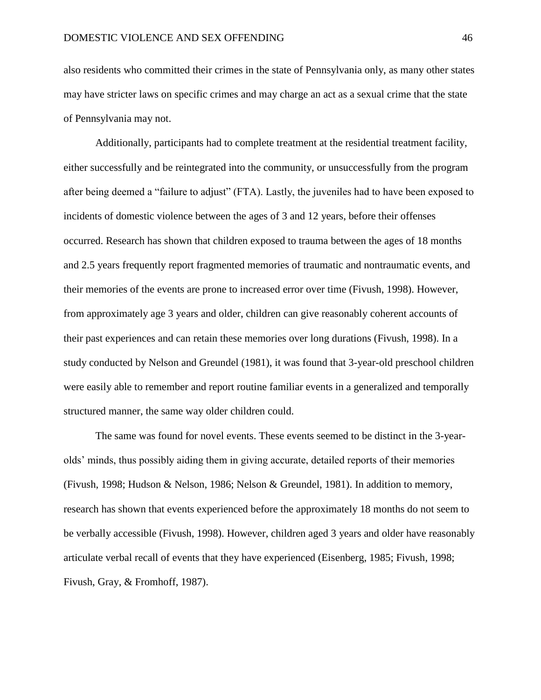also residents who committed their crimes in the state of Pennsylvania only, as many other states may have stricter laws on specific crimes and may charge an act as a sexual crime that the state of Pennsylvania may not.

Additionally, participants had to complete treatment at the residential treatment facility, either successfully and be reintegrated into the community, or unsuccessfully from the program after being deemed a "failure to adjust" (FTA). Lastly, the juveniles had to have been exposed to incidents of domestic violence between the ages of 3 and 12 years, before their offenses occurred. Research has shown that children exposed to trauma between the ages of 18 months and 2.5 years frequently report fragmented memories of traumatic and nontraumatic events, and their memories of the events are prone to increased error over time (Fivush, 1998). However, from approximately age 3 years and older, children can give reasonably coherent accounts of their past experiences and can retain these memories over long durations (Fivush, 1998). In a study conducted by Nelson and Greundel (1981), it was found that 3-year-old preschool children were easily able to remember and report routine familiar events in a generalized and temporally structured manner, the same way older children could.

The same was found for novel events. These events seemed to be distinct in the 3-yearolds' minds, thus possibly aiding them in giving accurate, detailed reports of their memories (Fivush, 1998; Hudson & Nelson, 1986; Nelson & Greundel, 1981). In addition to memory, research has shown that events experienced before the approximately 18 months do not seem to be verbally accessible (Fivush, 1998). However, children aged 3 years and older have reasonably articulate verbal recall of events that they have experienced (Eisenberg, 1985; Fivush, 1998; Fivush, Gray, & Fromhoff, 1987).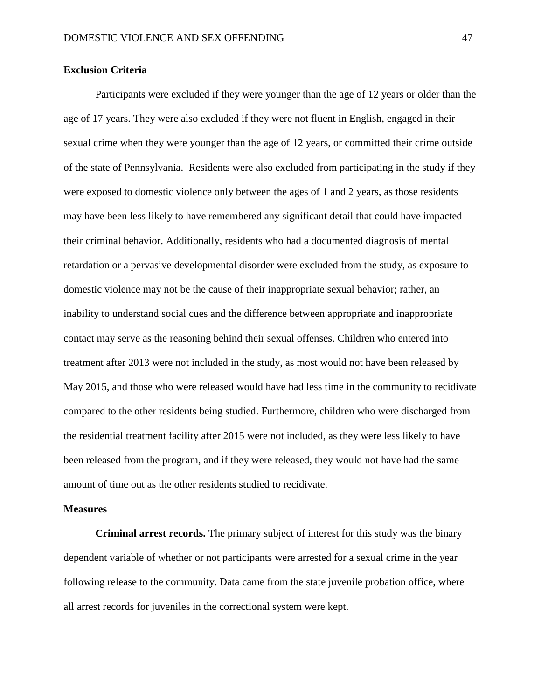# **Exclusion Criteria**

Participants were excluded if they were younger than the age of 12 years or older than the age of 17 years. They were also excluded if they were not fluent in English, engaged in their sexual crime when they were younger than the age of 12 years, or committed their crime outside of the state of Pennsylvania. Residents were also excluded from participating in the study if they were exposed to domestic violence only between the ages of 1 and 2 years, as those residents may have been less likely to have remembered any significant detail that could have impacted their criminal behavior. Additionally, residents who had a documented diagnosis of mental retardation or a pervasive developmental disorder were excluded from the study, as exposure to domestic violence may not be the cause of their inappropriate sexual behavior; rather, an inability to understand social cues and the difference between appropriate and inappropriate contact may serve as the reasoning behind their sexual offenses. Children who entered into treatment after 2013 were not included in the study, as most would not have been released by May 2015, and those who were released would have had less time in the community to recidivate compared to the other residents being studied. Furthermore, children who were discharged from the residential treatment facility after 2015 were not included, as they were less likely to have been released from the program, and if they were released, they would not have had the same amount of time out as the other residents studied to recidivate.

### **Measures**

**Criminal arrest records.** The primary subject of interest for this study was the binary dependent variable of whether or not participants were arrested for a sexual crime in the year following release to the community. Data came from the state juvenile probation office, where all arrest records for juveniles in the correctional system were kept.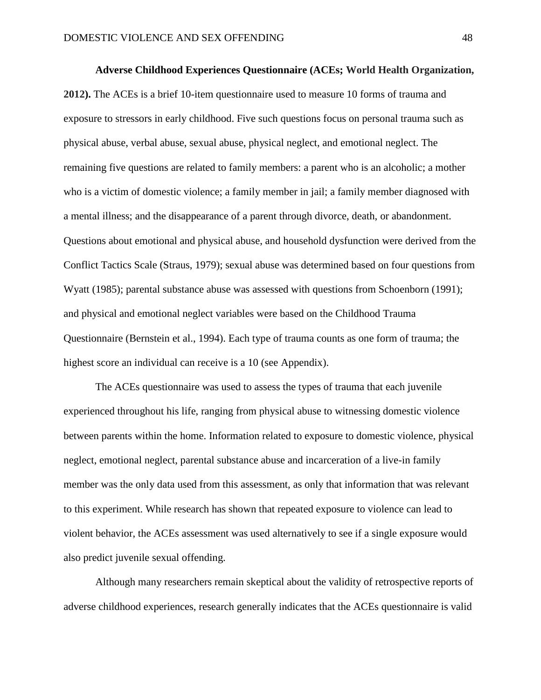**Adverse Childhood Experiences Questionnaire (ACEs; World Health Organization, 2012).** The ACEs is a brief 10-item questionnaire used to measure 10 forms of trauma and exposure to stressors in early childhood. Five such questions focus on personal trauma such as physical abuse, verbal abuse, sexual abuse, physical neglect, and emotional neglect. The remaining five questions are related to family members: a parent who is an alcoholic; a mother who is a victim of domestic violence; a family member in jail; a family member diagnosed with a mental illness; and the disappearance of a parent through divorce, death, or abandonment. Questions about emotional and physical abuse, and household dysfunction were derived from the Conflict Tactics Scale (Straus, 1979); sexual abuse was determined based on four questions from Wyatt (1985); parental substance abuse was assessed with questions from Schoenborn (1991); and physical and emotional neglect variables were based on the Childhood Trauma Questionnaire (Bernstein et al., 1994). Each type of trauma counts as one form of trauma; the highest score an individual can receive is a 10 (see Appendix).

The ACEs questionnaire was used to assess the types of trauma that each juvenile experienced throughout his life, ranging from physical abuse to witnessing domestic violence between parents within the home. Information related to exposure to domestic violence, physical neglect, emotional neglect, parental substance abuse and incarceration of a live-in family member was the only data used from this assessment, as only that information that was relevant to this experiment. While research has shown that repeated exposure to violence can lead to violent behavior, the ACEs assessment was used alternatively to see if a single exposure would also predict juvenile sexual offending.

Although many researchers remain skeptical about the validity of retrospective reports of adverse childhood experiences, research generally indicates that the ACEs questionnaire is valid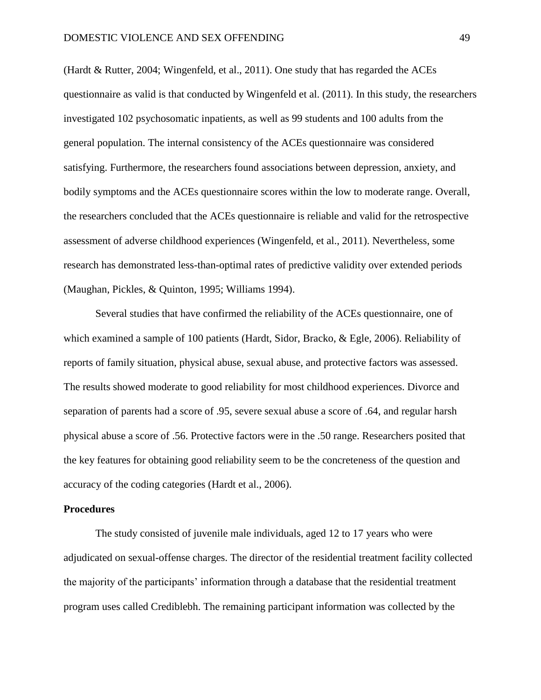(Hardt & Rutter, 2004; Wingenfeld, et al., 2011). One study that has regarded the ACEs questionnaire as valid is that conducted by Wingenfeld et al. (2011). In this study, the researchers investigated 102 psychosomatic inpatients, as well as 99 students and 100 adults from the general population. The internal consistency of the ACEs questionnaire was considered satisfying. Furthermore, the researchers found associations between depression, anxiety, and bodily symptoms and the ACEs questionnaire scores within the low to moderate range. Overall, the researchers concluded that the ACEs questionnaire is reliable and valid for the retrospective assessment of adverse childhood experiences (Wingenfeld, et al., 2011). Nevertheless, some research has demonstrated less-than-optimal rates of predictive validity over extended periods (Maughan, Pickles, & Quinton, 1995; Williams 1994).

Several studies that have confirmed the reliability of the ACEs questionnaire, one of which examined a sample of 100 patients (Hardt, Sidor, Bracko, & Egle, 2006). Reliability of reports of family situation, physical abuse, sexual abuse, and protective factors was assessed. The results showed moderate to good reliability for most childhood experiences. Divorce and separation of parents had a score of .95, severe sexual abuse a score of .64, and regular harsh physical abuse a score of .56. Protective factors were in the .50 range. Researchers posited that the key features for obtaining good reliability seem to be the concreteness of the question and accuracy of the coding categories (Hardt et al., 2006).

### **Procedures**

The study consisted of juvenile male individuals, aged 12 to 17 years who were adjudicated on sexual-offense charges. The director of the residential treatment facility collected the majority of the participants' information through a database that the residential treatment program uses called Crediblebh. The remaining participant information was collected by the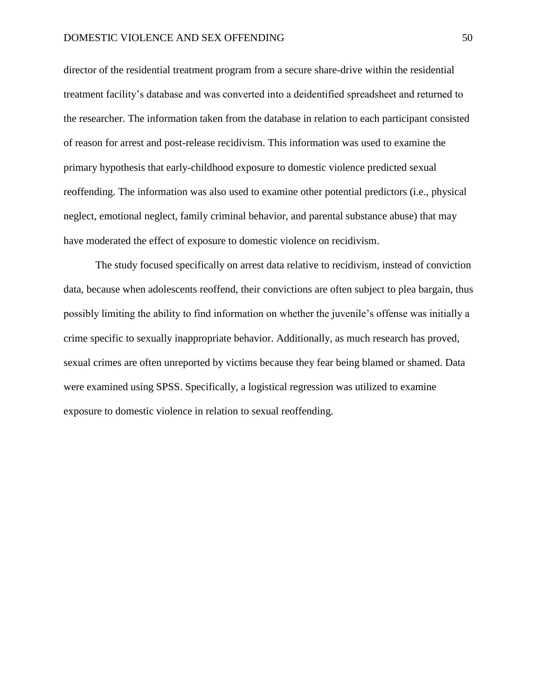director of the residential treatment program from a secure share-drive within the residential treatment facility's database and was converted into a deidentified spreadsheet and returned to the researcher. The information taken from the database in relation to each participant consisted of reason for arrest and post-release recidivism. This information was used to examine the primary hypothesis that early-childhood exposure to domestic violence predicted sexual reoffending. The information was also used to examine other potential predictors (i.e., physical neglect, emotional neglect, family criminal behavior, and parental substance abuse) that may have moderated the effect of exposure to domestic violence on recidivism.

The study focused specifically on arrest data relative to recidivism, instead of conviction data, because when adolescents reoffend, their convictions are often subject to plea bargain, thus possibly limiting the ability to find information on whether the juvenile's offense was initially a crime specific to sexually inappropriate behavior. Additionally, as much research has proved, sexual crimes are often unreported by victims because they fear being blamed or shamed. Data were examined using SPSS. Specifically, a logistical regression was utilized to examine exposure to domestic violence in relation to sexual reoffending.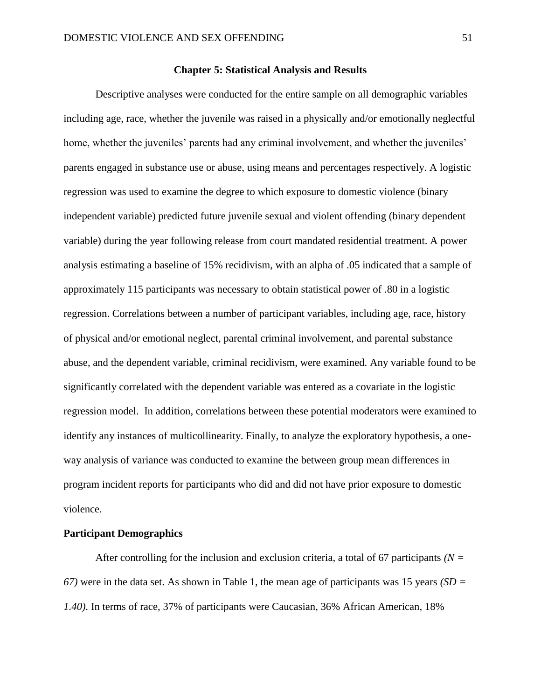# **Chapter 5: Statistical Analysis and Results**

Descriptive analyses were conducted for the entire sample on all demographic variables including age, race, whether the juvenile was raised in a physically and/or emotionally neglectful home, whether the juveniles' parents had any criminal involvement, and whether the juveniles' parents engaged in substance use or abuse, using means and percentages respectively. A logistic regression was used to examine the degree to which exposure to domestic violence (binary independent variable) predicted future juvenile sexual and violent offending (binary dependent variable) during the year following release from court mandated residential treatment. A power analysis estimating a baseline of 15% recidivism, with an alpha of .05 indicated that a sample of approximately 115 participants was necessary to obtain statistical power of .80 in a logistic regression. Correlations between a number of participant variables, including age, race, history of physical and/or emotional neglect, parental criminal involvement, and parental substance abuse, and the dependent variable, criminal recidivism, were examined. Any variable found to be significantly correlated with the dependent variable was entered as a covariate in the logistic regression model. In addition, correlations between these potential moderators were examined to identify any instances of multicollinearity. Finally, to analyze the exploratory hypothesis, a oneway analysis of variance was conducted to examine the between group mean differences in program incident reports for participants who did and did not have prior exposure to domestic violence.

# **Participant Demographics**

After controlling for the inclusion and exclusion criteria, a total of 67 participants *(N = 67)* were in the data set. As shown in Table 1, the mean age of participants was 15 years *(SD = 1.40)*. In terms of race, 37% of participants were Caucasian, 36% African American, 18%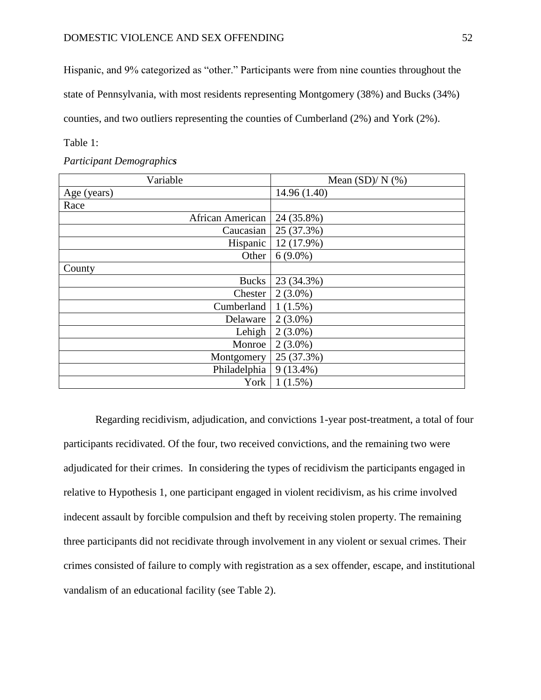Hispanic, and 9% categorized as "other." Participants were from nine counties throughout the

state of Pennsylvania, with most residents representing Montgomery (38%) and Bucks (34%)

counties, and two outliers representing the counties of Cumberland (2%) and York (2%).

Table 1:

*Participant Demographics* 

| Variable         | Mean $(SD)/N$ (%) |  |  |
|------------------|-------------------|--|--|
| Age (years)      | 14.96 (1.40)      |  |  |
| Race             |                   |  |  |
| African American | 24 (35.8%)        |  |  |
| Caucasian        | 25 (37.3%)        |  |  |
| Hispanic         | 12 (17.9%)        |  |  |
| Other            | $6(9.0\%)$        |  |  |
| County           |                   |  |  |
| <b>Bucks</b>     | 23 (34.3%)        |  |  |
| Chester          | $2(3.0\%)$        |  |  |
| Cumberland       | $1(1.5\%)$        |  |  |
| Delaware         | $2(3.0\%)$        |  |  |
| Lehigh           | $2(3.0\%)$        |  |  |
| Monroe           | $2(3.0\%)$        |  |  |
| Montgomery       | 25 (37.3%)        |  |  |
| Philadelphia     | $9(13.4\%)$       |  |  |
| York             | $1(1.5\%)$        |  |  |

Regarding recidivism, adjudication, and convictions 1-year post-treatment, a total of four participants recidivated. Of the four, two received convictions, and the remaining two were adjudicated for their crimes. In considering the types of recidivism the participants engaged in relative to Hypothesis 1, one participant engaged in violent recidivism, as his crime involved indecent assault by forcible compulsion and theft by receiving stolen property. The remaining three participants did not recidivate through involvement in any violent or sexual crimes. Their crimes consisted of failure to comply with registration as a sex offender, escape, and institutional vandalism of an educational facility (see Table 2).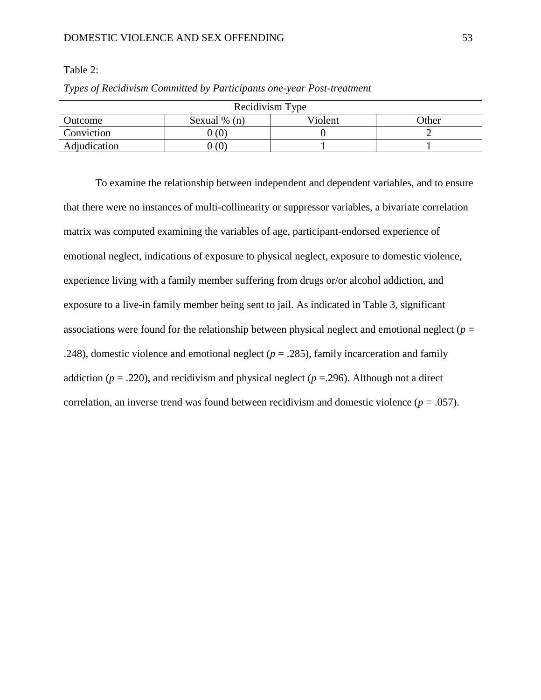# DOMESTIC VIOLENCE AND SEX OFFENDING 53

Table 2:

| Recidivism Type   |                |         |       |  |  |
|-------------------|----------------|---------|-------|--|--|
| Outcome           | Sexual $% (n)$ | Violent | Other |  |  |
| <b>Conviction</b> | (0)            |         |       |  |  |
| Adjudication      | (0)            |         |       |  |  |

*Types of Recidivism Committed by Participants one-year Post-treatment*

To examine the relationship between independent and dependent variables, and to ensure that there were no instances of multi-collinearity or suppressor variables, a bivariate correlation matrix was computed examining the variables of age, participant-endorsed experience of emotional neglect, indications of exposure to physical neglect, exposure to domestic violence, experience living with a family member suffering from drugs or/or alcohol addiction, and exposure to a live-in family member being sent to jail. As indicated in Table 3, significant associations were found for the relationship between physical neglect and emotional neglect (*p* = .248), domestic violence and emotional neglect  $(p = .285)$ , family incarceration and family addiction ( $p = .220$ ), and recidivism and physical neglect ( $p = .296$ ). Although not a direct correlation, an inverse trend was found between recidivism and domestic violence  $(p = .057)$ .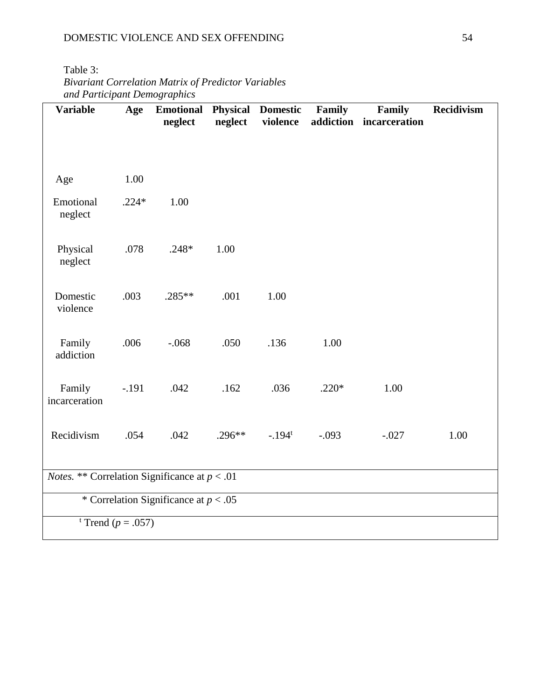| Table 3: |  |
|----------|--|
|----------|--|

*Bivariant Correlation Matrix of Predictor Variables and Participant Demographics*

| <b>Variable</b>                                        | Age     | <b>Emotional Physical Domestic Family</b><br>neglect |          | neglect violence |         | Family<br>addiction incarceration | Recidivism |
|--------------------------------------------------------|---------|------------------------------------------------------|----------|------------------|---------|-----------------------------------|------------|
|                                                        |         |                                                      |          |                  |         |                                   |            |
| Age                                                    | 1.00    |                                                      |          |                  |         |                                   |            |
| Emotional<br>neglect                                   | $.224*$ | 1.00                                                 |          |                  |         |                                   |            |
| Physical<br>neglect                                    | .078    | $.248*$                                              | 1.00     |                  |         |                                   |            |
| Domestic<br>violence                                   | .003    | $.285**$                                             | .001     | 1.00             |         |                                   |            |
| Family<br>addiction                                    | .006    | $-.068$                                              | .050     | .136             | 1.00    |                                   |            |
| Family<br>incarceration                                | $-.191$ | .042                                                 | .162     | .036             | $.220*$ | 1.00                              |            |
| Recidivism                                             | .054    | .042                                                 | $.296**$ | $-194^t$         | $-.093$ | $-.027$                           | 1.00       |
| <i>Notes.</i> ** Correlation Significance at $p < .01$ |         |                                                      |          |                  |         |                                   |            |
| * Correlation Significance at $p < .05$                |         |                                                      |          |                  |         |                                   |            |
| <sup>t</sup> Trend ( $p = .057$ )                      |         |                                                      |          |                  |         |                                   |            |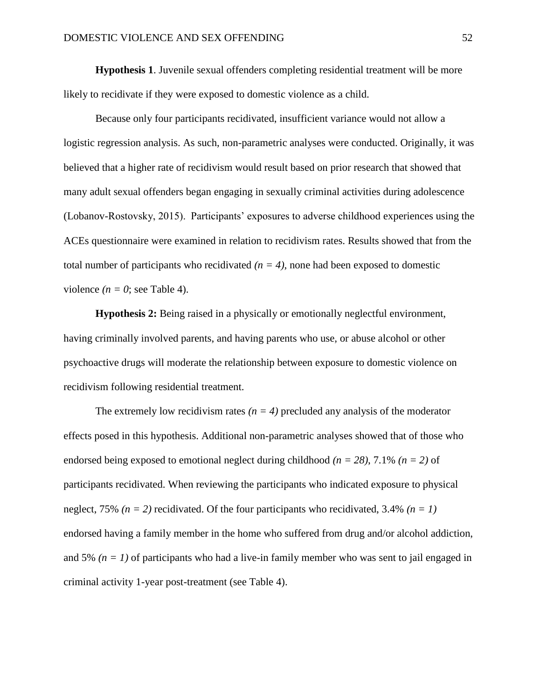**Hypothesis 1**. Juvenile sexual offenders completing residential treatment will be more likely to recidivate if they were exposed to domestic violence as a child.

Because only four participants recidivated, insufficient variance would not allow a logistic regression analysis. As such, non-parametric analyses were conducted. Originally, it was believed that a higher rate of recidivism would result based on prior research that showed that many adult sexual offenders began engaging in sexually criminal activities during adolescence (Lobanov-Rostovsky, 2015). Participants' exposures to adverse childhood experiences using the ACEs questionnaire were examined in relation to recidivism rates. Results showed that from the total number of participants who recidivated  $(n = 4)$ , none had been exposed to domestic violence  $(n = 0)$ ; see Table 4).

**Hypothesis 2:** Being raised in a physically or emotionally neglectful environment, having criminally involved parents, and having parents who use, or abuse alcohol or other psychoactive drugs will moderate the relationship between exposure to domestic violence on recidivism following residential treatment.

The extremely low recidivism rates  $(n = 4)$  precluded any analysis of the moderator effects posed in this hypothesis. Additional non-parametric analyses showed that of those who endorsed being exposed to emotional neglect during childhood *(n = 28)*, 7.1% *(n = 2)* of participants recidivated. When reviewing the participants who indicated exposure to physical neglect, 75% *(n = 2)* recidivated. Of the four participants who recidivated, 3.4% *(n = 1)* endorsed having a family member in the home who suffered from drug and/or alcohol addiction, and 5%  $(n = 1)$  of participants who had a live-in family member who was sent to jail engaged in criminal activity 1-year post-treatment (see Table 4).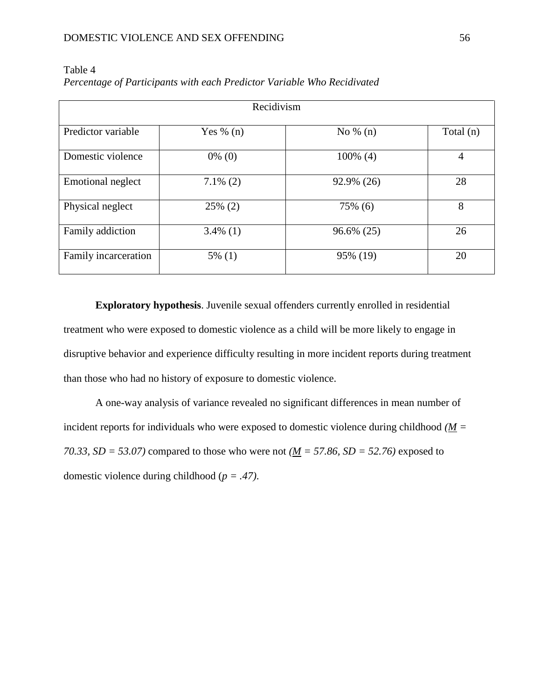| Recidivism               |             |             |             |  |  |
|--------------------------|-------------|-------------|-------------|--|--|
| Predictor variable       | Yes % $(n)$ | No $\%$ (n) | Total $(n)$ |  |  |
| Domestic violence        | $0\%$ (0)   | $100\%$ (4) | 4           |  |  |
| <b>Emotional neglect</b> | $7.1\%$ (2) | 92.9% (26)  | 28          |  |  |
| Physical neglect         | $25\%$ (2)  | 75% (6)     | 8           |  |  |
| Family addiction         | $3.4\%$ (1) | 96.6% (25)  | 26          |  |  |
| Family incarceration     | $5\%$ (1)   | 95% (19)    | 20          |  |  |

Table 4 *Percentage of Participants with each Predictor Variable Who Recidivated*

**Exploratory hypothesis**. Juvenile sexual offenders currently enrolled in residential treatment who were exposed to domestic violence as a child will be more likely to engage in disruptive behavior and experience difficulty resulting in more incident reports during treatment than those who had no history of exposure to domestic violence.

A one-way analysis of variance revealed no significant differences in mean number of incident reports for individuals who were exposed to domestic violence during childhood  $(M =$ *70.33, SD = 53.07)* compared to those who were not  $(\underline{M} = 57.86, SD = 52.76)$  exposed to domestic violence during childhood (*p = .47)*.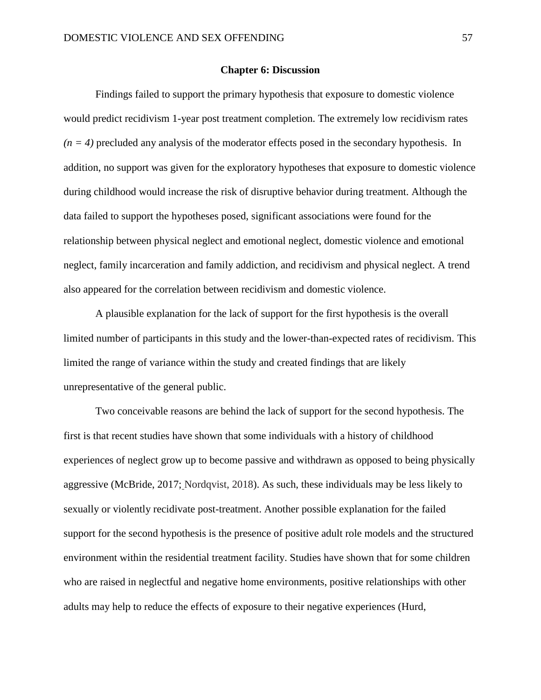### **Chapter 6: Discussion**

Findings failed to support the primary hypothesis that exposure to domestic violence would predict recidivism 1-year post treatment completion. The extremely low recidivism rates  $(n = 4)$  precluded any analysis of the moderator effects posed in the secondary hypothesis. In addition, no support was given for the exploratory hypotheses that exposure to domestic violence during childhood would increase the risk of disruptive behavior during treatment. Although the data failed to support the hypotheses posed, significant associations were found for the relationship between physical neglect and emotional neglect, domestic violence and emotional neglect, family incarceration and family addiction, and recidivism and physical neglect. A trend also appeared for the correlation between recidivism and domestic violence.

A plausible explanation for the lack of support for the first hypothesis is the overall limited number of participants in this study and the lower-than-expected rates of recidivism. This limited the range of variance within the study and created findings that are likely unrepresentative of the general public.

Two conceivable reasons are behind the lack of support for the second hypothesis. The first is that recent studies have shown that some individuals with a history of childhood experiences of neglect grow up to become passive and withdrawn as opposed to being physically aggressive (McBride, 2017; Nordqvist, 2018). As such, these individuals may be less likely to sexually or violently recidivate post-treatment. Another possible explanation for the failed support for the second hypothesis is the presence of positive adult role models and the structured environment within the residential treatment facility. Studies have shown that for some children who are raised in neglectful and negative home environments, positive relationships with other adults may help to reduce the effects of exposure to their negative experiences (Hurd,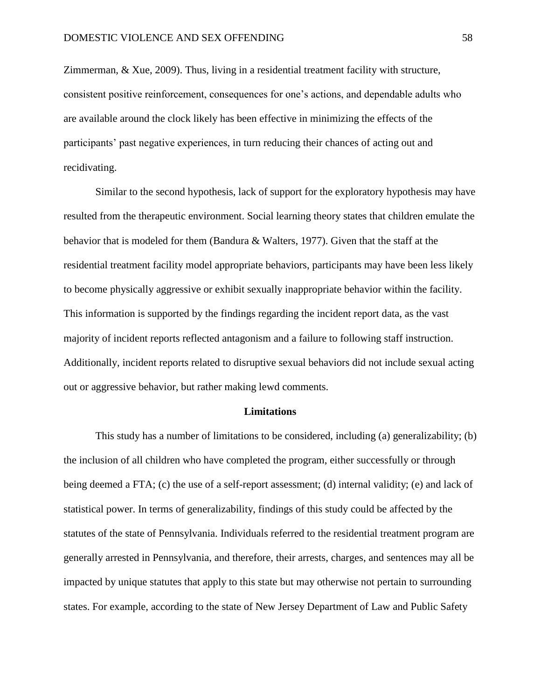Zimmerman,  $\&$  Xue, 2009). Thus, living in a residential treatment facility with structure, consistent positive reinforcement, consequences for one's actions, and dependable adults who are available around the clock likely has been effective in minimizing the effects of the participants' past negative experiences, in turn reducing their chances of acting out and recidivating.

Similar to the second hypothesis, lack of support for the exploratory hypothesis may have resulted from the therapeutic environment. Social learning theory states that children emulate the behavior that is modeled for them (Bandura & Walters, 1977). Given that the staff at the residential treatment facility model appropriate behaviors, participants may have been less likely to become physically aggressive or exhibit sexually inappropriate behavior within the facility. This information is supported by the findings regarding the incident report data, as the vast majority of incident reports reflected antagonism and a failure to following staff instruction. Additionally, incident reports related to disruptive sexual behaviors did not include sexual acting out or aggressive behavior, but rather making lewd comments.

# **Limitations**

This study has a number of limitations to be considered, including (a) generalizability; (b) the inclusion of all children who have completed the program, either successfully or through being deemed a FTA; (c) the use of a self-report assessment; (d) internal validity; (e) and lack of statistical power. In terms of generalizability, findings of this study could be affected by the statutes of the state of Pennsylvania. Individuals referred to the residential treatment program are generally arrested in Pennsylvania, and therefore, their arrests, charges, and sentences may all be impacted by unique statutes that apply to this state but may otherwise not pertain to surrounding states. For example, according to the state of New Jersey Department of Law and Public Safety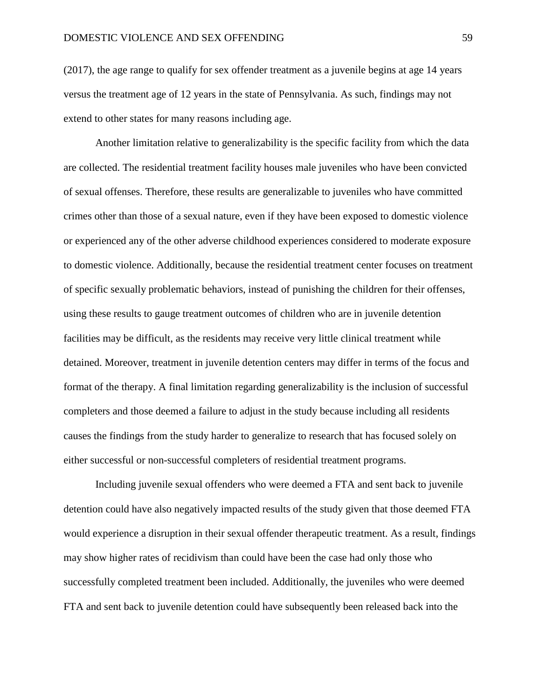(2017), the age range to qualify for sex offender treatment as a juvenile begins at age 14 years versus the treatment age of 12 years in the state of Pennsylvania. As such, findings may not extend to other states for many reasons including age.

Another limitation relative to generalizability is the specific facility from which the data are collected. The residential treatment facility houses male juveniles who have been convicted of sexual offenses. Therefore, these results are generalizable to juveniles who have committed crimes other than those of a sexual nature, even if they have been exposed to domestic violence or experienced any of the other adverse childhood experiences considered to moderate exposure to domestic violence. Additionally, because the residential treatment center focuses on treatment of specific sexually problematic behaviors, instead of punishing the children for their offenses, using these results to gauge treatment outcomes of children who are in juvenile detention facilities may be difficult, as the residents may receive very little clinical treatment while detained. Moreover, treatment in juvenile detention centers may differ in terms of the focus and format of the therapy. A final limitation regarding generalizability is the inclusion of successful completers and those deemed a failure to adjust in the study because including all residents causes the findings from the study harder to generalize to research that has focused solely on either successful or non-successful completers of residential treatment programs.

Including juvenile sexual offenders who were deemed a FTA and sent back to juvenile detention could have also negatively impacted results of the study given that those deemed FTA would experience a disruption in their sexual offender therapeutic treatment. As a result, findings may show higher rates of recidivism than could have been the case had only those who successfully completed treatment been included. Additionally, the juveniles who were deemed FTA and sent back to juvenile detention could have subsequently been released back into the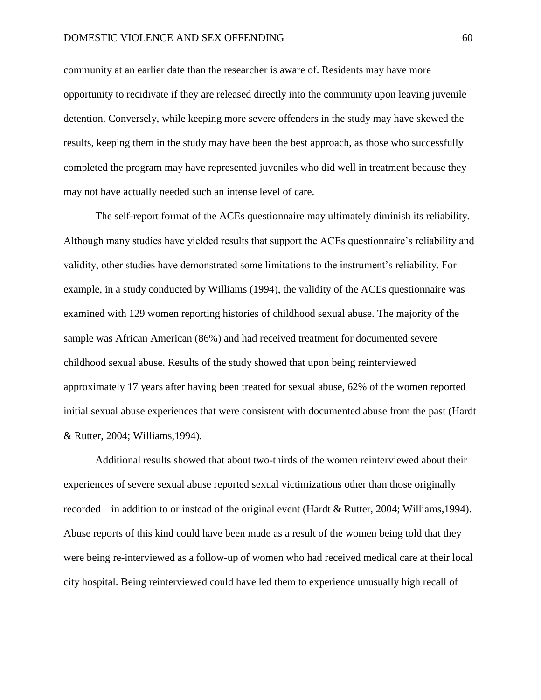community at an earlier date than the researcher is aware of. Residents may have more opportunity to recidivate if they are released directly into the community upon leaving juvenile detention. Conversely, while keeping more severe offenders in the study may have skewed the results, keeping them in the study may have been the best approach, as those who successfully completed the program may have represented juveniles who did well in treatment because they may not have actually needed such an intense level of care.

The self-report format of the ACEs questionnaire may ultimately diminish its reliability. Although many studies have yielded results that support the ACEs questionnaire's reliability and validity, other studies have demonstrated some limitations to the instrument's reliability. For example, in a study conducted by Williams (1994), the validity of the ACEs questionnaire was examined with 129 women reporting histories of childhood sexual abuse. The majority of the sample was African American (86%) and had received treatment for documented severe childhood sexual abuse. Results of the study showed that upon being reinterviewed approximately 17 years after having been treated for sexual abuse, 62% of the women reported initial sexual abuse experiences that were consistent with documented abuse from the past (Hardt & Rutter, 2004; Williams,1994).

Additional results showed that about two-thirds of the women reinterviewed about their experiences of severe sexual abuse reported sexual victimizations other than those originally recorded – in addition to or instead of the original event (Hardt & Rutter, 2004; Williams,1994). Abuse reports of this kind could have been made as a result of the women being told that they were being re-interviewed as a follow-up of women who had received medical care at their local city hospital. Being reinterviewed could have led them to experience unusually high recall of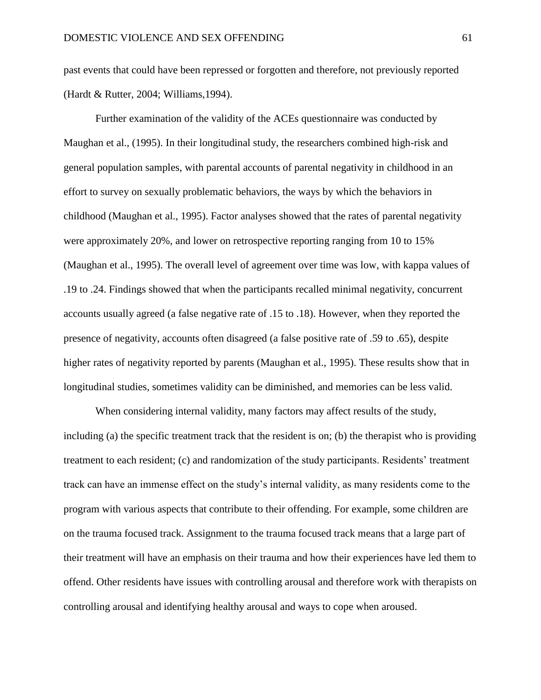past events that could have been repressed or forgotten and therefore, not previously reported (Hardt & Rutter, 2004; Williams,1994).

Further examination of the validity of the ACEs questionnaire was conducted by Maughan et al., (1995). In their longitudinal study, the researchers combined high-risk and general population samples, with parental accounts of parental negativity in childhood in an effort to survey on sexually problematic behaviors, the ways by which the behaviors in childhood (Maughan et al., 1995). Factor analyses showed that the rates of parental negativity were approximately 20%, and lower on retrospective reporting ranging from 10 to 15% (Maughan et al., 1995). The overall level of agreement over time was low, with kappa values of .19 to .24. Findings showed that when the participants recalled minimal negativity, concurrent accounts usually agreed (a false negative rate of .15 to .18). However, when they reported the presence of negativity, accounts often disagreed (a false positive rate of .59 to .65), despite higher rates of negativity reported by parents (Maughan et al., 1995). These results show that in longitudinal studies, sometimes validity can be diminished, and memories can be less valid.

When considering internal validity, many factors may affect results of the study, including (a) the specific treatment track that the resident is on; (b) the therapist who is providing treatment to each resident; (c) and randomization of the study participants. Residents' treatment track can have an immense effect on the study's internal validity, as many residents come to the program with various aspects that contribute to their offending. For example, some children are on the trauma focused track. Assignment to the trauma focused track means that a large part of their treatment will have an emphasis on their trauma and how their experiences have led them to offend. Other residents have issues with controlling arousal and therefore work with therapists on controlling arousal and identifying healthy arousal and ways to cope when aroused.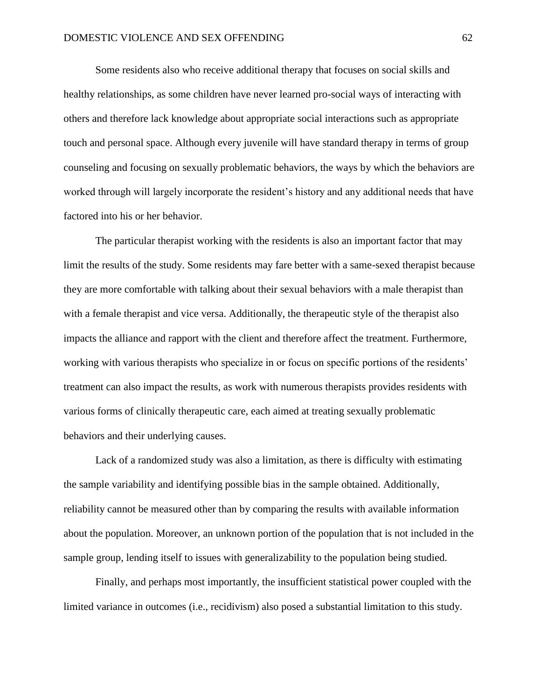Some residents also who receive additional therapy that focuses on social skills and healthy relationships, as some children have never learned pro-social ways of interacting with others and therefore lack knowledge about appropriate social interactions such as appropriate touch and personal space. Although every juvenile will have standard therapy in terms of group counseling and focusing on sexually problematic behaviors, the ways by which the behaviors are worked through will largely incorporate the resident's history and any additional needs that have factored into his or her behavior.

The particular therapist working with the residents is also an important factor that may limit the results of the study. Some residents may fare better with a same-sexed therapist because they are more comfortable with talking about their sexual behaviors with a male therapist than with a female therapist and vice versa. Additionally, the therapeutic style of the therapist also impacts the alliance and rapport with the client and therefore affect the treatment. Furthermore, working with various therapists who specialize in or focus on specific portions of the residents' treatment can also impact the results, as work with numerous therapists provides residents with various forms of clinically therapeutic care, each aimed at treating sexually problematic behaviors and their underlying causes.

Lack of a randomized study was also a limitation, as there is difficulty with estimating the sample variability and identifying possible bias in the sample obtained. Additionally, reliability cannot be measured other than by comparing the results with available information about the population. Moreover, an unknown portion of the population that is not included in the sample group, lending itself to issues with generalizability to the population being studied.

Finally, and perhaps most importantly, the insufficient statistical power coupled with the limited variance in outcomes (i.e., recidivism) also posed a substantial limitation to this study.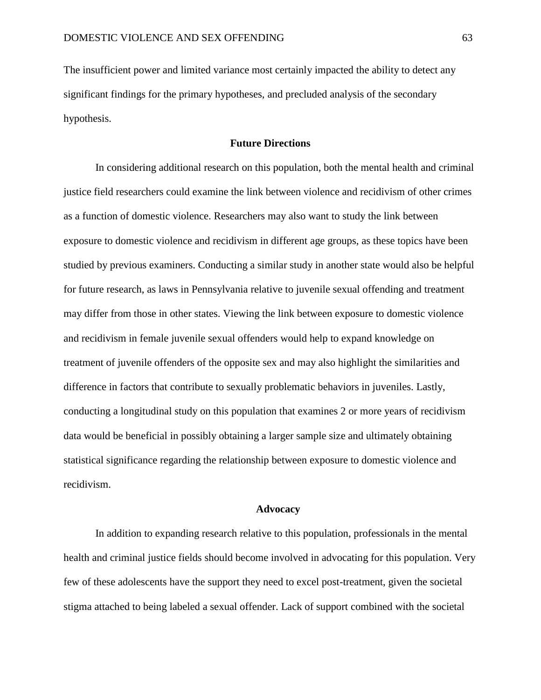The insufficient power and limited variance most certainly impacted the ability to detect any significant findings for the primary hypotheses, and precluded analysis of the secondary hypothesis.

# **Future Directions**

In considering additional research on this population, both the mental health and criminal justice field researchers could examine the link between violence and recidivism of other crimes as a function of domestic violence. Researchers may also want to study the link between exposure to domestic violence and recidivism in different age groups, as these topics have been studied by previous examiners. Conducting a similar study in another state would also be helpful for future research, as laws in Pennsylvania relative to juvenile sexual offending and treatment may differ from those in other states. Viewing the link between exposure to domestic violence and recidivism in female juvenile sexual offenders would help to expand knowledge on treatment of juvenile offenders of the opposite sex and may also highlight the similarities and difference in factors that contribute to sexually problematic behaviors in juveniles. Lastly, conducting a longitudinal study on this population that examines 2 or more years of recidivism data would be beneficial in possibly obtaining a larger sample size and ultimately obtaining statistical significance regarding the relationship between exposure to domestic violence and recidivism.

#### **Advocacy**

In addition to expanding research relative to this population, professionals in the mental health and criminal justice fields should become involved in advocating for this population. Very few of these adolescents have the support they need to excel post-treatment, given the societal stigma attached to being labeled a sexual offender. Lack of support combined with the societal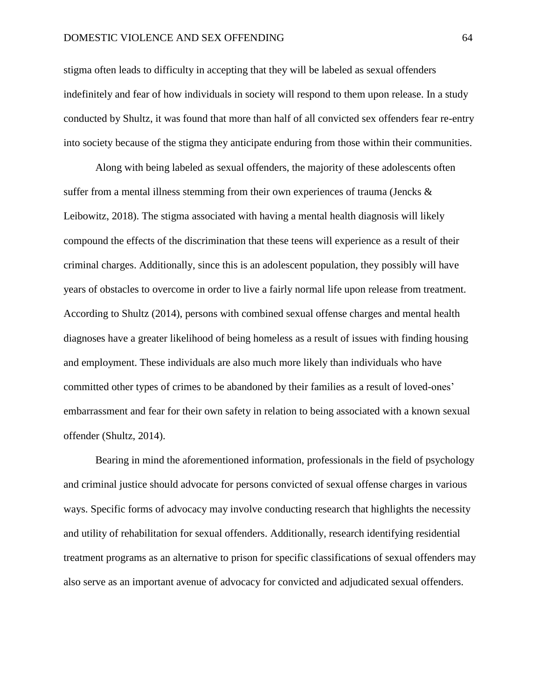## DOMESTIC VIOLENCE AND SEX OFFENDING 64

stigma often leads to difficulty in accepting that they will be labeled as sexual offenders indefinitely and fear of how individuals in society will respond to them upon release. In a study conducted by Shultz, it was found that more than half of all convicted sex offenders fear re-entry into society because of the stigma they anticipate enduring from those within their communities.

Along with being labeled as sexual offenders, the majority of these adolescents often suffer from a mental illness stemming from their own experiences of trauma (Jencks  $\&$ Leibowitz, 2018). The stigma associated with having a mental health diagnosis will likely compound the effects of the discrimination that these teens will experience as a result of their criminal charges. Additionally, since this is an adolescent population, they possibly will have years of obstacles to overcome in order to live a fairly normal life upon release from treatment. According to Shultz (2014), persons with combined sexual offense charges and mental health diagnoses have a greater likelihood of being homeless as a result of issues with finding housing and employment. These individuals are also much more likely than individuals who have committed other types of crimes to be abandoned by their families as a result of loved-ones' embarrassment and fear for their own safety in relation to being associated with a known sexual offender (Shultz, 2014).

Bearing in mind the aforementioned information, professionals in the field of psychology and criminal justice should advocate for persons convicted of sexual offense charges in various ways. Specific forms of advocacy may involve conducting research that highlights the necessity and utility of rehabilitation for sexual offenders. Additionally, research identifying residential treatment programs as an alternative to prison for specific classifications of sexual offenders may also serve as an important avenue of advocacy for convicted and adjudicated sexual offenders.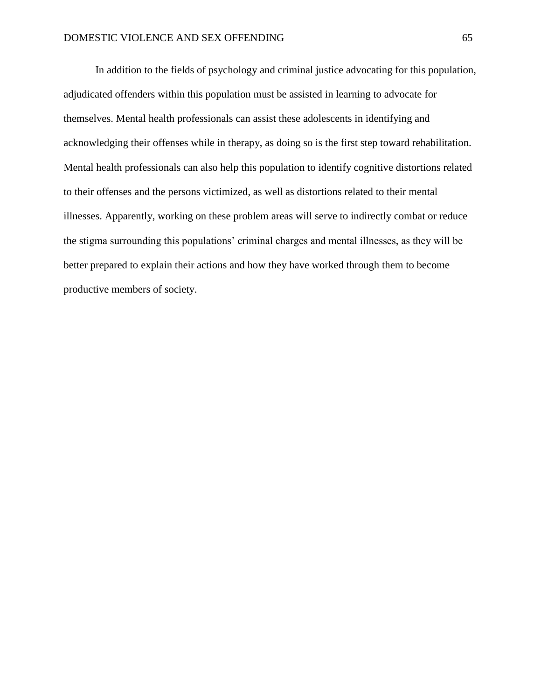In addition to the fields of psychology and criminal justice advocating for this population, adjudicated offenders within this population must be assisted in learning to advocate for themselves. Mental health professionals can assist these adolescents in identifying and acknowledging their offenses while in therapy, as doing so is the first step toward rehabilitation. Mental health professionals can also help this population to identify cognitive distortions related to their offenses and the persons victimized, as well as distortions related to their mental illnesses. Apparently, working on these problem areas will serve to indirectly combat or reduce the stigma surrounding this populations' criminal charges and mental illnesses, as they will be better prepared to explain their actions and how they have worked through them to become productive members of society.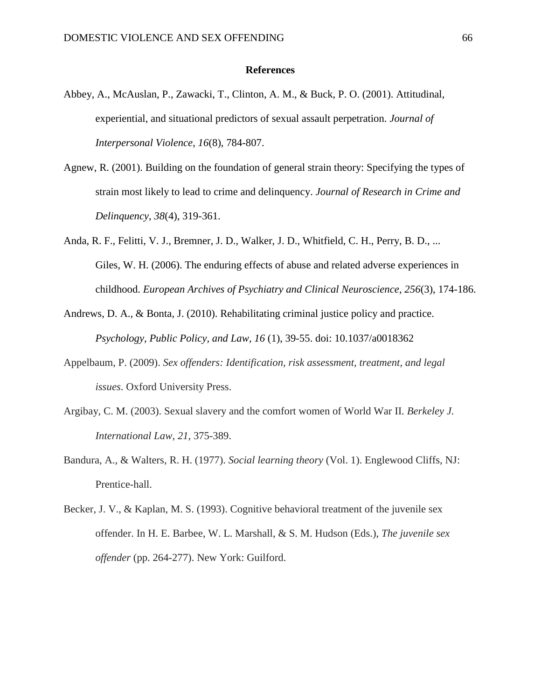## **References**

- Abbey, A., McAuslan, P., Zawacki, T., Clinton, A. M., & Buck, P. O. (2001). Attitudinal, experiential, and situational predictors of sexual assault perpetration. *Journal of Interpersonal Violence*, *16*(8), 784-807.
- Agnew, R. (2001). Building on the foundation of general strain theory: Specifying the types of strain most likely to lead to crime and delinquency. *Journal of Research in Crime and Delinquency*, *38*(4), 319-361.
- Anda, R. F., Felitti, V. J., Bremner, J. D., Walker, J. D., Whitfield, C. H., Perry, B. D., ... Giles, W. H. (2006). The enduring effects of abuse and related adverse experiences in childhood. *European Archives of Psychiatry and Clinical Neuroscience*, *256*(3), 174-186.
- Andrews, D. A., & Bonta, J. (2010). Rehabilitating criminal justice policy and practice. *Psychology, Public Policy, and Law, 16* (1), 39-55. doi: 10.1037/a0018362
- Appelbaum, P. (2009). *Sex offenders: Identification, risk assessment, treatment, and legal issues*. Oxford University Press.
- Argibay, C. M. (2003). Sexual slavery and the comfort women of World War II. *Berkeley J. International Law*, *21*, 375-389.
- Bandura, A., & Walters, R. H. (1977). *Social learning theory* (Vol. 1). Englewood Cliffs, NJ: Prentice-hall.
- Becker, J. V., & Kaplan, M. S. (1993). Cognitive behavioral treatment of the juvenile sex offender. In H. E. Barbee, W. L. Marshall, & S. M. Hudson (Eds.), *The juvenile sex offender* (pp. 264-277). New York: Guilford.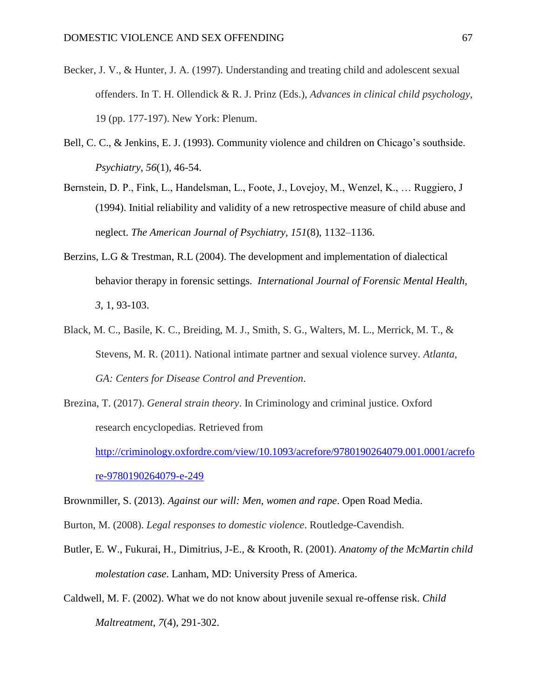- Becker, J. V., & Hunter, J. A. (1997). Understanding and treating child and adolescent sexual offenders. In T. H. Ollendick & R. J. Prinz (Eds.), *Advances in clinical child psychology*, 19 (pp. 177-197). New York: Plenum.
- Bell, C. C., & Jenkins, E. J. (1993). Community violence and children on Chicago's southside. *Psychiatry*, *56*(1), 46-54.
- Bernstein, D. P., Fink, L., Handelsman, L., Foote, J., Lovejoy, M., Wenzel, K., … Ruggiero, J (1994). Initial reliability and validity of a new retrospective measure of child abuse and neglect. *The American Journal of Psychiatry, 151*(8), 1132–1136.
- Berzins, L.G & Trestman, R.L (2004). The development and implementation of dialectical behavior therapy in forensic settings. *International Journal of Forensic Mental Health, 3*, 1, 93-103.
- Black, M. C., Basile, K. C., Breiding, M. J., Smith, S. G., Walters, M. L., Merrick, M. T., & Stevens, M. R. (2011). National intimate partner and sexual violence survey. *Atlanta, GA: Centers for Disease Control and Prevention*.
- Brezina, T. (2017). *General strain theory*. In Criminology and criminal justice. Oxford research encyclopedias. Retrieved from

[http://criminology.oxfordre.com/view/10.1093/acrefore/9780190264079.001.0001/acrefo](http://criminology.oxfordre.com/view/10.1093/acrefore/9780190264079.001.0001/acrefore-9780190264079-e-249) [re-9780190264079-e-249](http://criminology.oxfordre.com/view/10.1093/acrefore/9780190264079.001.0001/acrefore-9780190264079-e-249)

Brownmiller, S. (2013). *Against our will: Men, women and rape*. Open Road Media.

- Burton, M. (2008). *Legal responses to domestic violence*. Routledge-Cavendish.
- Butler, E. W., Fukurai, H., Dimitrius, J-E., & Krooth, R. (2001). *Anatomy of the McMartin child molestation case*. Lanham, MD: University Press of America.
- Caldwell, M. F. (2002). What we do not know about juvenile sexual re-offense risk. *Child Maltreatment*, *7*(4), 291-302.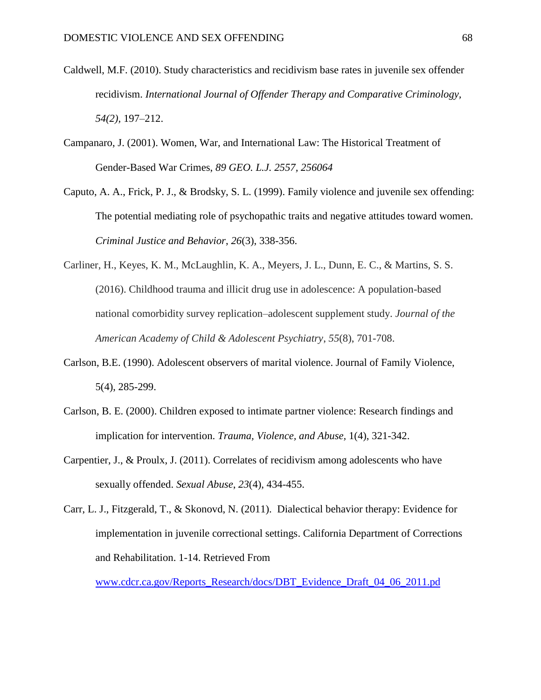- Caldwell, M.F. (2010). Study characteristics and recidivism base rates in juvenile sex offender recidivism. *International Journal of Offender Therapy and Comparative Criminology, 54(2),* 197–212.
- Campanaro, J. (2001). Women, War, and International Law: The Historical Treatment of Gender-Based War Crimes, *89 GEO. L.J. 2557, 256064*
- Caputo, A. A., Frick, P. J., & Brodsky, S. L. (1999). Family violence and juvenile sex offending: The potential mediating role of psychopathic traits and negative attitudes toward women. *Criminal Justice and Behavior*, *26*(3), 338-356.
- Carliner, H., Keyes, K. M., McLaughlin, K. A., Meyers, J. L., Dunn, E. C., & Martins, S. S. (2016). Childhood trauma and illicit drug use in adolescence: A population-based national comorbidity survey replication–adolescent supplement study. *Journal of the American Academy of Child & Adolescent Psychiatry*, *55*(8), 701-708.
- Carlson, B.E. (1990). Adolescent observers of marital violence. Journal of Family Violence, 5(4), 285-299.
- Carlson, B. E. (2000). Children exposed to intimate partner violence: Research findings and implication for intervention. *Trauma, Violence, and Abuse,* 1(4), 321-342.
- Carpentier, J., & Proulx, J. (2011). Correlates of recidivism among adolescents who have sexually offended. *Sexual Abuse*, *23*(4), 434-455.

Carr, L. J., Fitzgerald, T., & Skonovd, N. (2011). Dialectical behavior therapy: Evidence for implementation in juvenile correctional settings. California Department of Corrections and Rehabilitation. 1-14. Retrieved From

[www.cdcr.ca.gov/Reports\\_Research/docs/DBT\\_Evidence\\_Draft\\_04\\_06\\_2011.pd](http://www.cdcr.ca.gov/Reports_Research/docs/DBT_Evidence_Draft_04_06_2011.pd)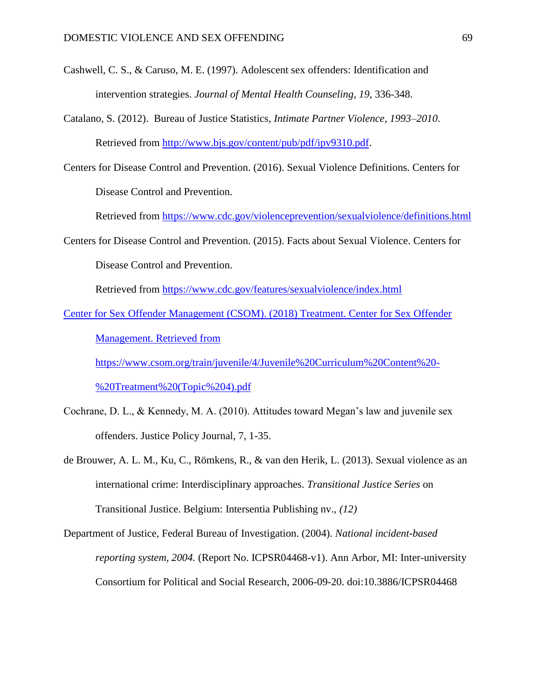- Cashwell, C. S., & Caruso, M. E. (1997). Adolescent sex offenders: Identification and intervention strategies. *Journal of Mental Health Counseling*, *19*, 336-348.
- Catalano, S. (2012). Bureau of Justice Statistics, *Intimate Partner Violence, 1993–2010*. Retrieved from [http://www.bjs.gov/content/pub/pdf/ipv9310.pdf.](http://www.bjs.gov/content/pub/pdf/ipv9310.pdf)
- Centers for Disease Control and Prevention. (2016). Sexual Violence Definitions. Centers for Disease Control and Prevention.

Retrieved from<https://www.cdc.gov/violenceprevention/sexualviolence/definitions.html>

Centers for Disease Control and Prevention. (2015). Facts about Sexual Violence. Centers for Disease Control and Prevention.

Retrieved from<https://www.cdc.gov/features/sexualviolence/index.html>

[Center](https://www.ncbi.nlm.nih.gov/pmc/articles/PMC2922753/#R19) for Sex Offender Management (CSOM). (2018) Treatment. Center for Sex Offender

Management. Retrieved from

[https://www.csom.org/train/juvenile/4/Juvenile%20Curriculum%20Content%20-](https://www.csom.org/train/juvenile/4/Juvenile%20Curriculum%20Content%20-%20Treatment%20(Topic%204).pdf)

[%20Treatment%20\(Topic%204\).pdf](https://www.csom.org/train/juvenile/4/Juvenile%20Curriculum%20Content%20-%20Treatment%20(Topic%204).pdf)

- Cochrane, D. L., & Kennedy, M. A. (2010). Attitudes toward Megan's law and juvenile sex offenders. Justice Policy Journal, 7, 1-35.
- de Brouwer, A. L. M., Ku, C., Römkens, R., & van den Herik, L. (2013). Sexual violence as an international crime: Interdisciplinary approaches. *Transitional Justice Series* on Transitional Justice. Belgium: Intersentia Publishing nv., *(12)*
- Department of Justice, Federal Bureau of Investigation. (2004). *National incident-based reporting system, 2004.* (Report No. ICPSR04468-v1). Ann Arbor, MI: Inter-university Consortium for Political and Social Research, 2006-09-20. doi:10.3886/ICPSR04468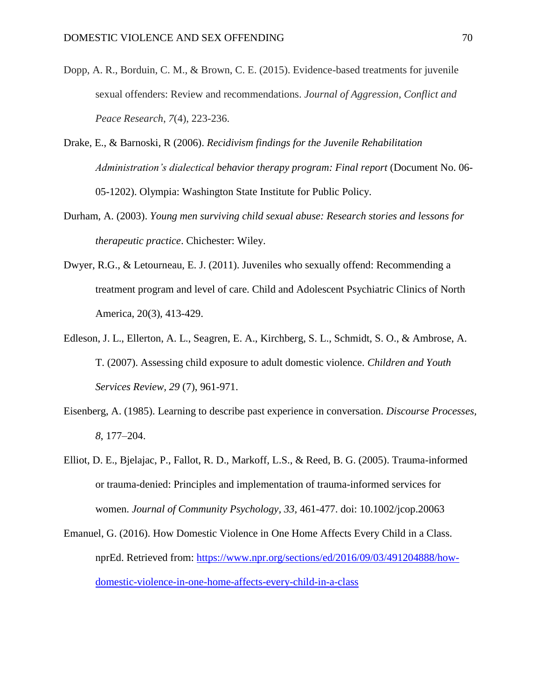- Dopp, A. R., Borduin, C. M., & Brown, C. E. (2015). Evidence-based treatments for juvenile sexual offenders: Review and recommendations. *Journal of Aggression, Conflict and Peace Research*, *7*(4), 223-236.
- Drake, E., & Barnoski, R (2006). *Recidivism findings for the Juvenile Rehabilitation Administration's dialectical behavior therapy program: Final report* (Document No. 06- 05-1202). Olympia: Washington State Institute for Public Policy.
- Durham, A. (2003). *Young men surviving child sexual abuse: Research stories and lessons for therapeutic practice*. Chichester: Wiley.
- Dwyer, R.G., & Letourneau, E. J. (2011). Juveniles who sexually offend: Recommending a treatment program and level of care. Child and Adolescent Psychiatric Clinics of North America, 20(3), 413-429.
- Edleson, J. L., Ellerton, A. L., Seagren, E. A., Kirchberg, S. L., Schmidt, S. O., & Ambrose, A. T. (2007). Assessing child exposure to adult domestic violence. *Children and Youth Services Review, 29* (7), 961-971.
- Eisenberg, A. (1985). Learning to describe past experience in conversation. *Discourse Processes, 8*, 177–204.
- Elliot, D. E., Bjelajac, P., Fallot, R. D., Markoff, L.S., & Reed, B. G. (2005). Trauma-informed or trauma-denied: Principles and implementation of trauma-informed services for women. *Journal of Community Psychology, 33,* 461-477. doi: 10.1002/jcop.20063
- Emanuel, G. (2016). How Domestic Violence in One Home Affects Every Child in a Class. nprEd. Retrieved from: [https://www.npr.org/sections/ed/2016/09/03/491204888/how](https://www.npr.org/sections/ed/2016/09/03/491204888/how-domestic-violence-in-one-home-affects-every-child-in-a-class)[domestic-violence-in-one-home-affects-every-child-in-a-class](https://www.npr.org/sections/ed/2016/09/03/491204888/how-domestic-violence-in-one-home-affects-every-child-in-a-class)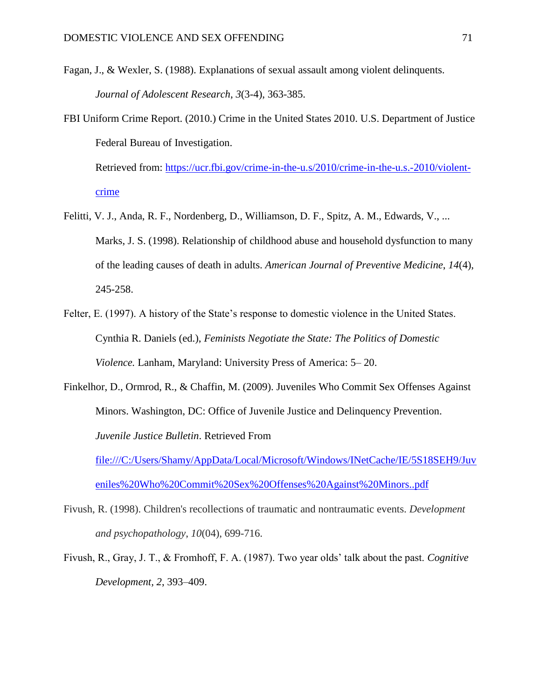- Fagan, J., & Wexler, S. (1988). Explanations of sexual assault among violent delinquents. *Journal of Adolescent Research*, *3*(3-4), 363-385.
- FBI Uniform Crime Report. (2010.) Crime in the United States 2010. U.S. Department of Justice Federal Bureau of Investigation.

Retrieved from: [https://ucr.fbi.gov/crime-in-the-u.s/2010/crime-in-the-u.s.-2010/violent](https://ucr.fbi.gov/crime-in-the-u.s/2010/crime-in-the-u.s.-2010/violent-crime)[crime](https://ucr.fbi.gov/crime-in-the-u.s/2010/crime-in-the-u.s.-2010/violent-crime)

- Felitti, V. J., Anda, R. F., Nordenberg, D., Williamson, D. F., Spitz, A. M., Edwards, V., ... Marks, J. S. (1998). Relationship of childhood abuse and household dysfunction to many of the leading causes of death in adults. *American Journal of Preventive Medicine*, *14*(4), 245-258.
- Felter, E. (1997). A history of the State's response to domestic violence in the United States. Cynthia R. Daniels (ed.), *Feminists Negotiate the State: The Politics of Domestic Violence.* Lanham, Maryland: University Press of America: 5– 20.
- Finkelhor, D., Ormrod, R., & Chaffin, M. (2009). Juveniles Who Commit Sex Offenses Against Minors. Washington, DC: Office of Juvenile Justice and Delinquency Prevention. *Juvenile Justice Bulletin*. Retrieved From [file:///C:/Users/Shamy/AppData/Local/Microsoft/Windows/INetCache/IE/5S18SEH9/Juv](file:///C:/Users/Shamy/AppData/Local/Microsoft/Windows/INetCache/IE/5S18SEH9/Juveniles%20Who%20Commit%20Sex%20Offenses%20Against%20Minors..pdf) [eniles%20Who%20Commit%20Sex%20Offenses%20Against%20Minors..pdf](file:///C:/Users/Shamy/AppData/Local/Microsoft/Windows/INetCache/IE/5S18SEH9/Juveniles%20Who%20Commit%20Sex%20Offenses%20Against%20Minors..pdf)
- Fivush, R. (1998). Children's recollections of traumatic and nontraumatic events. *Development and psychopathology*, *10*(04), 699-716.
- Fivush, R., Gray, J. T., & Fromhoff, F. A. (1987). Two year olds' talk about the past. *Cognitive Development, 2*, 393–409.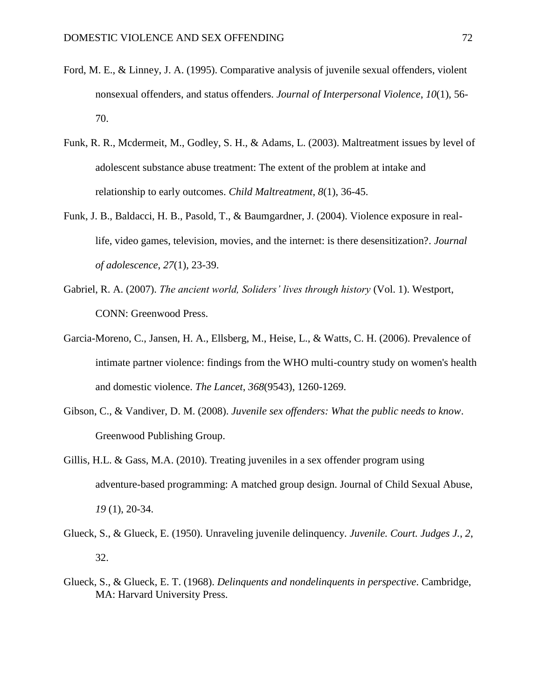- Ford, M. E., & Linney, J. A. (1995). Comparative analysis of juvenile sexual offenders, violent nonsexual offenders, and status offenders. *Journal of Interpersonal Violence*, *10*(1), 56- 70.
- Funk, R. R., Mcdermeit, M., Godley, S. H., & Adams, L. (2003). Maltreatment issues by level of adolescent substance abuse treatment: The extent of the problem at intake and relationship to early outcomes. *Child Maltreatment*, *8*(1), 36-45.
- Funk, J. B., Baldacci, H. B., Pasold, T., & Baumgardner, J. (2004). Violence exposure in reallife, video games, television, movies, and the internet: is there desensitization?. *Journal of adolescence*, *27*(1), 23-39.
- Gabriel, R. A. (2007). *The ancient world, Soliders' lives through history* (Vol. 1). Westport, CONN: Greenwood Press.
- Garcia-Moreno, C., Jansen, H. A., Ellsberg, M., Heise, L., & Watts, C. H. (2006). Prevalence of intimate partner violence: findings from the WHO multi-country study on women's health and domestic violence. *The Lancet*, *368*(9543), 1260-1269.
- Gibson, C., & Vandiver, D. M. (2008). *Juvenile sex offenders: What the public needs to know*. Greenwood Publishing Group.
- Gillis, H.L. & Gass, M.A. (2010). Treating juveniles in a sex offender program using adventure-based programming: A matched group design. Journal of Child Sexual Abuse, *19* (1), 20-34.
- Glueck, S., & Glueck, E. (1950). Unraveling juvenile delinquency. *Juvenile. Court. Judges J.*, *2*, 32.
- Glueck, S., & Glueck, E. T. (1968). *Delinquents and nondelinquents in perspective*. Cambridge, MA: Harvard University Press.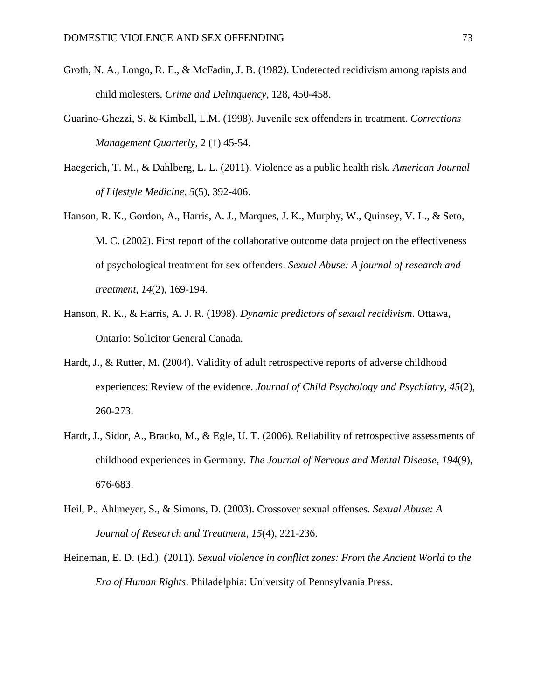- Groth, N. A., Longo, R. E., & McFadin, J. B. (1982). Undetected recidivism among rapists and child molesters. *Crime and Delinquency*, 128, 450-458.
- Guarino-Ghezzi, S. & Kimball, L.M. (1998). Juvenile sex offenders in treatment. *Corrections Management Quarterly*, 2 (1) 45-54.
- Haegerich, T. M., & Dahlberg, L. L. (2011). Violence as a public health risk. *American Journal of Lifestyle Medicine*, *5*(5), 392-406.
- Hanson, R. K., Gordon, A., Harris, A. J., Marques, J. K., Murphy, W., Quinsey, V. L., & Seto, M. C. (2002). First report of the collaborative outcome data project on the effectiveness of psychological treatment for sex offenders. *Sexual Abuse: A journal of research and treatment*, *14*(2), 169-194.
- Hanson, R. K., & Harris, A. J. R. (1998). *Dynamic predictors of sexual recidivism*. Ottawa, Ontario: Solicitor General Canada.
- Hardt, J., & Rutter, M. (2004). Validity of adult retrospective reports of adverse childhood experiences: Review of the evidence. *Journal of Child Psychology and Psychiatry*, *45*(2), 260-273.
- Hardt, J., Sidor, A., Bracko, M., & Egle, U. T. (2006). Reliability of retrospective assessments of childhood experiences in Germany. *The Journal of Nervous and Mental Disease*, *194*(9), 676-683.
- Heil, P., Ahlmeyer, S., & Simons, D. (2003). Crossover sexual offenses. *Sexual Abuse: A Journal of Research and Treatment*, *15*(4), 221-236.
- Heineman, E. D. (Ed.). (2011). *Sexual violence in conflict zones: From the Ancient World to the Era of Human Rights*. Philadelphia: University of Pennsylvania Press.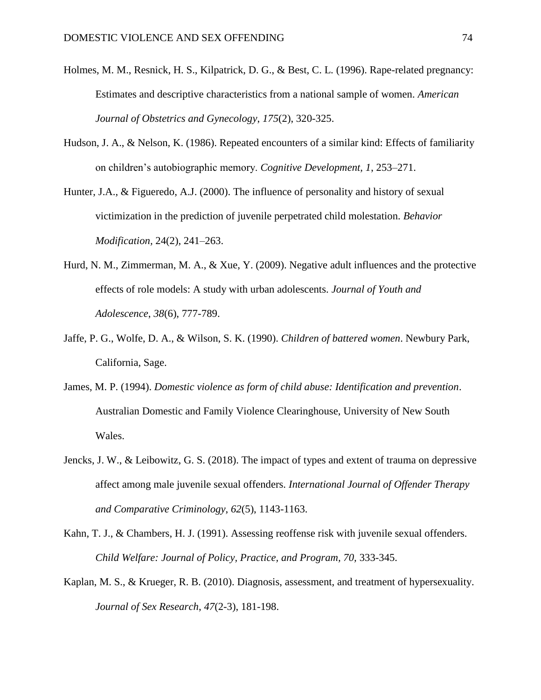- Holmes, M. M., Resnick, H. S., Kilpatrick, D. G., & Best, C. L. (1996). Rape-related pregnancy: Estimates and descriptive characteristics from a national sample of women. *American Journal of Obstetrics and Gynecology*, *175*(2), 320-325.
- Hudson, J. A., & Nelson, K. (1986). Repeated encounters of a similar kind: Effects of familiarity on children's autobiographic memory. *Cognitive Development, 1*, 253–271.
- Hunter, J.A., & Figueredo, A.J. (2000). The influence of personality and history of sexual victimization in the prediction of juvenile perpetrated child molestation. *Behavior Modification,* 24(2), 241–263.
- Hurd, N. M., Zimmerman, M. A., & Xue, Y. (2009). Negative adult influences and the protective effects of role models: A study with urban adolescents. *Journal of Youth and Adolescence*, *38*(6), 777-789.
- Jaffe, P. G., Wolfe, D. A., & Wilson, S. K. (1990). *Children of battered women*. Newbury Park, California, Sage.
- James, M. P. (1994). *Domestic violence as form of child abuse: Identification and prevention*. Australian Domestic and Family Violence Clearinghouse, University of New South Wales.
- Jencks, J. W., & Leibowitz, G. S. (2018). The impact of types and extent of trauma on depressive affect among male juvenile sexual offenders. *International Journal of Offender Therapy and Comparative Criminology*, *62*(5), 1143-1163.
- Kahn, T. J., & Chambers, H. J. (1991). Assessing reoffense risk with juvenile sexual offenders. *Child Welfare: Journal of Policy, Practice, and Program, 70,* 333-345.
- Kaplan, M. S., & Krueger, R. B. (2010). Diagnosis, assessment, and treatment of hypersexuality. *Journal of Sex Research*, *47*(2-3), 181-198.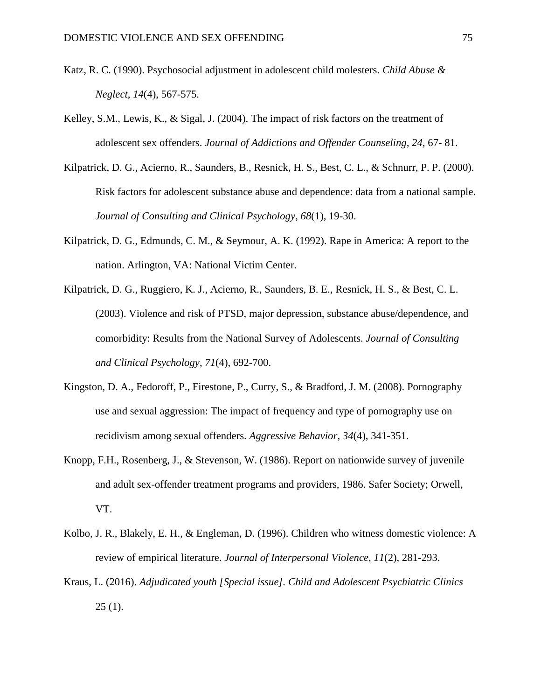- Katz, R. C. (1990). Psychosocial adjustment in adolescent child molesters. *Child Abuse & Neglect*, *14*(4), 567-575.
- Kelley, S.M., Lewis, K., & Sigal, J. (2004). The impact of risk factors on the treatment of adolescent sex offenders. *Journal of Addictions and Offender Counseling, 24,* 67- 81.
- Kilpatrick, D. G., Acierno, R., Saunders, B., Resnick, H. S., Best, C. L., & Schnurr, P. P. (2000). Risk factors for adolescent substance abuse and dependence: data from a national sample. *Journal of Consulting and Clinical Psychology*, *68*(1), 19-30.
- Kilpatrick, D. G., Edmunds, C. M., & Seymour, A. K. (1992). Rape in America: A report to the nation. Arlington, VA: National Victim Center.
- Kilpatrick, D. G., Ruggiero, K. J., Acierno, R., Saunders, B. E., Resnick, H. S., & Best, C. L. (2003). Violence and risk of PTSD, major depression, substance abuse/dependence, and comorbidity: Results from the National Survey of Adolescents. *Journal of Consulting and Clinical Psychology*, *71*(4), 692-700.
- Kingston, D. A., Fedoroff, P., Firestone, P., Curry, S., & Bradford, J. M. (2008). Pornography use and sexual aggression: The impact of frequency and type of pornography use on recidivism among sexual offenders. *Aggressive Behavior*, *34*(4), 341-351.
- Knopp, F.H., Rosenberg, J., & Stevenson, W. (1986). Report on nationwide survey of juvenile and adult sex-offender treatment programs and providers, 1986. Safer Society; Orwell, VT.
- Kolbo, J. R., Blakely, E. H., & Engleman, D. (1996). Children who witness domestic violence: A review of empirical literature. *Journal of Interpersonal Violence*, *11*(2), 281-293.
- Kraus, L. (2016). *Adjudicated youth [Special issue]. Child and Adolescent Psychiatric Clinics*  $25(1)$ .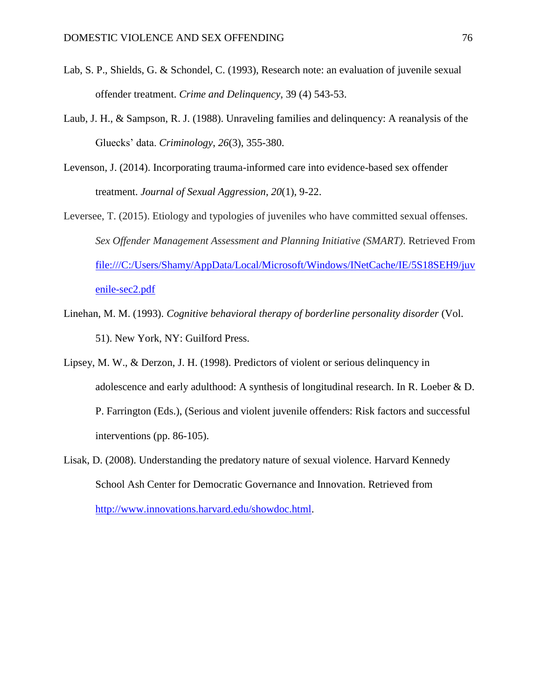- Lab, S. P., Shields, G. & Schondel, C. (1993), Research note: an evaluation of juvenile sexual offender treatment. *Crime and Delinquency*, 39 (4) 543-53.
- Laub, J. H., & Sampson, R. J. (1988). Unraveling families and delinquency: A reanalysis of the Gluecks' data. *Criminology*, *26*(3), 355-380.
- Levenson, J. (2014). Incorporating trauma-informed care into evidence-based sex offender treatment. *Journal of Sexual Aggression*, *20*(1), 9-22.
- Leversee, T. (2015). Etiology and typologies of juveniles who have committed sexual offenses. *Sex Offender Management Assessment and Planning Initiative (SMART)*. Retrieved From [file:///C:/Users/Shamy/AppData/Local/Microsoft/Windows/INetCache/IE/5S18SEH9/juv](file:///C:/Users/Shamy/AppData/Local/Microsoft/Windows/INetCache/IE/5S18SEH9/juvenile-sec2.pdf) [enile-sec2.pdf](file:///C:/Users/Shamy/AppData/Local/Microsoft/Windows/INetCache/IE/5S18SEH9/juvenile-sec2.pdf)
- Linehan, M. M. (1993). *Cognitive behavioral therapy of borderline personality disorder* (Vol. 51). New York, NY: Guilford Press.
- Lipsey, M. W., & Derzon, J. H. (1998). Predictors of violent or serious delinquency in adolescence and early adulthood: A synthesis of longitudinal research. In R. Loeber & D. P. Farrington (Eds.), (Serious and violent juvenile offenders: Risk factors and successful interventions (pp. 86-105).
- Lisak, D. (2008). Understanding the predatory nature of sexual violence. Harvard Kennedy School Ash Center for Democratic Governance and Innovation. Retrieved from [http://www.innovations.harvard.edu/showdoc.html.](http://www.innovations.harvard.edu/showdoc.html)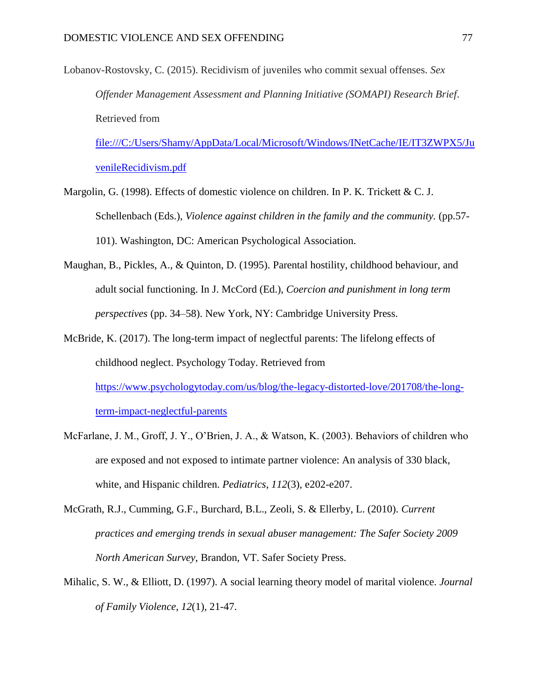Lobanov-Rostovsky, C. (2015). Recidivism of juveniles who commit sexual offenses. *Sex Offender Management Assessment and Planning Initiative (SOMAPI) Research Brief*. Retrieved from

[file:///C:/Users/Shamy/AppData/Local/Microsoft/Windows/INetCache/IE/IT3ZWPX5/Ju](file:///C:/Users/Shamy/AppData/Local/Microsoft/Windows/INetCache/IE/IT3ZWPX5/JuvenileRecidivism.pdf) [venileRecidivism.pdf](file:///C:/Users/Shamy/AppData/Local/Microsoft/Windows/INetCache/IE/IT3ZWPX5/JuvenileRecidivism.pdf)

- Margolin, G. (1998). Effects of domestic violence on children. In P. K. Trickett & C. J. Schellenbach (Eds.), *Violence against children in the family and the community.* (pp.57-101). Washington, DC: American Psychological Association.
- Maughan, B., Pickles, A., & Quinton, D. (1995). Parental hostility, childhood behaviour, and adult social functioning. In J. McCord (Ed.), *Coercion and punishment in long term perspectives* (pp. 34–58). New York, NY: Cambridge University Press.
- McBride, K. (2017). The long-term impact of neglectful parents: The lifelong effects of childhood neglect. Psychology Today. Retrieved from [https://www.psychologytoday.com/us/blog/the-legacy-distorted-love/201708/the-long](https://www.psychologytoday.com/us/blog/the-legacy-distorted-love/201708/the-long-term-impact-neglectful-parents)[term-impact-neglectful-parents](https://www.psychologytoday.com/us/blog/the-legacy-distorted-love/201708/the-long-term-impact-neglectful-parents)
- McFarlane, J. M., Groff, J. Y., O'Brien, J. A., & Watson, K. (2003). Behaviors of children who are exposed and not exposed to intimate partner violence: An analysis of 330 black, white, and Hispanic children. *Pediatrics*, *112*(3), e202-e207.
- McGrath, R.J., Cumming, G.F., Burchard, B.L., Zeoli, S. & Ellerby, L. (2010). *Current practices and emerging trends in sexual abuser management: The Safer Society 2009 North American Survey*, Brandon, VT. Safer Society Press.
- Mihalic, S. W., & Elliott, D. (1997). A social learning theory model of marital violence. *Journal of Family Violence*, *12*(1), 21-47.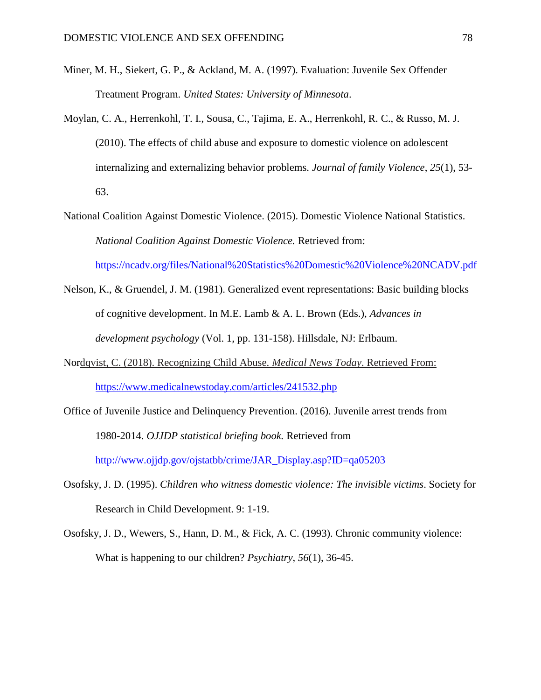- Miner, M. H., Siekert, G. P., & Ackland, M. A. (1997). Evaluation: Juvenile Sex Offender Treatment Program. *United States: University of Minnesota*.
- Moylan, C. A., Herrenkohl, T. I., Sousa, C., Tajima, E. A., Herrenkohl, R. C., & Russo, M. J. (2010). The effects of child abuse and exposure to domestic violence on adolescent internalizing and externalizing behavior problems. *Journal of family Violence*, *25*(1), 53- 63.
- National Coalition Against Domestic Violence. (2015). Domestic Violence National Statistics. *National Coalition Against Domestic Violence.* Retrieved from: <https://ncadv.org/files/National%20Statistics%20Domestic%20Violence%20NCADV.pdf>
- Nelson, K., & Gruendel, J. M. (1981). Generalized event representations: Basic building blocks of cognitive development. In M.E. Lamb & A. L. Brown (Eds.), *Advances in development psychology* (Vol. 1, pp. 131-158). Hillsdale, NJ: Erlbaum.
- Nordqvist, C. (2018). Recognizing Child Abuse. *Medical News Today*. Retrieved From: <https://www.medicalnewstoday.com/articles/241532.php>
- Office of Juvenile Justice and Delinquency Prevention. (2016). Juvenile arrest trends from 1980-2014. *OJJDP statistical briefing book.* Retrieved from [http://www.ojjdp.gov/ojstatbb/crime/JAR\\_Display.asp?ID=qa05203](http://www.ojjdp.gov/ojstatbb/crime/JAR_Display.asp?ID=qa05203)
- Osofsky, J. D. (1995). *Children who witness domestic violence: The invisible victims*. Society for Research in Child Development. 9: 1-19.
- Osofsky, J. D., Wewers, S., Hann, D. M., & Fick, A. C. (1993). Chronic community violence: What is happening to our children? *Psychiatry*, *56*(1), 36-45.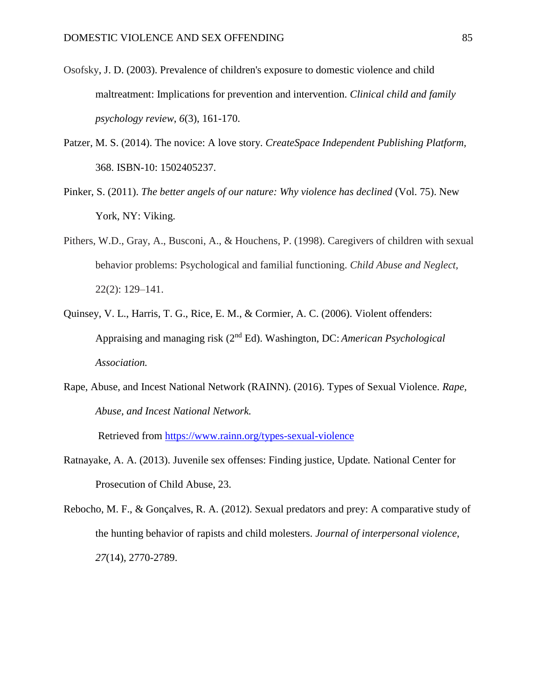- Osofsky, J. D. (2003). Prevalence of children's exposure to domestic violence and child maltreatment: Implications for prevention and intervention. *Clinical child and family psychology review*, *6*(3), 161-170.
- Patzer, M. S. (2014). The novice: A love story. *CreateSpace Independent Publishing Platform,*  368. ISBN-10: 1502405237.
- Pinker, S. (2011). *The better angels of our nature: Why violence has declined* (Vol. 75). New York, NY: Viking.
- Pithers, W.D., Gray, A., Busconi, A., & Houchens, P. (1998). Caregivers of children with sexual behavior problems: Psychological and familial functioning. *Child Abuse and Neglect,* 22(2): 129–141.
- Quinsey, V. L., Harris, T. G., Rice, E. M., & Cormier, A. C. (2006). Violent offenders: Appraising and managing risk (2nd Ed). Washington, DC: *American Psychological Association.*
- Rape, Abuse, and Incest National Network (RAINN). (2016). Types of Sexual Violence. *Rape, Abuse, and Incest National Network.*

Retrieved from<https://www.rainn.org/types-sexual-violence>

- Ratnayake, A. A. (2013). Juvenile sex offenses: Finding justice, Update*.* National Center for Prosecution of Child Abuse, 23.
- Rebocho, M. F., & Gonçalves, R. A. (2012). Sexual predators and prey: A comparative study of the hunting behavior of rapists and child molesters. *Journal of interpersonal violence*, *27*(14), 2770-2789.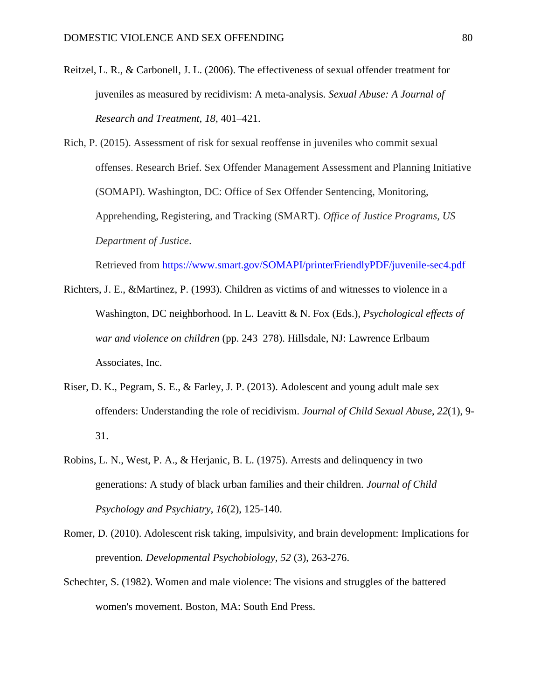- Reitzel, L. R., & Carbonell, J. L. (2006). The effectiveness of sexual offender treatment for juveniles as measured by recidivism: A meta-analysis. *Sexual Abuse: A Journal of Research and Treatment, 18,* 401–421.
- Rich, P. (2015). Assessment of risk for sexual reoffense in juveniles who commit sexual offenses. Research Brief. Sex Offender Management Assessment and Planning Initiative (SOMAPI). Washington, DC: Office of Sex Offender Sentencing, Monitoring, Apprehending, Registering, and Tracking (SMART). *Office of Justice Programs, US Department of Justice*.

Retrieved from<https://www.smart.gov/SOMAPI/printerFriendlyPDF/juvenile-sec4.pdf>

- Richters, J. E., &Martinez, P. (1993). Children as victims of and witnesses to violence in a Washington, DC neighborhood. In L. Leavitt & N. Fox (Eds.), *Psychological effects of war and violence on children* (pp. 243–278). Hillsdale, NJ: Lawrence Erlbaum Associates, Inc.
- Riser, D. K., Pegram, S. E., & Farley, J. P. (2013). Adolescent and young adult male sex offenders: Understanding the role of recidivism. *Journal of Child Sexual Abuse*, *22*(1), 9- 31.
- Robins, L. N., West, P. A., & Herjanic, B. L. (1975). Arrests and delinquency in two generations: A study of black urban families and their children. *Journal of Child Psychology and Psychiatry*, *16*(2), 125-140.
- Romer, D. (2010). Adolescent risk taking, impulsivity, and brain development: Implications for prevention*. Developmental Psychobiology, 52* (3), 263-276.
- Schechter, S. (1982). Women and male violence: The visions and struggles of the battered women's movement. Boston, MA: South End Press.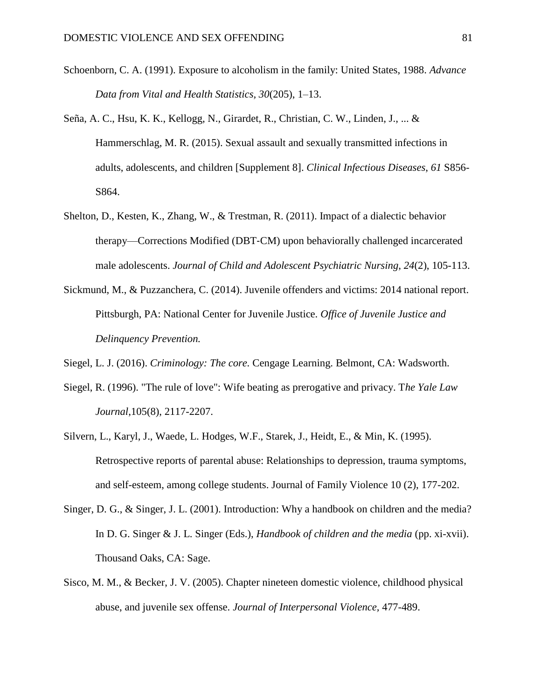- Schoenborn, C. A. (1991). Exposure to alcoholism in the family: United States, 1988. *Advance Data from Vital and Health Statistics, 30*(205), 1–13.
- Seña, A. C., Hsu, K. K., Kellogg, N., Girardet, R., Christian, C. W., Linden, J., ... & Hammerschlag, M. R. (2015). Sexual assault and sexually transmitted infections in adults, adolescents, and children [Supplement 8]. *Clinical Infectious Diseases*, *61* S856- S864.
- Shelton, D., Kesten, K., Zhang, W., & Trestman, R. (2011). Impact of a dialectic behavior therapy—Corrections Modified (DBT‐CM) upon behaviorally challenged incarcerated male adolescents. *Journal of Child and Adolescent Psychiatric Nursing*, *24*(2), 105-113.
- Sickmund, M., & Puzzanchera, C. (2014). Juvenile offenders and victims: 2014 national report. Pittsburgh, PA: National Center for Juvenile Justice. *Office of Juvenile Justice and Delinquency Prevention.*
- Siegel, L. J. (2016). *Criminology: The core.* Cengage Learning. Belmont, CA: Wadsworth.
- Siegel, R. (1996). "The rule of love": Wife beating as prerogative and privacy. T*he Yale Law Journal*,105(8), 2117-2207.
- Silvern, L., Karyl, J., Waede, L. Hodges, W.F., Starek, J., Heidt, E., & Min, K. (1995). Retrospective reports of parental abuse: Relationships to depression, trauma symptoms, and self-esteem, among college students. Journal of Family Violence 10 (2), 177-202.
- Singer, D. G., & Singer, J. L. (2001). Introduction: Why a handbook on children and the media? In D. G. Singer & J. L. Singer (Eds.), *Handbook of children and the media* (pp. xi-xvii). Thousand Oaks, CA: Sage.
- Sisco, M. M., & Becker, J. V. (2005). Chapter nineteen domestic violence, childhood physical abuse, and juvenile sex offense. *Journal of Interpersonal Violence,* 477-489.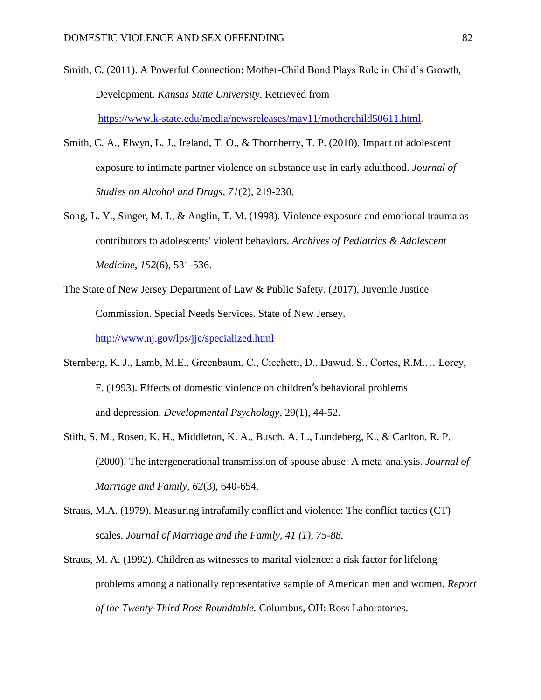- Smith, C. (2011). A Powerful Connection: Mother-Child Bond Plays Role in Child's Growth, Development. *Kansas State University*. Retrieved from [https://www.k-state.edu/media/newsreleases/may11/motherchild50611.html.](https://www.k-state.edu/media/newsreleases/may11/motherchild50611.html)
- Smith, C. A., Elwyn, L. J., Ireland, T. O., & Thornberry, T. P. (2010). Impact of adolescent exposure to intimate partner violence on substance use in early adulthood. *Journal of Studies on Alcohol and Drugs*, *71*(2), 219-230.
- Song, L. Y., Singer, M. I., & Anglin, T. M. (1998). Violence exposure and emotional trauma as contributors to adolescents' violent behaviors. *Archives of Pediatrics & Adolescent Medicine*, *152*(6), 531-536.
- The State of New Jersey Department of Law & Public Safety. (2017). Juvenile Justice Commission. Special Needs Services. State of New Jersey. <http://www.nj.gov/lps/jjc/specialized.html>
- Sternberg, K. J., Lamb, M.E., Greenbaum, C., Cicchetti, D., Dawud, S., Cortes, R.M.… Lorey, F. (1993). Effects of domestic violence on children's behavioral problems and depression. *Developmental Psychology*, 29(1), 44-52.
- Stith, S. M., Rosen, K. H., Middleton, K. A., Busch, A. L., Lundeberg, K., & Carlton, R. P. (2000). The intergenerational transmission of spouse abuse: A meta‐analysis. *Journal of Marriage and Family*, *62*(3), 640-654.
- Straus, M.A. (1979). Measuring intrafamily conflict and violence: The conflict tactics (CT) scales. *Journal of Marriage and the Family, 41 (1), 75-88.*
- Straus, M. A. (1992). Children as witnesses to marital violence: a risk factor for lifelong problems among a nationally representative sample of American men and women. *Report of the Twenty-Third Ross Roundtable.* Columbus, OH: Ross Laboratories.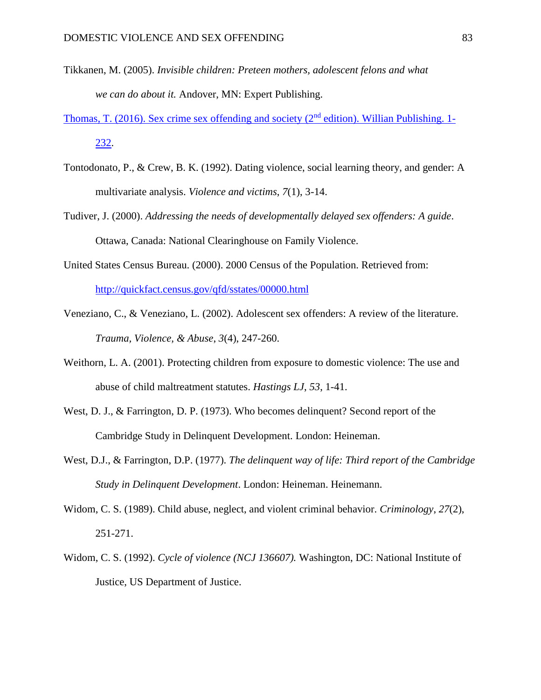- Tikkanen, M. (2005). *Invisible children: Preteen mothers, adolescent felons and what we can do about it.* Andover, MN: Expert Publishing.
- Thomas, T. (2016). Sex crime sex offending and society ( $2<sup>nd</sup>$  edition). Willian Publishing. 1-232.
- Tontodonato, P., & Crew, B. K. (1992). Dating violence, social learning theory, and gender: A multivariate analysis. *Violence and victims*, *7*(1), 3-14.
- Tudiver, J. (2000). *Addressing the needs of developmentally delayed sex offenders: A guide*. Ottawa, Canada: National Clearinghouse on Family Violence.
- United States Census Bureau. (2000). 2000 Census of the Population. Retrieved from: <http://quickfact.census.gov/qfd/sstates/00000.html>
- Veneziano, C., & Veneziano, L. (2002). Adolescent sex offenders: A review of the literature. *Trauma, Violence, & Abuse*, *3*(4), 247-260.
- Weithorn, L. A. (2001). Protecting children from exposure to domestic violence: The use and abuse of child maltreatment statutes. *Hastings LJ*, *53*, 1-41.
- West, D. J., & Farrington, D. P. (1973). Who becomes delinquent? Second report of the Cambridge Study in Delinquent Development. London: Heineman.
- West, D.J., & Farrington, D.P. (1977). *The delinquent way of life: Third report of the Cambridge Study in Delinquent Development*. London: Heineman. Heinemann.
- Widom, C. S. (1989). Child abuse, neglect, and violent criminal behavior. *Criminology*, *27*(2), 251-271.
- Widom, C. S. (1992). *Cycle of violence (NCJ 136607).* Washington, DC: National Institute of Justice, US Department of Justice.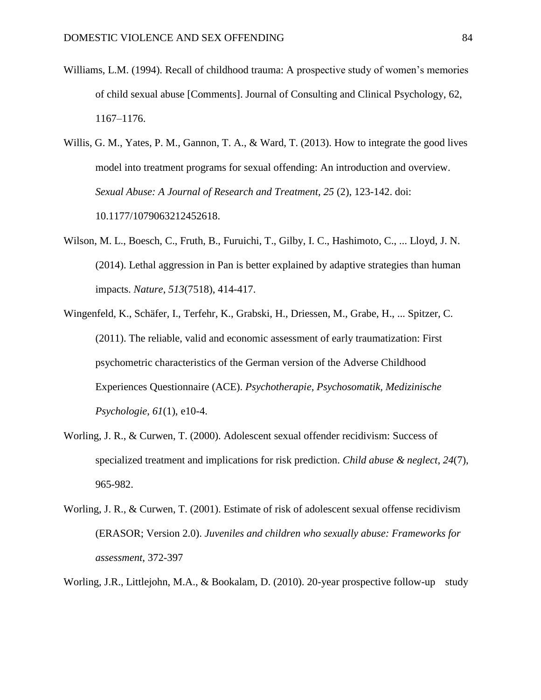- Williams, L.M. (1994). Recall of childhood trauma: A prospective study of women's memories of child sexual abuse [Comments]. Journal of Consulting and Clinical Psychology, 62, 1167–1176.
- Willis, G. M., Yates, P. M., Gannon, T. A., & Ward, T. (2013). How to integrate the good lives model into treatment programs for sexual offending: An introduction and overview. *Sexual Abuse: A Journal of Research and Treatment, 25* (2), 123-142. doi: 10.1177/1079063212452618.
- Wilson, M. L., Boesch, C., Fruth, B., Furuichi, T., Gilby, I. C., Hashimoto, C., ... Lloyd, J. N. (2014). Lethal aggression in Pan is better explained by adaptive strategies than human impacts. *Nature*, *513*(7518), 414-417.
- Wingenfeld, K., Schäfer, I., Terfehr, K., Grabski, H., Driessen, M., Grabe, H., ... Spitzer, C. (2011). The reliable, valid and economic assessment of early traumatization: First psychometric characteristics of the German version of the Adverse Childhood Experiences Questionnaire (ACE). *Psychotherapie, Psychosomatik, Medizinische Psychologie*, *61*(1), e10-4.
- Worling, J. R., & Curwen, T. (2000). Adolescent sexual offender recidivism: Success of specialized treatment and implications for risk prediction. *Child abuse & neglect*, *24*(7), 965-982.
- Worling, J. R., & Curwen, T. (2001). Estimate of risk of adolescent sexual offense recidivism (ERASOR; Version 2.0). *Juveniles and children who sexually abuse: Frameworks for assessment*, 372-397
- Worling, J.R., Littlejohn, M.A., & Bookalam, D. (2010). 20-year prospective follow-up study